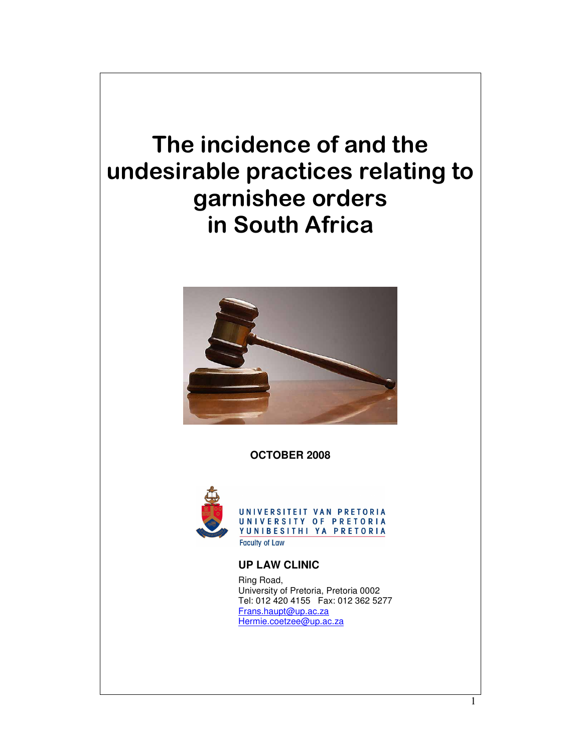



**OCTOBER 2008** 



UNIVERSITEIT VAN PRETORIA<br>UNIVERSITY OF PRETORIA YUNIBESITHI YA PRETORIA **Faculty of Law** 

 **UP LAW CLINIC**

 Ring Road, University of Pretoria, Pretoria 0002 Tel: 012 420 4155 Fax: 012 362 5277 Frans.haupt@up.ac.za Hermie.coetzee@up.ac.za

1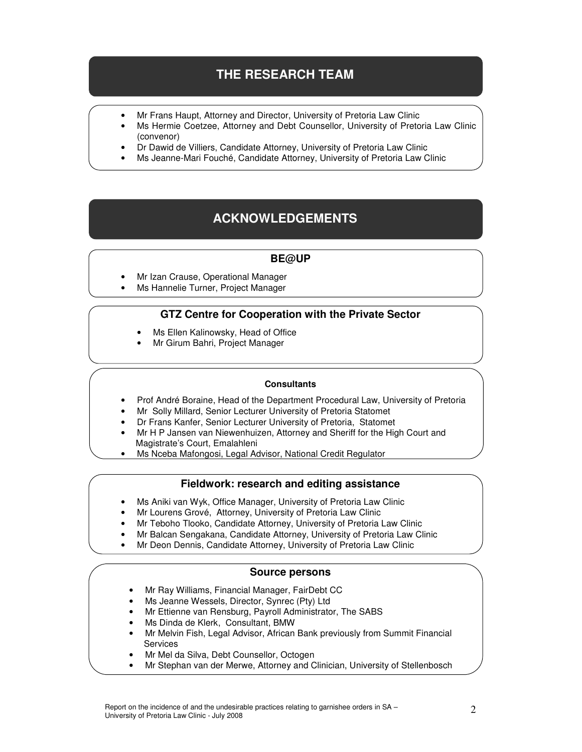# **THE RESEARCH TEAM**

- Mr Frans Haupt, Attorney and Director, University of Pretoria Law Clinic
- Ms Hermie Coetzee, Attorney and Debt Counsellor, University of Pretoria Law Clinic (convenor)
- Dr Dawid de Villiers, Candidate Attorney, University of Pretoria Law Clinic
- Ms Jeanne-Mari Fouché, Candidate Attorney, University of Pretoria Law Clinic

# **ACKNOWLEDGEMENTS**

#### **BE@UP**

- Mr Izan Crause, Operational Manager
- Ms Hannelie Turner, Project Manager

#### **GTZ Centre for Cooperation with the Private Sector**

- Ms Ellen Kalinowsky, Head of Office
- Mr Girum Bahri, Project Manager

#### **Consultants**

- Prof André Boraine, Head of the Department Procedural Law, University of Pretoria
- Mr Solly Millard, Senior Lecturer University of Pretoria Statomet
- Dr Frans Kanfer, Senior Lecturer University of Pretoria, Statomet
- Mr H P Jansen van Niewenhuizen, Attorney and Sheriff for the High Court and Magistrate's Court, Emalahleni
- Ms Nceba Mafongosi, Legal Advisor, National Credit Regulator

#### **Fieldwork: research and editing assistance**

- Ms Aniki van Wyk, Office Manager, University of Pretoria Law Clinic
- Mr Lourens Grové, Attorney, University of Pretoria Law Clinic
- Mr Teboho Tlooko, Candidate Attorney, University of Pretoria Law Clinic
- Mr Balcan Sengakana, Candidate Attorney, University of Pretoria Law Clinic
- Mr Deon Dennis, Candidate Attorney, University of Pretoria Law Clinic

#### **Source persons**

- Mr Ray Williams, Financial Manager, FairDebt CC
- Ms Jeanne Wessels, Director, Synrec (Pty) Ltd
- Mr Ettienne van Rensburg, Payroll Administrator, The SABS
- Ms Dinda de Klerk, Consultant, BMW
- Mr Melvin Fish, Legal Advisor, African Bank previously from Summit Financial **Services**
- Mr Mel da Silva, Debt Counsellor, Octogen
- Mr Stephan van der Merwe, Attorney and Clinician, University of Stellenbosch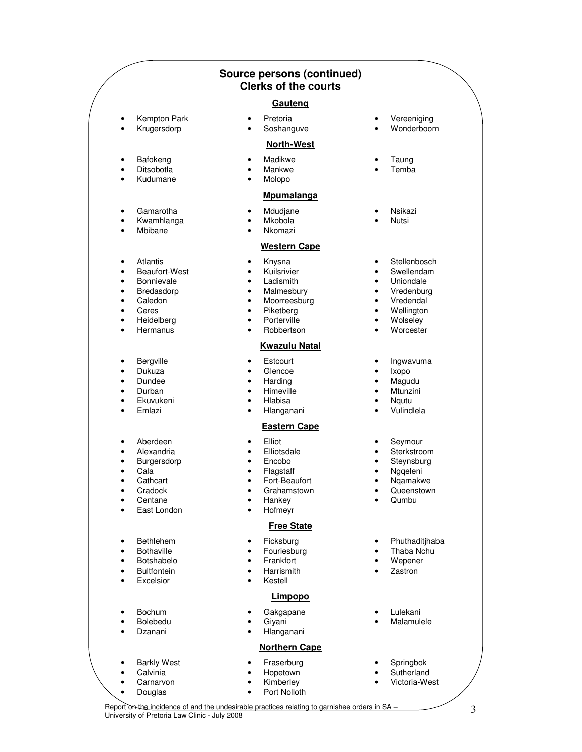|                                                      |                                                                                                     | <b>Source persons (continued)</b><br><b>Clerks of the courts</b>                                                                                                                                           |                                         |                                                                                                           |
|------------------------------------------------------|-----------------------------------------------------------------------------------------------------|------------------------------------------------------------------------------------------------------------------------------------------------------------------------------------------------------------|-----------------------------------------|-----------------------------------------------------------------------------------------------------------|
|                                                      |                                                                                                     | Gauteng                                                                                                                                                                                                    |                                         |                                                                                                           |
| $\bullet$                                            | Kempton Park<br>Krugersdorp                                                                         | Pretoria<br>$\bullet$<br>Soshanguve<br>$\bullet$                                                                                                                                                           |                                         | Vereeniging<br>Wonderboom                                                                                 |
|                                                      |                                                                                                     | <b>North-West</b>                                                                                                                                                                                          |                                         |                                                                                                           |
| ٠<br>٠<br>$\bullet$                                  | Bafokeng<br>Ditsobotla<br>Kudumane                                                                  | Madikwe<br>٠<br>Mankwe<br>$\bullet$<br>Molopo<br>$\bullet$                                                                                                                                                 |                                         | Taung<br>Temba                                                                                            |
|                                                      |                                                                                                     | <b>Mpumalanga</b>                                                                                                                                                                                          |                                         |                                                                                                           |
| ٠<br>٠<br>$\bullet$                                  | Gamarotha<br>Kwamhlanga<br>Mbibane                                                                  | Mdudjane<br>$\bullet$<br>Mkobola<br>$\bullet$<br>Nkomazi                                                                                                                                                   |                                         | Nsikazi<br>Nutsi                                                                                          |
|                                                      |                                                                                                     | <b>Western Cape</b>                                                                                                                                                                                        |                                         |                                                                                                           |
| $\bullet$<br>٠<br>٠<br>٠<br>٠<br>٠<br>٠<br>$\bullet$ | Atlantis<br>Beaufort-West<br>Bonnievale<br>Bredasdorp<br>Caledon<br>Ceres<br>Heidelberg<br>Hermanus | Knysna<br>٠<br>Kuilsrivier<br>$\bullet$<br>Ladismith<br>$\bullet$<br>Malmesbury<br>$\bullet$<br>Moorreesburg<br>$\bullet$<br>Piketberg<br>$\bullet$<br>Porterville<br>$\bullet$<br>Robbertson<br>$\bullet$ | ٠<br>٠<br>٠<br>٠<br>$\bullet$<br>٠<br>٠ | Stellenbosch<br>Swellendam<br>Uniondale<br>Vredenburg<br>Vredendal<br>Wellington<br>Wolseley<br>Worcester |
|                                                      |                                                                                                     | <b>Kwazulu Natal</b>                                                                                                                                                                                       |                                         |                                                                                                           |
| ٠<br>$\bullet$<br>$\bullet$<br>٠<br>٠<br>$\bullet$   | Bergville<br>Dukuza<br>Dundee<br>Durban<br>Ekuvukeni<br>Emlazi                                      | Estcourt<br>٠<br>Glencoe<br>$\bullet$<br>Harding<br>$\bullet$<br>Himeville<br>$\bullet$<br>Hlabisa<br>$\bullet$<br>Hlanganani<br>$\bullet$                                                                 | ٠<br>٠<br>٠<br>٠                        | Ingwavuma<br>Ixopo<br>Magudu<br>Mtunzini<br>Nqutu<br>Vulindlela                                           |
|                                                      |                                                                                                     | <b>Eastern Cape</b>                                                                                                                                                                                        |                                         |                                                                                                           |
| ٠<br>٠<br>$\bullet$<br>٠                             | Aberdeen<br>Alexandria<br>Burgersdorp<br>Cala<br>Cathcart<br>Cradock<br>Centane<br>East London      | Elliot<br>$\bullet$<br>Elliotsdale<br>٠<br>Encobo<br>$\bullet$<br>Flagstaff<br>Fort-Beaufort<br>Grahamstown<br>Hankey<br>$\bullet$<br>Hofmeyr                                                              | ٠<br>٠                                  | Seymour<br>Sterkstroom<br>Steynsburg<br>Nggeleni<br>Nqamakwe<br>Queenstown<br>Qumbu                       |
|                                                      |                                                                                                     | <b>Free State</b>                                                                                                                                                                                          |                                         |                                                                                                           |
| ٠<br>٠<br>٠<br>$\bullet$<br>$\bullet$                | Bethlehem<br><b>Bothaville</b><br>Botshabelo<br><b>Bultfontein</b><br>Excelsior                     | Ficksburg<br>٠<br>Fouriesburg<br>٠<br>Frankfort<br>٠<br>Harrismith<br>$\bullet$<br>Kestell<br>$\bullet$                                                                                                    | ٠<br>$\bullet$                          | Phuthaditjhaba<br>Thaba Nchu<br>Wepener<br>Zastron                                                        |
|                                                      |                                                                                                     | Limpopo                                                                                                                                                                                                    |                                         |                                                                                                           |
| $\bullet$<br>$\bullet$                               | Bochum<br>Bolebedu<br>Dzanani                                                                       | Gakgapane<br>Giyani<br>٠<br>Hlanganani<br>$\bullet$                                                                                                                                                        |                                         | Lulekani<br>Malamulele                                                                                    |
|                                                      |                                                                                                     | <b>Northern Cape</b>                                                                                                                                                                                       |                                         |                                                                                                           |
| $\bullet$<br>$\bullet$                               | <b>Barkly West</b><br>Calvinia<br>Carnarvon<br>Douglas                                              | Fraserburg<br>٠<br>Hopetown<br>$\bullet$<br>Kimberley<br>Port Nolloth                                                                                                                                      |                                         | Springbok<br>Sutherland<br>Victoria-West                                                                  |

Report on the incidence of and the undesirable practices relating to garnishee orders in SA – 3<br>University of Pretoria Law Clinic - July 2008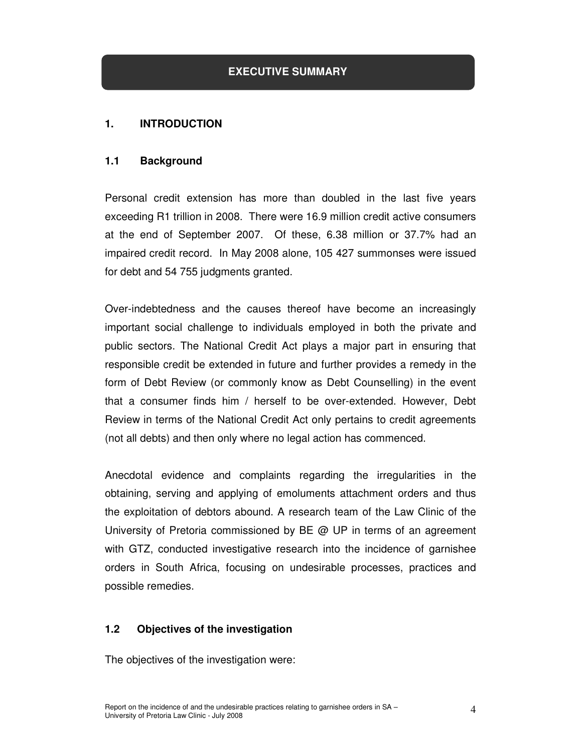#### **1. INTRODUCTION**

#### **1.1 Background**

Personal credit extension has more than doubled in the last five years exceeding R1 trillion in 2008. There were 16.9 million credit active consumers at the end of September 2007. Of these, 6.38 million or 37.7% had an impaired credit record. In May 2008 alone, 105 427 summonses were issued for debt and 54 755 judgments granted.

Over-indebtedness and the causes thereof have become an increasingly important social challenge to individuals employed in both the private and public sectors. The National Credit Act plays a major part in ensuring that responsible credit be extended in future and further provides a remedy in the form of Debt Review (or commonly know as Debt Counselling) in the event that a consumer finds him / herself to be over-extended. However, Debt Review in terms of the National Credit Act only pertains to credit agreements (not all debts) and then only where no legal action has commenced.

Anecdotal evidence and complaints regarding the irregularities in the obtaining, serving and applying of emoluments attachment orders and thus the exploitation of debtors abound. A research team of the Law Clinic of the University of Pretoria commissioned by  $BE \t Q$  UP in terms of an agreement with GTZ, conducted investigative research into the incidence of garnishee orders in South Africa, focusing on undesirable processes, practices and possible remedies.

#### **1.2 Objectives of the investigation**

The objectives of the investigation were: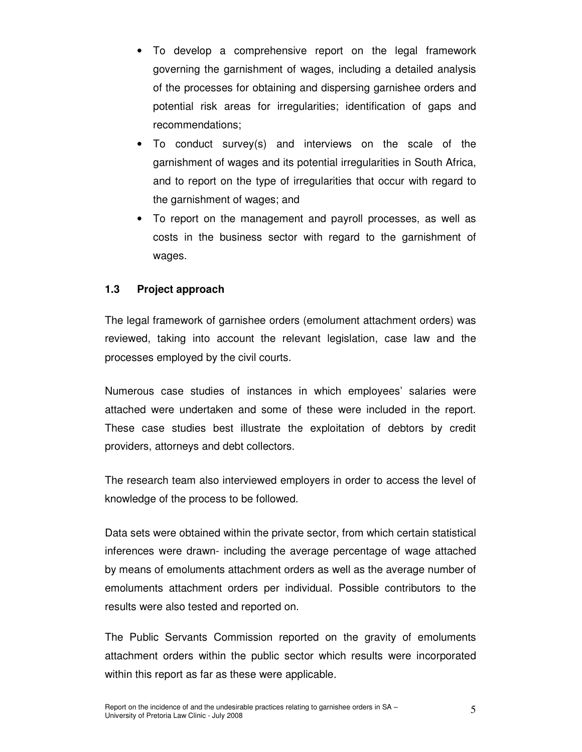- To develop a comprehensive report on the legal framework governing the garnishment of wages, including a detailed analysis of the processes for obtaining and dispersing garnishee orders and potential risk areas for irregularities; identification of gaps and recommendations;
- To conduct survey(s) and interviews on the scale of the garnishment of wages and its potential irregularities in South Africa, and to report on the type of irregularities that occur with regard to the garnishment of wages; and
- To report on the management and payroll processes, as well as costs in the business sector with regard to the garnishment of wages.

### **1.3 Project approach**

The legal framework of garnishee orders (emolument attachment orders) was reviewed, taking into account the relevant legislation, case law and the processes employed by the civil courts.

Numerous case studies of instances in which employees' salaries were attached were undertaken and some of these were included in the report. These case studies best illustrate the exploitation of debtors by credit providers, attorneys and debt collectors.

The research team also interviewed employers in order to access the level of knowledge of the process to be followed.

Data sets were obtained within the private sector, from which certain statistical inferences were drawn- including the average percentage of wage attached by means of emoluments attachment orders as well as the average number of emoluments attachment orders per individual. Possible contributors to the results were also tested and reported on.

The Public Servants Commission reported on the gravity of emoluments attachment orders within the public sector which results were incorporated within this report as far as these were applicable.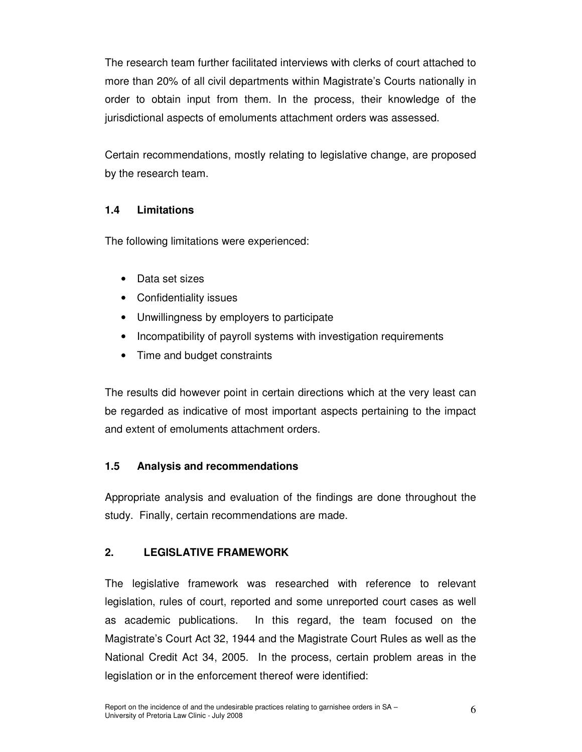The research team further facilitated interviews with clerks of court attached to more than 20% of all civil departments within Magistrate's Courts nationally in order to obtain input from them. In the process, their knowledge of the jurisdictional aspects of emoluments attachment orders was assessed.

Certain recommendations, mostly relating to legislative change, are proposed by the research team.

# **1.4 Limitations**

The following limitations were experienced:

- Data set sizes
- Confidentiality issues
- Unwillingness by employers to participate
- Incompatibility of payroll systems with investigation requirements
- Time and budget constraints

The results did however point in certain directions which at the very least can be regarded as indicative of most important aspects pertaining to the impact and extent of emoluments attachment orders.

# **1.5 Analysis and recommendations**

Appropriate analysis and evaluation of the findings are done throughout the study. Finally, certain recommendations are made.

# **2. LEGISLATIVE FRAMEWORK**

The legislative framework was researched with reference to relevant legislation, rules of court, reported and some unreported court cases as well as academic publications. In this regard, the team focused on the Magistrate's Court Act 32, 1944 and the Magistrate Court Rules as well as the National Credit Act 34, 2005. In the process, certain problem areas in the legislation or in the enforcement thereof were identified: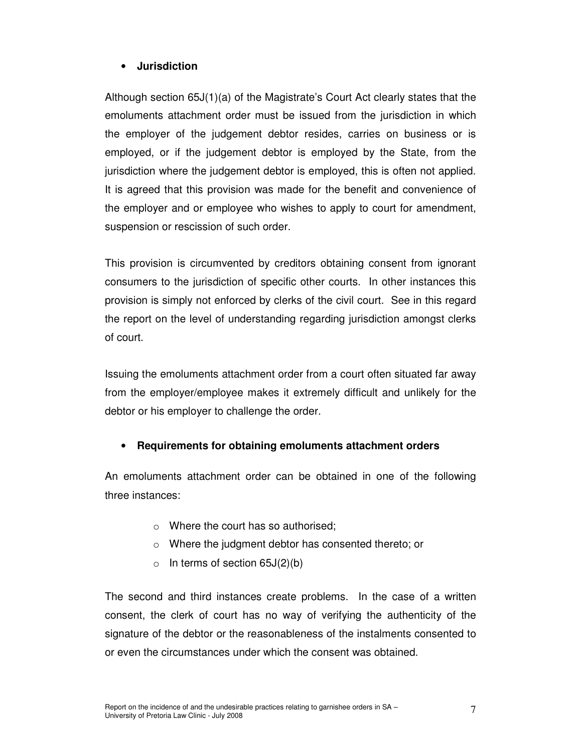#### • **Jurisdiction**

Although section 65J(1)(a) of the Magistrate's Court Act clearly states that the emoluments attachment order must be issued from the jurisdiction in which the employer of the judgement debtor resides, carries on business or is employed, or if the judgement debtor is employed by the State, from the jurisdiction where the judgement debtor is employed, this is often not applied. It is agreed that this provision was made for the benefit and convenience of the employer and or employee who wishes to apply to court for amendment, suspension or rescission of such order.

This provision is circumvented by creditors obtaining consent from ignorant consumers to the jurisdiction of specific other courts. In other instances this provision is simply not enforced by clerks of the civil court. See in this regard the report on the level of understanding regarding jurisdiction amongst clerks of court.

Issuing the emoluments attachment order from a court often situated far away from the employer/employee makes it extremely difficult and unlikely for the debtor or his employer to challenge the order.

### • **Requirements for obtaining emoluments attachment orders**

An emoluments attachment order can be obtained in one of the following three instances:

- o Where the court has so authorised;
- o Where the judgment debtor has consented thereto; or
- $\circ$  In terms of section 65J(2)(b)

The second and third instances create problems. In the case of a written consent, the clerk of court has no way of verifying the authenticity of the signature of the debtor or the reasonableness of the instalments consented to or even the circumstances under which the consent was obtained.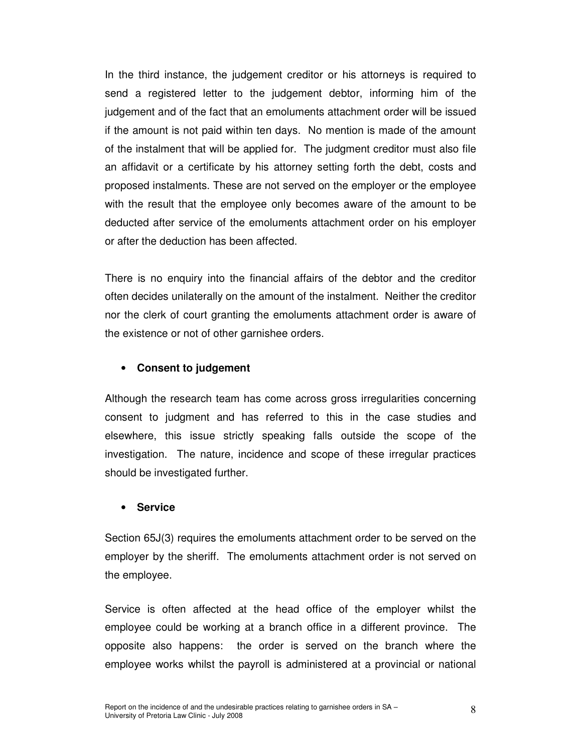In the third instance, the judgement creditor or his attorneys is required to send a registered letter to the judgement debtor, informing him of the judgement and of the fact that an emoluments attachment order will be issued if the amount is not paid within ten days. No mention is made of the amount of the instalment that will be applied for. The judgment creditor must also file an affidavit or a certificate by his attorney setting forth the debt, costs and proposed instalments. These are not served on the employer or the employee with the result that the employee only becomes aware of the amount to be deducted after service of the emoluments attachment order on his employer or after the deduction has been affected.

There is no enquiry into the financial affairs of the debtor and the creditor often decides unilaterally on the amount of the instalment. Neither the creditor nor the clerk of court granting the emoluments attachment order is aware of the existence or not of other garnishee orders.

#### • **Consent to judgement**

Although the research team has come across gross irregularities concerning consent to judgment and has referred to this in the case studies and elsewhere, this issue strictly speaking falls outside the scope of the investigation. The nature, incidence and scope of these irregular practices should be investigated further.

#### • **Service**

Section 65J(3) requires the emoluments attachment order to be served on the employer by the sheriff. The emoluments attachment order is not served on the employee.

Service is often affected at the head office of the employer whilst the employee could be working at a branch office in a different province. The opposite also happens: the order is served on the branch where the employee works whilst the payroll is administered at a provincial or national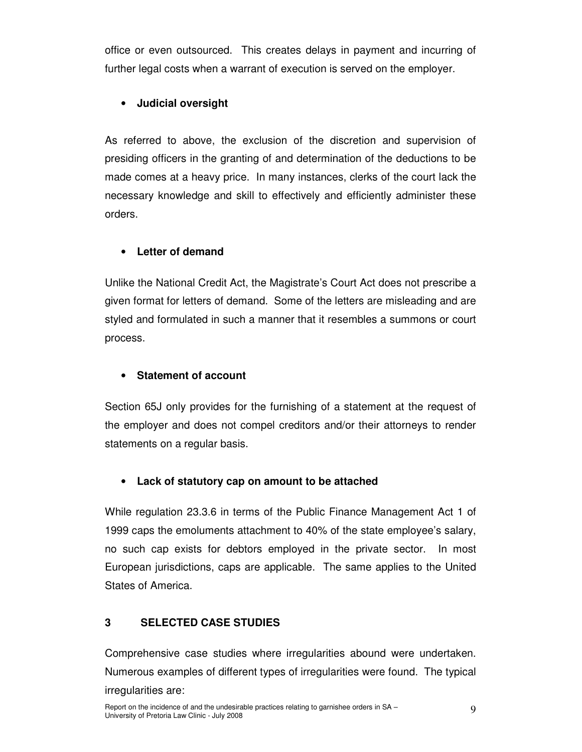office or even outsourced. This creates delays in payment and incurring of further legal costs when a warrant of execution is served on the employer.

# • **Judicial oversight**

As referred to above, the exclusion of the discretion and supervision of presiding officers in the granting of and determination of the deductions to be made comes at a heavy price. In many instances, clerks of the court lack the necessary knowledge and skill to effectively and efficiently administer these orders.

# • **Letter of demand**

Unlike the National Credit Act, the Magistrate's Court Act does not prescribe a given format for letters of demand. Some of the letters are misleading and are styled and formulated in such a manner that it resembles a summons or court process.

# • **Statement of account**

Section 65J only provides for the furnishing of a statement at the request of the employer and does not compel creditors and/or their attorneys to render statements on a regular basis.

# • **Lack of statutory cap on amount to be attached**

While regulation 23.3.6 in terms of the Public Finance Management Act 1 of 1999 caps the emoluments attachment to 40% of the state employee's salary, no such cap exists for debtors employed in the private sector. In most European jurisdictions, caps are applicable. The same applies to the United States of America.

### **3 SELECTED CASE STUDIES**

Comprehensive case studies where irregularities abound were undertaken. Numerous examples of different types of irregularities were found. The typical irregularities are: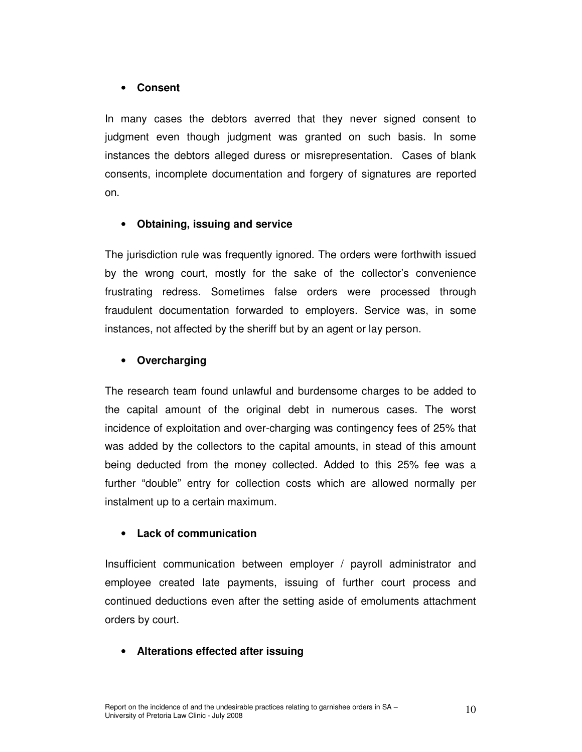#### • **Consent**

In many cases the debtors averred that they never signed consent to judgment even though judgment was granted on such basis. In some instances the debtors alleged duress or misrepresentation. Cases of blank consents, incomplete documentation and forgery of signatures are reported on.

### • **Obtaining, issuing and service**

The jurisdiction rule was frequently ignored. The orders were forthwith issued by the wrong court, mostly for the sake of the collector's convenience frustrating redress. Sometimes false orders were processed through fraudulent documentation forwarded to employers. Service was, in some instances, not affected by the sheriff but by an agent or lay person.

### • **Overcharging**

The research team found unlawful and burdensome charges to be added to the capital amount of the original debt in numerous cases. The worst incidence of exploitation and over-charging was contingency fees of 25% that was added by the collectors to the capital amounts, in stead of this amount being deducted from the money collected. Added to this 25% fee was a further "double" entry for collection costs which are allowed normally per instalment up to a certain maximum.

#### • **Lack of communication**

Insufficient communication between employer / payroll administrator and employee created late payments, issuing of further court process and continued deductions even after the setting aside of emoluments attachment orders by court.

### • **Alterations effected after issuing**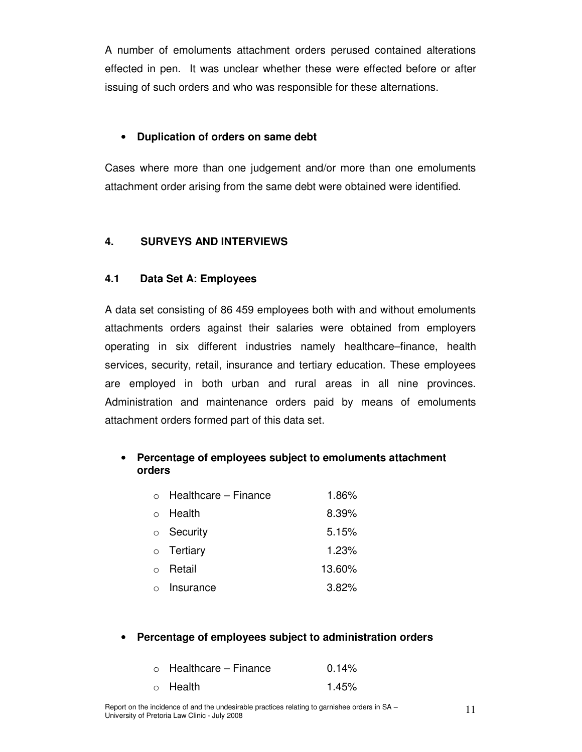A number of emoluments attachment orders perused contained alterations effected in pen. It was unclear whether these were effected before or after issuing of such orders and who was responsible for these alternations.

#### • **Duplication of orders on same debt**

Cases where more than one judgement and/or more than one emoluments attachment order arising from the same debt were obtained were identified.

#### **4. SURVEYS AND INTERVIEWS**

#### **4.1 Data Set A: Employees**

A data set consisting of 86 459 employees both with and without emoluments attachments orders against their salaries were obtained from employers operating in six different industries namely healthcare–finance, health services, security, retail, insurance and tertiary education. These employees are employed in both urban and rural areas in all nine provinces. Administration and maintenance orders paid by means of emoluments attachment orders formed part of this data set.

# • **Percentage of employees subject to emoluments attachment orders**

| $\circ$ Healthcare – Finance | 1.86%  |
|------------------------------|--------|
| $\circ$ Health               | 8.39%  |
| $\circ$ Security             | 5.15%  |
| $\circ$ Tertiary             | 1.23%  |
| ○ Retail                     | 13.60% |
| o Insurance                  | 3.82%  |

#### • **Percentage of employees subject to administration orders**

| $\circ$ Healthcare – Finance | 0.14% |
|------------------------------|-------|
| $\circ$ Health               | 1.45% |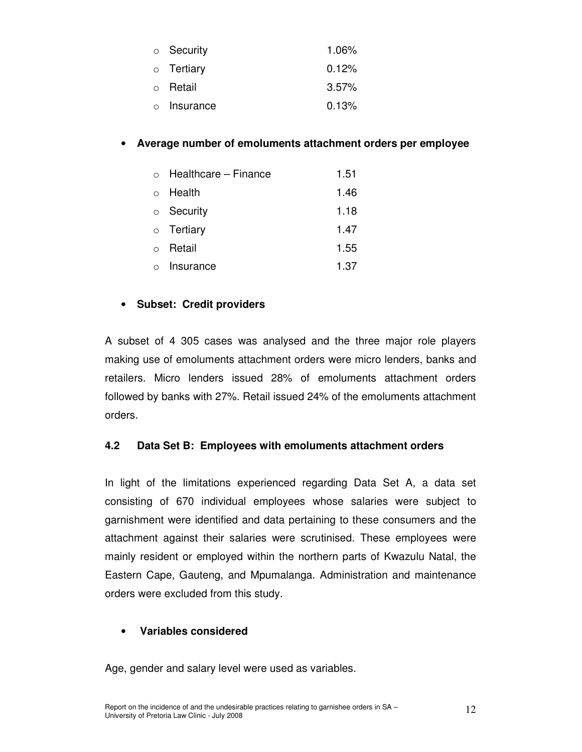| $\circ$ Security  | $1.06\%$ |
|-------------------|----------|
| $\circ$ Tertiary  | 0.12%    |
| ○ Retail          | $3.57\%$ |
| $\circ$ Insurance | 0.13%    |

### • **Average number of emoluments attachment orders per employee**

|           | $\circ$ Healthcare – Finance | 1.51 |
|-----------|------------------------------|------|
|           | $\circ$ Health               | 1.46 |
|           | $\circ$ Security             | 1.18 |
|           | $\circ$ Tertiary             | 1.47 |
| $\bigcap$ | Retail                       | 1.55 |
|           | Insurance                    | 1.37 |

# • **Subset: Credit providers**

A subset of 4 305 cases was analysed and the three major role players making use of emoluments attachment orders were micro lenders, banks and retailers. Micro lenders issued 28% of emoluments attachment orders followed by banks with 27%. Retail issued 24% of the emoluments attachment orders.

### **4.2 Data Set B: Employees with emoluments attachment orders**

In light of the limitations experienced regarding Data Set A, a data set consisting of 670 individual employees whose salaries were subject to garnishment were identified and data pertaining to these consumers and the attachment against their salaries were scrutinised. These employees were mainly resident or employed within the northern parts of Kwazulu Natal, the Eastern Cape, Gauteng, and Mpumalanga. Administration and maintenance orders were excluded from this study.

#### • **Variables considered**

Age, gender and salary level were used as variables.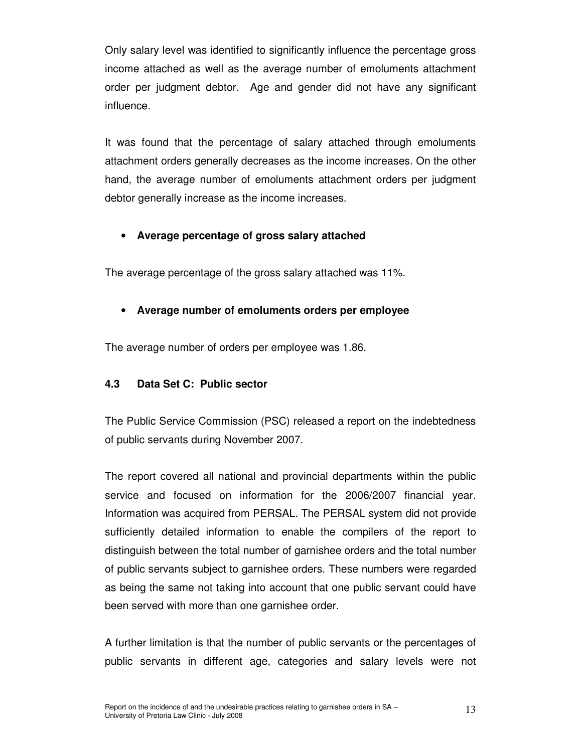Only salary level was identified to significantly influence the percentage gross income attached as well as the average number of emoluments attachment order per judgment debtor. Age and gender did not have any significant influence.

It was found that the percentage of salary attached through emoluments attachment orders generally decreases as the income increases. On the other hand, the average number of emoluments attachment orders per judgment debtor generally increase as the income increases.

### • **Average percentage of gross salary attached**

The average percentage of the gross salary attached was 11%.

# • **Average number of emoluments orders per employee**

The average number of orders per employee was 1.86.

# **4.3 Data Set C: Public sector**

The Public Service Commission (PSC) released a report on the indebtedness of public servants during November 2007.

The report covered all national and provincial departments within the public service and focused on information for the 2006/2007 financial year. Information was acquired from PERSAL. The PERSAL system did not provide sufficiently detailed information to enable the compilers of the report to distinguish between the total number of garnishee orders and the total number of public servants subject to garnishee orders. These numbers were regarded as being the same not taking into account that one public servant could have been served with more than one garnishee order.

A further limitation is that the number of public servants or the percentages of public servants in different age, categories and salary levels were not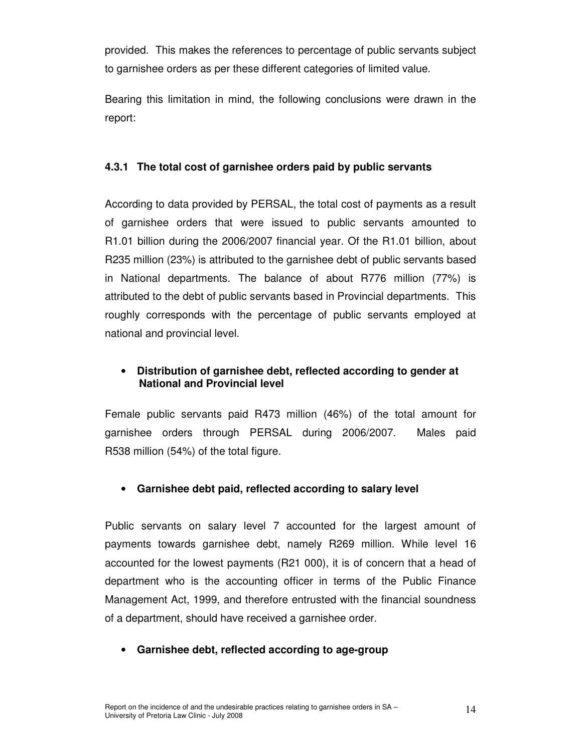provided. This makes the references to percentage of public servants subject to garnishee orders as per these different categories of limited value.

Bearing this limitation in mind, the following conclusions were drawn in the report:

### **4.3.1 The total cost of garnishee orders paid by public servants**

According to data provided by PERSAL, the total cost of payments as a result of garnishee orders that were issued to public servants amounted to R1.01 billion during the 2006/2007 financial year. Of the R1.01 billion, about R235 million (23%) is attributed to the garnishee debt of public servants based in National departments. The balance of about R776 million (77%) is attributed to the debt of public servants based in Provincial departments. This roughly corresponds with the percentage of public servants employed at national and provincial level.

# • **Distribution of garnishee debt, reflected according to gender at National and Provincial level**

Female public servants paid R473 million (46%) of the total amount for garnishee orders through PERSAL during 2006/2007. Males paid R538 million (54%) of the total figure.

# • **Garnishee debt paid, reflected according to salary level**

Public servants on salary level 7 accounted for the largest amount of payments towards garnishee debt, namely R269 million. While level 16 accounted for the lowest payments (R21 000), it is of concern that a head of department who is the accounting officer in terms of the Public Finance Management Act, 1999, and therefore entrusted with the financial soundness of a department, should have received a garnishee order.

# • **Garnishee debt, reflected according to age-group**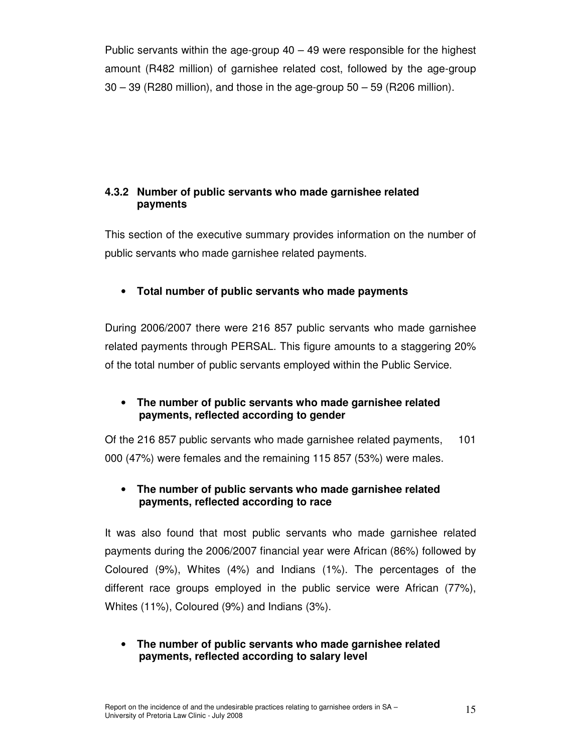Public servants within the age-group 40 – 49 were responsible for the highest amount (R482 million) of garnishee related cost, followed by the age-group 30 – 39 (R280 million), and those in the age-group 50 – 59 (R206 million).

### **4.3.2 Number of public servants who made garnishee related payments**

This section of the executive summary provides information on the number of public servants who made garnishee related payments.

# • **Total number of public servants who made payments**

During 2006/2007 there were 216 857 public servants who made garnishee related payments through PERSAL. This figure amounts to a staggering 20% of the total number of public servants employed within the Public Service.

### • **The number of public servants who made garnishee related payments, reflected according to gender**

Of the 216 857 public servants who made garnishee related payments, 101 000 (47%) were females and the remaining 115 857 (53%) were males.

#### • **The number of public servants who made garnishee related payments, reflected according to race**

It was also found that most public servants who made garnishee related payments during the 2006/2007 financial year were African (86%) followed by Coloured (9%), Whites (4%) and Indians (1%). The percentages of the different race groups employed in the public service were African (77%), Whites (11%), Coloured (9%) and Indians (3%).

#### • **The number of public servants who made garnishee related payments, reflected according to salary level**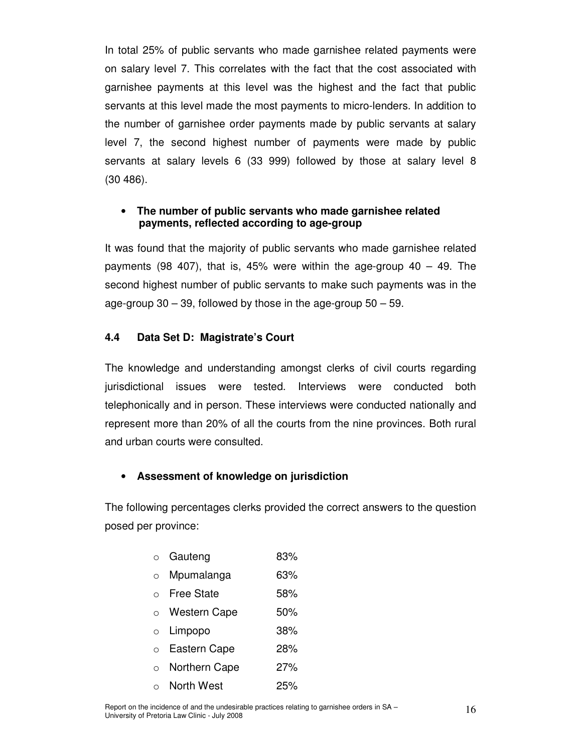In total 25% of public servants who made garnishee related payments were on salary level 7. This correlates with the fact that the cost associated with garnishee payments at this level was the highest and the fact that public servants at this level made the most payments to micro-lenders. In addition to the number of garnishee order payments made by public servants at salary level 7, the second highest number of payments were made by public servants at salary levels 6 (33 999) followed by those at salary level 8 (30 486).

#### • **The number of public servants who made garnishee related payments, reflected according to age-group**

It was found that the majority of public servants who made garnishee related payments (98 407), that is, 45% were within the age-group  $40 - 49$ . The second highest number of public servants to make such payments was in the age-group  $30 - 39$ , followed by those in the age-group  $50 - 59$ .

#### **4.4 Data Set D: Magistrate's Court**

The knowledge and understanding amongst clerks of civil courts regarding jurisdictional issues were tested. Interviews were conducted both telephonically and in person. These interviews were conducted nationally and represent more than 20% of all the courts from the nine provinces. Both rural and urban courts were consulted.

#### • **Assessment of knowledge on jurisdiction**

The following percentages clerks provided the correct answers to the question posed per province:

| $\circ$ | Gauteng | 83% |
|---------|---------|-----|
|---------|---------|-----|

- o Mpumalanga 63%
- o Free State 58%
- o Western Cape 50%
- o Limpopo 38%
- o Eastern Cape 28%
- o Northern Cape 27%
- o North West 25%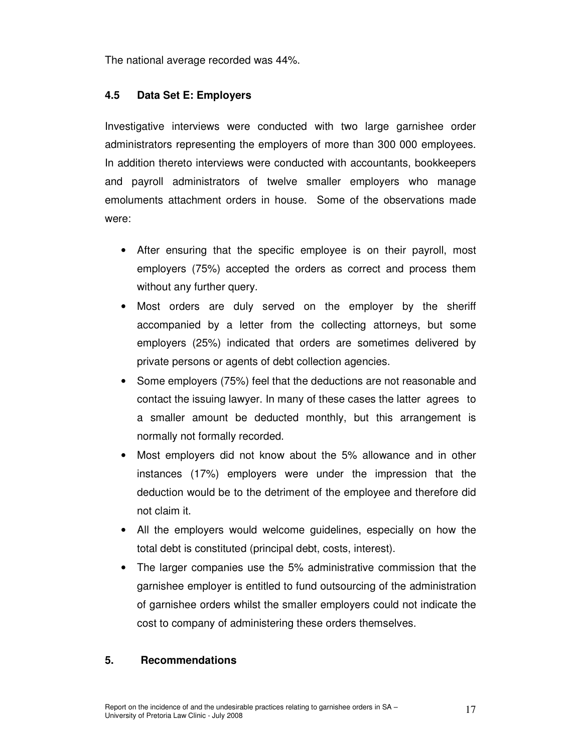The national average recorded was 44%.

#### **4.5 Data Set E: Employers**

Investigative interviews were conducted with two large garnishee order administrators representing the employers of more than 300 000 employees. In addition thereto interviews were conducted with accountants, bookkeepers and payroll administrators of twelve smaller employers who manage emoluments attachment orders in house. Some of the observations made were:

- After ensuring that the specific employee is on their payroll, most employers (75%) accepted the orders as correct and process them without any further query.
- Most orders are duly served on the employer by the sheriff accompanied by a letter from the collecting attorneys, but some employers (25%) indicated that orders are sometimes delivered by private persons or agents of debt collection agencies.
- Some employers (75%) feel that the deductions are not reasonable and contact the issuing lawyer. In many of these cases the latter agrees to a smaller amount be deducted monthly, but this arrangement is normally not formally recorded.
- Most employers did not know about the 5% allowance and in other instances (17%) employers were under the impression that the deduction would be to the detriment of the employee and therefore did not claim it.
- All the employers would welcome guidelines, especially on how the total debt is constituted (principal debt, costs, interest).
- The larger companies use the 5% administrative commission that the garnishee employer is entitled to fund outsourcing of the administration of garnishee orders whilst the smaller employers could not indicate the cost to company of administering these orders themselves.

#### **5. Recommendations**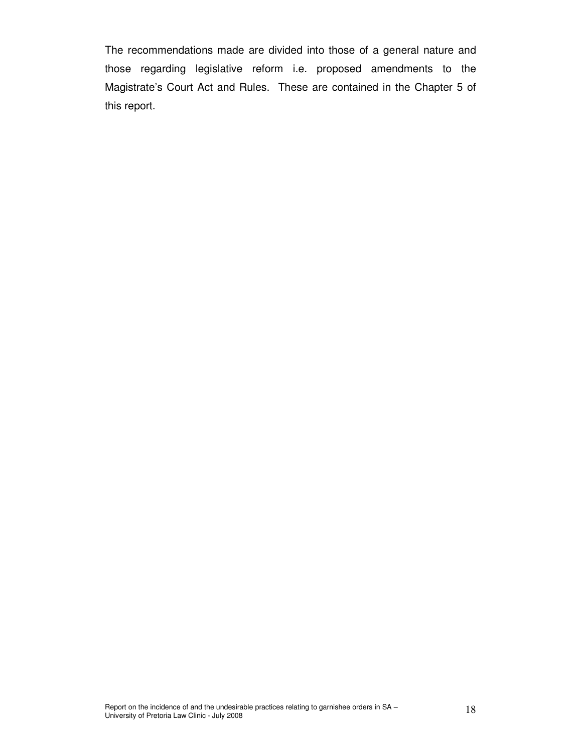The recommendations made are divided into those of a general nature and those regarding legislative reform i.e. proposed amendments to the Magistrate's Court Act and Rules. These are contained in the Chapter 5 of this report.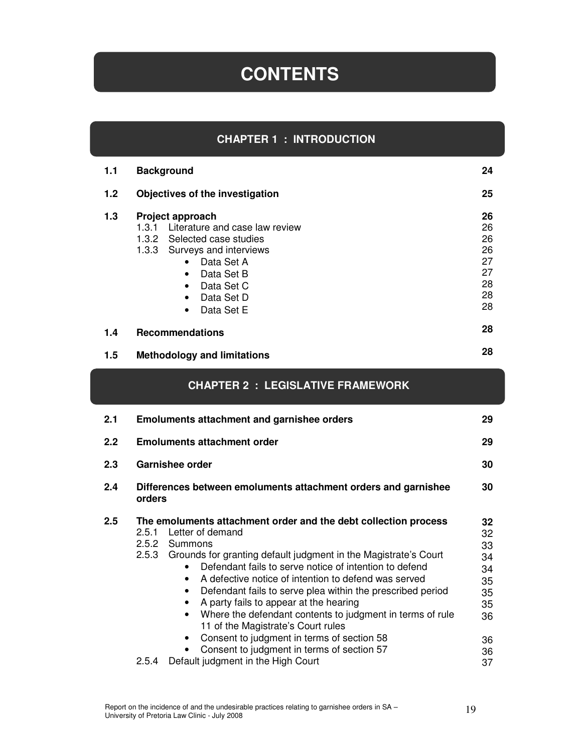# **CONTENTS**

### **CHAPTER 1 : INTRODUCTION**

| 1.1 | <b>Background</b>                                                                                                                                                                                                                                                    | 24                                                 |
|-----|----------------------------------------------------------------------------------------------------------------------------------------------------------------------------------------------------------------------------------------------------------------------|----------------------------------------------------|
| 1.2 | Objectives of the investigation                                                                                                                                                                                                                                      | 25                                                 |
| 1.3 | Project approach<br>Literature and case law review<br>1.3.1<br>1.3.2 Selected case studies<br>1.3.3<br>Surveys and interviews<br>Data Set A<br>$\bullet$<br>Data Set B<br>$\bullet$<br>Data Set C<br>$\bullet$<br>Data Set D<br>$\bullet$<br>Data Set E<br>$\bullet$ | 26<br>26<br>26<br>26<br>27<br>27<br>28<br>28<br>28 |
| 1.4 | <b>Recommendations</b>                                                                                                                                                                                                                                               | 28                                                 |
| 1.5 | <b>Methodology and limitations</b>                                                                                                                                                                                                                                   | 28                                                 |

### **CHAPTER 2 : LEGISLATIVE FRAMEWORK**

| 2.1 | <b>Emoluments attachment and garnishee orders</b>                                                                                                                                                                                                                                                                                                                                                                                                                                                                                                                                                                                                                                                           | 29                                                                   |
|-----|-------------------------------------------------------------------------------------------------------------------------------------------------------------------------------------------------------------------------------------------------------------------------------------------------------------------------------------------------------------------------------------------------------------------------------------------------------------------------------------------------------------------------------------------------------------------------------------------------------------------------------------------------------------------------------------------------------------|----------------------------------------------------------------------|
| 2.2 | <b>Emoluments attachment order</b>                                                                                                                                                                                                                                                                                                                                                                                                                                                                                                                                                                                                                                                                          | 29                                                                   |
| 2.3 | Garnishee order                                                                                                                                                                                                                                                                                                                                                                                                                                                                                                                                                                                                                                                                                             | 30                                                                   |
| 2.4 | Differences between emoluments attachment orders and garnishee<br>orders                                                                                                                                                                                                                                                                                                                                                                                                                                                                                                                                                                                                                                    | 30                                                                   |
| 2.5 | The emoluments attachment order and the debt collection process<br>Letter of demand<br>2.5.1<br>2.5.2<br>Summons<br>Grounds for granting default judgment in the Magistrate's Court<br>2.5.3<br>Defendant fails to serve notice of intention to defend<br>A defective notice of intention to defend was served<br>$\bullet$<br>Defendant fails to serve plea within the prescribed period<br>$\bullet$<br>A party fails to appear at the hearing<br>Where the defendant contents to judgment in terms of rule<br>11 of the Magistrate's Court rules<br>Consent to judgment in terms of section 58<br>$\bullet$<br>Consent to judgment in terms of section 57<br>Default judgment in the High Court<br>2.5.4 | 32<br>32<br>33<br>34<br>34<br>35<br>35<br>35<br>36<br>36<br>36<br>37 |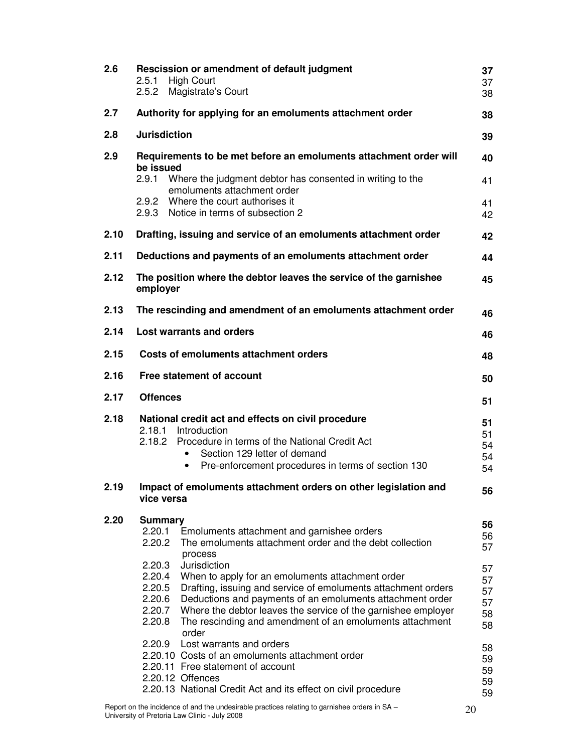| 2.6  | Rescission or amendment of default judgment<br>2.5.1<br><b>High Court</b><br>2.5.2<br>Magistrate's Court                                                                                                                                                                                                                                                                                                                            | 37<br>37<br>38                   |
|------|-------------------------------------------------------------------------------------------------------------------------------------------------------------------------------------------------------------------------------------------------------------------------------------------------------------------------------------------------------------------------------------------------------------------------------------|----------------------------------|
| 2.7  | Authority for applying for an emoluments attachment order                                                                                                                                                                                                                                                                                                                                                                           | 38                               |
| 2.8  | <b>Jurisdiction</b>                                                                                                                                                                                                                                                                                                                                                                                                                 | 39                               |
| 2.9  | Requirements to be met before an emoluments attachment order will<br>be issued<br>2.9.1<br>Where the judgment debtor has consented in writing to the                                                                                                                                                                                                                                                                                | 40<br>41                         |
|      | emoluments attachment order<br>2.9.2 Where the court authorises it<br>Notice in terms of subsection 2<br>2.9.3                                                                                                                                                                                                                                                                                                                      | 41<br>42                         |
| 2.10 | Drafting, issuing and service of an emoluments attachment order                                                                                                                                                                                                                                                                                                                                                                     | 42                               |
| 2.11 | Deductions and payments of an emoluments attachment order                                                                                                                                                                                                                                                                                                                                                                           | 44                               |
| 2.12 | The position where the debtor leaves the service of the garnishee<br>employer                                                                                                                                                                                                                                                                                                                                                       | 45                               |
| 2.13 | The rescinding and amendment of an emoluments attachment order                                                                                                                                                                                                                                                                                                                                                                      | 46                               |
| 2.14 | <b>Lost warrants and orders</b>                                                                                                                                                                                                                                                                                                                                                                                                     | 46                               |
| 2.15 | <b>Costs of emoluments attachment orders</b>                                                                                                                                                                                                                                                                                                                                                                                        | 48                               |
| 2.16 | Free statement of account                                                                                                                                                                                                                                                                                                                                                                                                           | 50                               |
| 2.17 | <b>Offences</b>                                                                                                                                                                                                                                                                                                                                                                                                                     | 51                               |
| 2.18 | National credit act and effects on civil procedure<br>2.18.1<br>Introduction<br>Procedure in terms of the National Credit Act<br>2.18.2<br>Section 129 letter of demand<br>Pre-enforcement procedures in terms of section 130<br>$\bullet$                                                                                                                                                                                          | 51<br>51<br>54<br>54<br>54       |
| 2.19 | Impact of emoluments attachment orders on other legislation and<br>vice versa                                                                                                                                                                                                                                                                                                                                                       | 56                               |
| 2.20 | <b>Summary</b><br>2.20.1<br>Emoluments attachment and garnishee orders<br>The emoluments attachment order and the debt collection<br>2.20.2<br>process                                                                                                                                                                                                                                                                              | 56<br>56<br>57                   |
|      | Jurisdiction<br>2.20.3<br>2.20.4<br>When to apply for an emoluments attachment order<br>2.20.5<br>Drafting, issuing and service of emoluments attachment orders<br>2.20.6<br>Deductions and payments of an emoluments attachment order<br>2.20.7<br>Where the debtor leaves the service of the garnishee employer<br>2.20.8<br>The rescinding and amendment of an emoluments attachment<br>order<br>2.20.9 Lost warrants and orders | 57<br>57<br>57<br>57<br>58<br>58 |
|      | 2.20.10 Costs of an emoluments attachment order<br>2.20.11 Free statement of account<br>2.20.12 Offences<br>2.20.13 National Credit Act and its effect on civil procedure                                                                                                                                                                                                                                                           | 58<br>59<br>59<br>59<br>59       |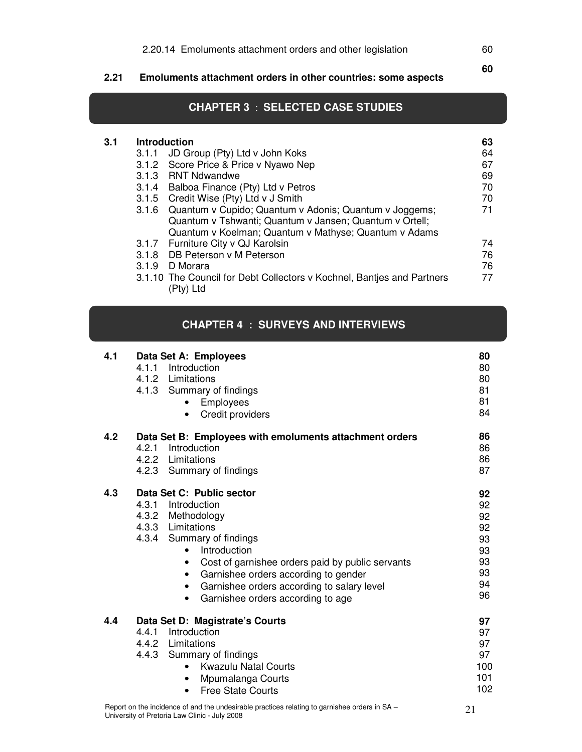**2.21 Emoluments attachment orders in other countries: some aspects** 

**3.1** 

٦

### **CHAPTER 3** : **SELECTED CASE STUDIES**

| 3.1 | <b>Introduction</b> |                                                                        | 63 |
|-----|---------------------|------------------------------------------------------------------------|----|
|     |                     | 3.1.1 JD Group (Pty) Ltd v John Koks                                   | 64 |
|     |                     | 3.1.2 Score Price & Price v Nyawo Nep                                  | 67 |
|     |                     | 3.1.3 RNT Ndwandwe                                                     | 69 |
|     |                     | 3.1.4 Balboa Finance (Pty) Ltd v Petros                                | 70 |
|     |                     | 3.1.5 Credit Wise (Pty) Ltd v J Smith                                  | 70 |
|     | 3.1.6               | Quantum v Cupido; Quantum v Adonis; Quantum v Joggems;                 | 71 |
|     |                     | Quantum v Tshwanti; Quantum v Jansen; Quantum v Ortell;                |    |
|     |                     | Quantum v Koelman; Quantum v Mathyse; Quantum v Adams                  |    |
|     |                     | 3.1.7 Furniture City v QJ Karolsin                                     | 74 |
|     |                     | 3.1.8 DB Peterson v M Peterson                                         | 76 |
|     | 3.1.9               | D Morara                                                               | 76 |
|     |                     | 3.1.10 The Council for Debt Collectors v Kochnel, Banties and Partners | 77 |
|     |                     | (Ptv) Ltd                                                              |    |

#### **CHAPTER 4 : SURVEYS AND INTERVIEWS**

| 4.1 | Data Set A: Employees<br>Introduction<br>4.1.1<br>4.1.2 Limitations<br>4.1.3 Summary of findings<br>Employees<br>Credit providers<br>$\bullet$                                                                                                                                                                                                                                         | 80<br>80<br>80<br>81<br>81<br>84                         |
|-----|----------------------------------------------------------------------------------------------------------------------------------------------------------------------------------------------------------------------------------------------------------------------------------------------------------------------------------------------------------------------------------------|----------------------------------------------------------|
| 4.2 | Data Set B: Employees with emoluments attachment orders<br>4.2.1<br>Introduction<br>4.2.2 Limitations<br>4.2.3 Summary of findings                                                                                                                                                                                                                                                     | 86<br>86<br>86<br>87                                     |
| 4.3 | Data Set C: Public sector<br>4.3.1 Introduction<br>4.3.2 Methodology<br>4.3.3 Limitations<br>4.3.4 Summary of findings<br>Introduction<br>$\bullet$<br>Cost of garnishee orders paid by public servants<br>$\bullet$<br>Garnishee orders according to gender<br>$\bullet$<br>Garnishee orders according to salary level<br>$\bullet$<br>Garnishee orders according to age<br>$\bullet$ | 92<br>92<br>92<br>92<br>93<br>93<br>93<br>93<br>94<br>96 |
| 4.4 | Data Set D: Magistrate's Courts<br>Introduction<br>4.4.1<br>4.4.2 Limitations<br>4.4.3 Summary of findings<br><b>Kwazulu Natal Courts</b><br>$\bullet$<br>Mpumalanga Courts<br>$\bullet$<br><b>Free State Courts</b><br>$\bullet$                                                                                                                                                      | 97<br>97<br>97<br>97<br>100<br>101<br>102                |

60 **60**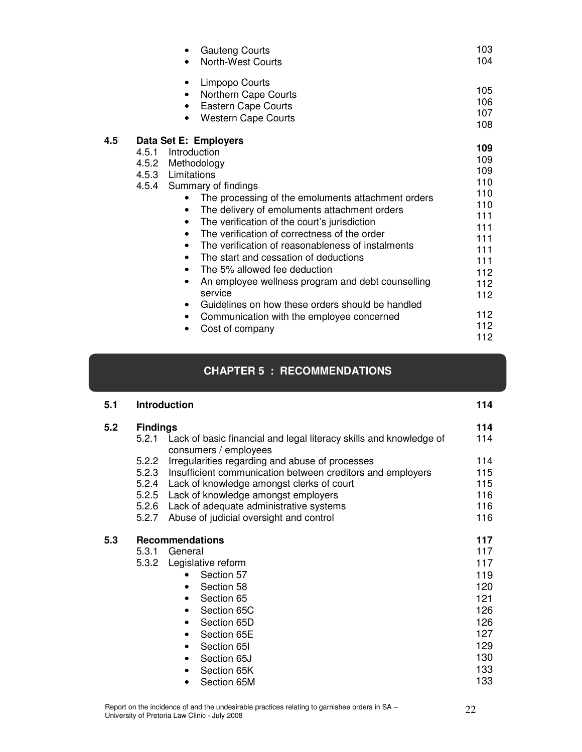|                       | <b>Gauteng Courts</b><br>$\bullet$<br><b>North-West Courts</b>                                                                                                                                                                                                                                                                                                                                                                                                                                                                                                                                                                                                                                                                 | 103<br>104                                                                                                          |
|-----------------------|--------------------------------------------------------------------------------------------------------------------------------------------------------------------------------------------------------------------------------------------------------------------------------------------------------------------------------------------------------------------------------------------------------------------------------------------------------------------------------------------------------------------------------------------------------------------------------------------------------------------------------------------------------------------------------------------------------------------------------|---------------------------------------------------------------------------------------------------------------------|
|                       | Limpopo Courts<br>$\bullet$<br>Northern Cape Courts<br>$\bullet$<br>Eastern Cape Courts<br>$\bullet$<br><b>Western Cape Courts</b>                                                                                                                                                                                                                                                                                                                                                                                                                                                                                                                                                                                             | 105<br>106<br>107<br>108                                                                                            |
| 4.5<br>4.5.1<br>4.5.2 | Data Set E: Employers<br>Introduction<br>Methodology<br>4.5.3 Limitations<br>4.5.4 Summary of findings<br>The processing of the emoluments attachment orders<br>The delivery of emoluments attachment orders<br>$\bullet$<br>The verification of the court's jurisdiction<br>$\bullet$<br>The verification of correctness of the order<br>$\bullet$<br>The verification of reasonableness of instalments<br>$\bullet$<br>The start and cessation of deductions<br>$\bullet$<br>The 5% allowed fee deduction<br>$\bullet$<br>An employee wellness program and debt counselling<br>٠<br>service<br>Guidelines on how these orders should be handled<br>$\bullet$<br>Communication with the employee concerned<br>Cost of company | 109<br>109<br>109<br>110<br>110<br>110<br>111<br>111<br>111<br>111<br>111<br>112<br>112<br>112<br>112<br>112<br>112 |

# **CHAPTER 5 : RECOMMENDATIONS**

Ī

| 5.1 | <b>Introduction</b>              |                                                                                                                                                                                                                                                                                                     | 114                                                                                     |
|-----|----------------------------------|-----------------------------------------------------------------------------------------------------------------------------------------------------------------------------------------------------------------------------------------------------------------------------------------------------|-----------------------------------------------------------------------------------------|
| 5.2 | <b>Findings</b><br>5.2.1         | Lack of basic financial and legal literacy skills and knowledge of<br>consumers / employees                                                                                                                                                                                                         | 114<br>114                                                                              |
|     | 5.2.2<br>5.2.3<br>5.2.6<br>5.2.7 | Irregularities regarding and abuse of processes<br>Insufficient communication between creditors and employers<br>5.2.4 Lack of knowledge amongst clerks of court<br>5.2.5 Lack of knowledge amongst employers<br>Lack of adequate administrative systems<br>Abuse of judicial oversight and control | 114<br>115<br>115<br>116<br>116<br>116                                                  |
| 5.3 | 5.3.1<br>5.3.2                   | <b>Recommendations</b><br>General<br>Legislative reform<br>Section 57<br>$\bullet$<br>Section 58<br>٠<br>Section 65<br>$\bullet$<br>Section 65C<br>$\bullet$<br>Section 65D<br>$\bullet$<br>Section 65E<br>٠<br>Section 65I<br>$\bullet$<br>Section 65J<br>٠<br>Section 65K<br>٠<br>Section 65M     | 117<br>117<br>117<br>119<br>120<br>121<br>126<br>126<br>127<br>129<br>130<br>133<br>133 |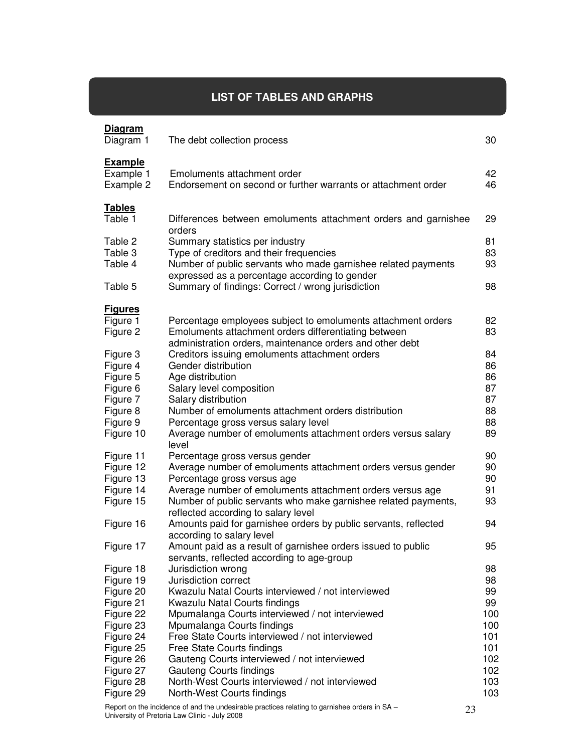# **LIST OF TABLES AND GRAPHS**

I

| The debt collection process                                                                                                                 | 30                                                                                                                                                                                                                                                                                                                                                                                                                                                                                                                                                                                                     |
|---------------------------------------------------------------------------------------------------------------------------------------------|--------------------------------------------------------------------------------------------------------------------------------------------------------------------------------------------------------------------------------------------------------------------------------------------------------------------------------------------------------------------------------------------------------------------------------------------------------------------------------------------------------------------------------------------------------------------------------------------------------|
| Emoluments attachment order<br>Endorsement on second or further warrants or attachment order                                                | 42<br>46                                                                                                                                                                                                                                                                                                                                                                                                                                                                                                                                                                                               |
| Differences between emoluments attachment orders and garnishee                                                                              | 29                                                                                                                                                                                                                                                                                                                                                                                                                                                                                                                                                                                                     |
| Summary statistics per industry<br>Type of creditors and their frequencies<br>Number of public servants who made garnishee related payments | 81<br>83<br>93                                                                                                                                                                                                                                                                                                                                                                                                                                                                                                                                                                                         |
| Summary of findings: Correct / wrong jurisdiction                                                                                           | 98                                                                                                                                                                                                                                                                                                                                                                                                                                                                                                                                                                                                     |
|                                                                                                                                             |                                                                                                                                                                                                                                                                                                                                                                                                                                                                                                                                                                                                        |
| Percentage employees subject to emoluments attachment orders<br>Emoluments attachment orders differentiating between                        | 82<br>83                                                                                                                                                                                                                                                                                                                                                                                                                                                                                                                                                                                               |
| Creditors issuing emoluments attachment orders                                                                                              | 84                                                                                                                                                                                                                                                                                                                                                                                                                                                                                                                                                                                                     |
| Gender distribution                                                                                                                         | 86                                                                                                                                                                                                                                                                                                                                                                                                                                                                                                                                                                                                     |
| Age distribution                                                                                                                            | 86                                                                                                                                                                                                                                                                                                                                                                                                                                                                                                                                                                                                     |
| Salary level composition                                                                                                                    | 87                                                                                                                                                                                                                                                                                                                                                                                                                                                                                                                                                                                                     |
| Salary distribution                                                                                                                         | 87                                                                                                                                                                                                                                                                                                                                                                                                                                                                                                                                                                                                     |
| Number of emoluments attachment orders distribution                                                                                         | 88                                                                                                                                                                                                                                                                                                                                                                                                                                                                                                                                                                                                     |
| Percentage gross versus salary level                                                                                                        | 88                                                                                                                                                                                                                                                                                                                                                                                                                                                                                                                                                                                                     |
| Average number of emoluments attachment orders versus salary<br>level                                                                       | 89                                                                                                                                                                                                                                                                                                                                                                                                                                                                                                                                                                                                     |
| Percentage gross versus gender                                                                                                              | 90                                                                                                                                                                                                                                                                                                                                                                                                                                                                                                                                                                                                     |
| Average number of emoluments attachment orders versus gender                                                                                | 90                                                                                                                                                                                                                                                                                                                                                                                                                                                                                                                                                                                                     |
| Percentage gross versus age                                                                                                                 | 90                                                                                                                                                                                                                                                                                                                                                                                                                                                                                                                                                                                                     |
| Average number of emoluments attachment orders versus age                                                                                   | 91                                                                                                                                                                                                                                                                                                                                                                                                                                                                                                                                                                                                     |
| Number of public servants who make garnishee related payments,<br>reflected according to salary level                                       | 93                                                                                                                                                                                                                                                                                                                                                                                                                                                                                                                                                                                                     |
| Amounts paid for garnishee orders by public servants, reflected<br>according to salary level                                                | 94                                                                                                                                                                                                                                                                                                                                                                                                                                                                                                                                                                                                     |
| Amount paid as a result of garnishee orders issued to public                                                                                | 95                                                                                                                                                                                                                                                                                                                                                                                                                                                                                                                                                                                                     |
|                                                                                                                                             | 98                                                                                                                                                                                                                                                                                                                                                                                                                                                                                                                                                                                                     |
|                                                                                                                                             | 98                                                                                                                                                                                                                                                                                                                                                                                                                                                                                                                                                                                                     |
|                                                                                                                                             | 99                                                                                                                                                                                                                                                                                                                                                                                                                                                                                                                                                                                                     |
|                                                                                                                                             | 99                                                                                                                                                                                                                                                                                                                                                                                                                                                                                                                                                                                                     |
|                                                                                                                                             | 100                                                                                                                                                                                                                                                                                                                                                                                                                                                                                                                                                                                                    |
|                                                                                                                                             | 100                                                                                                                                                                                                                                                                                                                                                                                                                                                                                                                                                                                                    |
|                                                                                                                                             | 101                                                                                                                                                                                                                                                                                                                                                                                                                                                                                                                                                                                                    |
|                                                                                                                                             | 101                                                                                                                                                                                                                                                                                                                                                                                                                                                                                                                                                                                                    |
|                                                                                                                                             | 102                                                                                                                                                                                                                                                                                                                                                                                                                                                                                                                                                                                                    |
|                                                                                                                                             | 102                                                                                                                                                                                                                                                                                                                                                                                                                                                                                                                                                                                                    |
|                                                                                                                                             | 103                                                                                                                                                                                                                                                                                                                                                                                                                                                                                                                                                                                                    |
| North-West Courts findings                                                                                                                  | 103                                                                                                                                                                                                                                                                                                                                                                                                                                                                                                                                                                                                    |
|                                                                                                                                             | orders<br>expressed as a percentage according to gender<br>administration orders, maintenance orders and other debt<br>servants, reflected according to age-group<br>Jurisdiction wrong<br>Jurisdiction correct<br>Kwazulu Natal Courts interviewed / not interviewed<br>Kwazulu Natal Courts findings<br>Mpumalanga Courts interviewed / not interviewed<br>Mpumalanga Courts findings<br>Free State Courts interviewed / not interviewed<br>Free State Courts findings<br>Gauteng Courts interviewed / not interviewed<br>Gauteng Courts findings<br>North-West Courts interviewed / not interviewed |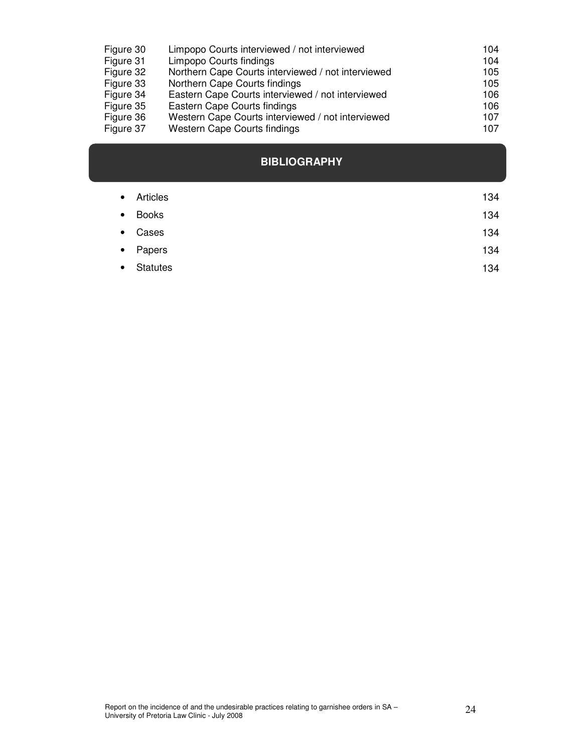| Figure 30 | Limpopo Courts interviewed / not interviewed       | 104 |
|-----------|----------------------------------------------------|-----|
| Figure 31 | Limpopo Courts findings                            | 104 |
| Figure 32 | Northern Cape Courts interviewed / not interviewed | 105 |
| Figure 33 | Northern Cape Courts findings                      | 105 |
| Figure 34 | Eastern Cape Courts interviewed / not interviewed  | 106 |
| Figure 35 | Eastern Cape Courts findings                       | 106 |
| Figure 36 | Western Cape Courts interviewed / not interviewed  | 107 |
| Figure 37 | Western Cape Courts findings                       | 107 |

# **BIBLIOGRAPHY**

| $\bullet$ | Articles        | 134 |
|-----------|-----------------|-----|
| $\bullet$ | Books           | 134 |
| $\bullet$ | Cases           | 134 |
|           | • Papers        | 134 |
| $\bullet$ | <b>Statutes</b> | 134 |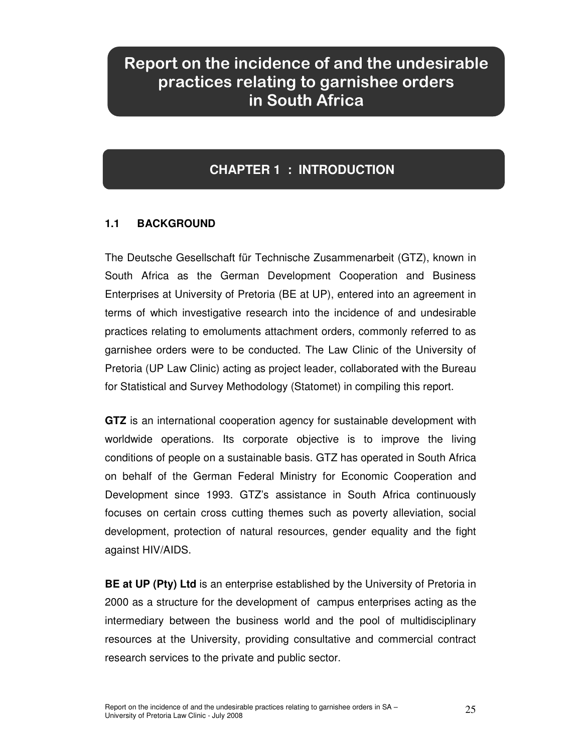# Report on the incidence of and the undesirable practices relating to garnishee orders in South Africa

# **CHAPTER 1 : INTRODUCTION**

# **1.1 BACKGROUND**

The Deutsche Gesellschaft für Technische Zusammenarbeit (GTZ), known in South Africa as the German Development Cooperation and Business Enterprises at University of Pretoria (BE at UP), entered into an agreement in terms of which investigative research into the incidence of and undesirable practices relating to emoluments attachment orders, commonly referred to as garnishee orders were to be conducted. The Law Clinic of the University of Pretoria (UP Law Clinic) acting as project leader, collaborated with the Bureau for Statistical and Survey Methodology (Statomet) in compiling this report.

**GTZ** is an international cooperation agency for sustainable development with worldwide operations. Its corporate objective is to improve the living conditions of people on a sustainable basis. GTZ has operated in South Africa on behalf of the German Federal Ministry for Economic Cooperation and Development since 1993. GTZ's assistance in South Africa continuously focuses on certain cross cutting themes such as poverty alleviation, social development, protection of natural resources, gender equality and the fight against HIV/AIDS.

**BE at UP (Pty) Ltd** is an enterprise established by the University of Pretoria in 2000 as a structure for the development of campus enterprises acting as the intermediary between the business world and the pool of multidisciplinary resources at the University, providing consultative and commercial contract research services to the private and public sector.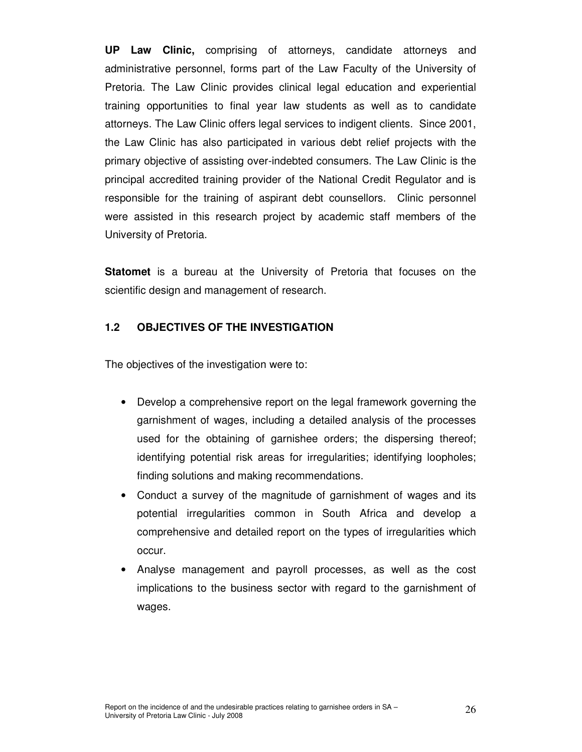**UP Law Clinic,** comprising of attorneys, candidate attorneys and administrative personnel, forms part of the Law Faculty of the University of Pretoria. The Law Clinic provides clinical legal education and experiential training opportunities to final year law students as well as to candidate attorneys. The Law Clinic offers legal services to indigent clients. Since 2001, the Law Clinic has also participated in various debt relief projects with the primary objective of assisting over-indebted consumers. The Law Clinic is the principal accredited training provider of the National Credit Regulator and is responsible for the training of aspirant debt counsellors. Clinic personnel were assisted in this research project by academic staff members of the University of Pretoria.

**Statomet** is a bureau at the University of Pretoria that focuses on the scientific design and management of research.

#### **1.2 OBJECTIVES OF THE INVESTIGATION**

The objectives of the investigation were to:

- Develop a comprehensive report on the legal framework governing the garnishment of wages, including a detailed analysis of the processes used for the obtaining of garnishee orders; the dispersing thereof; identifying potential risk areas for irregularities; identifying loopholes; finding solutions and making recommendations.
- Conduct a survey of the magnitude of garnishment of wages and its potential irregularities common in South Africa and develop a comprehensive and detailed report on the types of irregularities which occur.
- Analyse management and payroll processes, as well as the cost implications to the business sector with regard to the garnishment of wages.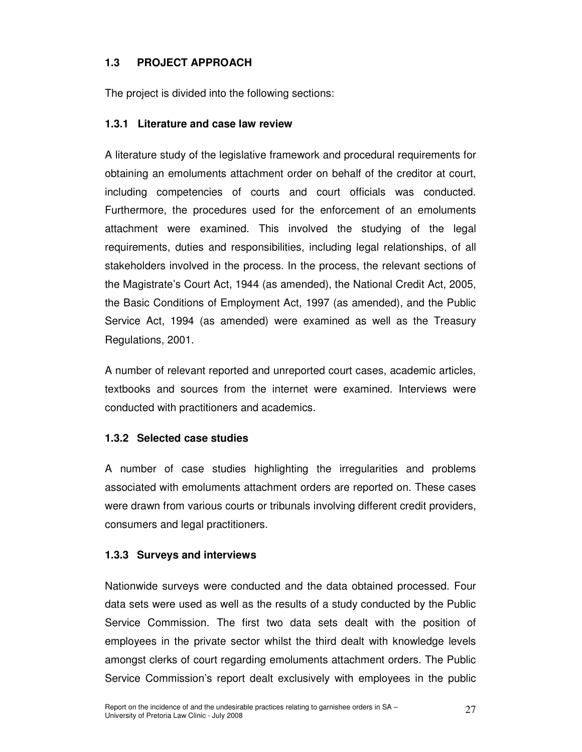# **1.3 PROJECT APPROACH**

The project is divided into the following sections:

#### **1.3.1 Literature and case law review**

A literature study of the legislative framework and procedural requirements for obtaining an emoluments attachment order on behalf of the creditor at court, including competencies of courts and court officials was conducted. Furthermore, the procedures used for the enforcement of an emoluments attachment were examined. This involved the studying of the legal requirements, duties and responsibilities, including legal relationships, of all stakeholders involved in the process. In the process, the relevant sections of the Magistrate's Court Act, 1944 (as amended), the National Credit Act, 2005, the Basic Conditions of Employment Act, 1997 (as amended), and the Public Service Act, 1994 (as amended) were examined as well as the Treasury Regulations, 2001.

A number of relevant reported and unreported court cases, academic articles, textbooks and sources from the internet were examined. Interviews were conducted with practitioners and academics.

### **1.3.2 Selected case studies**

A number of case studies highlighting the irregularities and problems associated with emoluments attachment orders are reported on. These cases were drawn from various courts or tribunals involving different credit providers, consumers and legal practitioners.

### **1.3.3 Surveys and interviews**

Nationwide surveys were conducted and the data obtained processed. Four data sets were used as well as the results of a study conducted by the Public Service Commission. The first two data sets dealt with the position of employees in the private sector whilst the third dealt with knowledge levels amongst clerks of court regarding emoluments attachment orders. The Public Service Commission's report dealt exclusively with employees in the public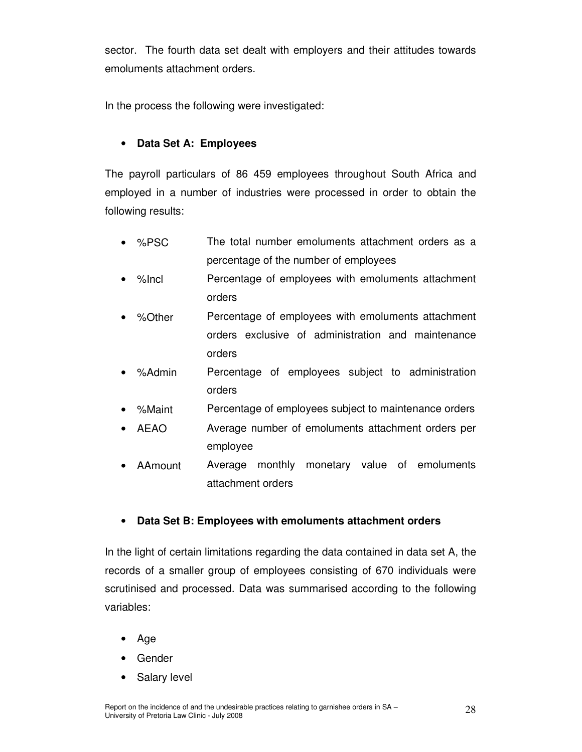sector. The fourth data set dealt with employers and their attitudes towards emoluments attachment orders.

In the process the following were investigated:

### • **Data Set A: Employees**

The payroll particulars of 86 459 employees throughout South Africa and employed in a number of industries were processed in order to obtain the following results:

- %PSC The total number emoluments attachment orders as a percentage of the number of employees
- %Incl Percentage of employees with emoluments attachment orders
- %Other Percentage of employees with emoluments attachment orders exclusive of administration and maintenance orders
- %Admin Percentage of employees subject to administration orders
- %Maint Percentage of employees subject to maintenance orders
- AEAO Average number of emoluments attachment orders per employee
- AAmount Average monthly monetary value of emoluments attachment orders

### • **Data Set B: Employees with emoluments attachment orders**

In the light of certain limitations regarding the data contained in data set A, the records of a smaller group of employees consisting of 670 individuals were scrutinised and processed. Data was summarised according to the following variables:

- Age
- **Gender**
- Salary level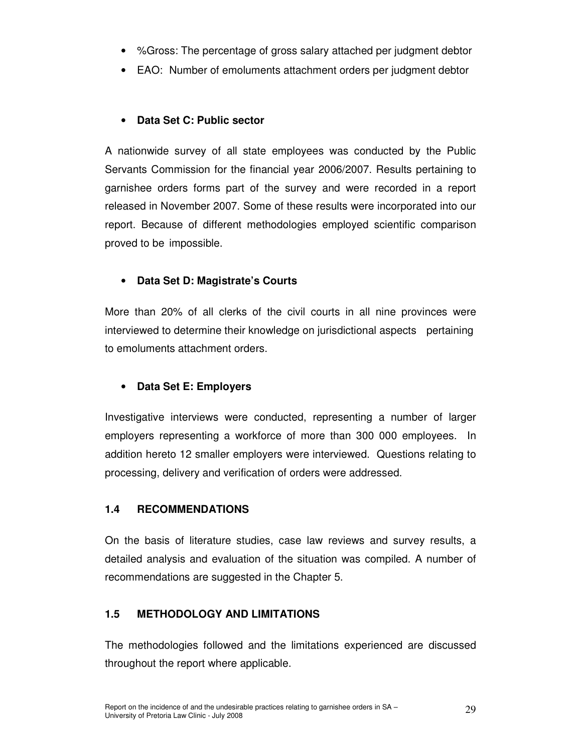- %Gross: The percentage of gross salary attached per judgment debtor
- EAO: Number of emoluments attachment orders per judgment debtor

# • **Data Set C: Public sector**

A nationwide survey of all state employees was conducted by the Public Servants Commission for the financial year 2006/2007. Results pertaining to garnishee orders forms part of the survey and were recorded in a report released in November 2007. Some of these results were incorporated into our report. Because of different methodologies employed scientific comparison proved to be impossible.

# • **Data Set D: Magistrate's Courts**

More than 20% of all clerks of the civil courts in all nine provinces were interviewed to determine their knowledge on jurisdictional aspects pertaining to emoluments attachment orders.

# • **Data Set E: Employers**

Investigative interviews were conducted, representing a number of larger employers representing a workforce of more than 300 000 employees. In addition hereto 12 smaller employers were interviewed. Questions relating to processing, delivery and verification of orders were addressed.

### **1.4 RECOMMENDATIONS**

On the basis of literature studies, case law reviews and survey results, a detailed analysis and evaluation of the situation was compiled. A number of recommendations are suggested in the Chapter 5.

### **1.5 METHODOLOGY AND LIMITATIONS**

The methodologies followed and the limitations experienced are discussed throughout the report where applicable.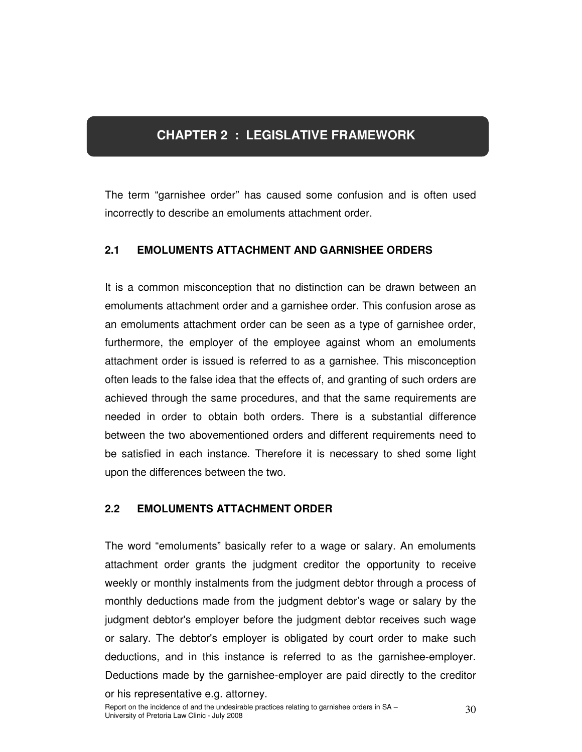# **CHAPTER 2 : LEGISLATIVE FRAMEWORK**

The term "garnishee order" has caused some confusion and is often used incorrectly to describe an emoluments attachment order.

### **2.1 EMOLUMENTS ATTACHMENT AND GARNISHEE ORDERS**

It is a common misconception that no distinction can be drawn between an emoluments attachment order and a garnishee order. This confusion arose as an emoluments attachment order can be seen as a type of garnishee order, furthermore, the employer of the employee against whom an emoluments attachment order is issued is referred to as a garnishee. This misconception often leads to the false idea that the effects of, and granting of such orders are achieved through the same procedures, and that the same requirements are needed in order to obtain both orders. There is a substantial difference between the two abovementioned orders and different requirements need to be satisfied in each instance. Therefore it is necessary to shed some light upon the differences between the two.

# **2.2 EMOLUMENTS ATTACHMENT ORDER**

The word "emoluments" basically refer to a wage or salary. An emoluments attachment order grants the judgment creditor the opportunity to receive weekly or monthly instalments from the judgment debtor through a process of monthly deductions made from the judgment debtor's wage or salary by the judgment debtor's employer before the judgment debtor receives such wage or salary. The debtor's employer is obligated by court order to make such deductions, and in this instance is referred to as the garnishee-employer. Deductions made by the garnishee-employer are paid directly to the creditor or his representative e.g. attorney.

Report on the incidence of and the undesirable practices relating to garnishee orders in SA – 30<br>University of Pretoria Law Clinic - July 2008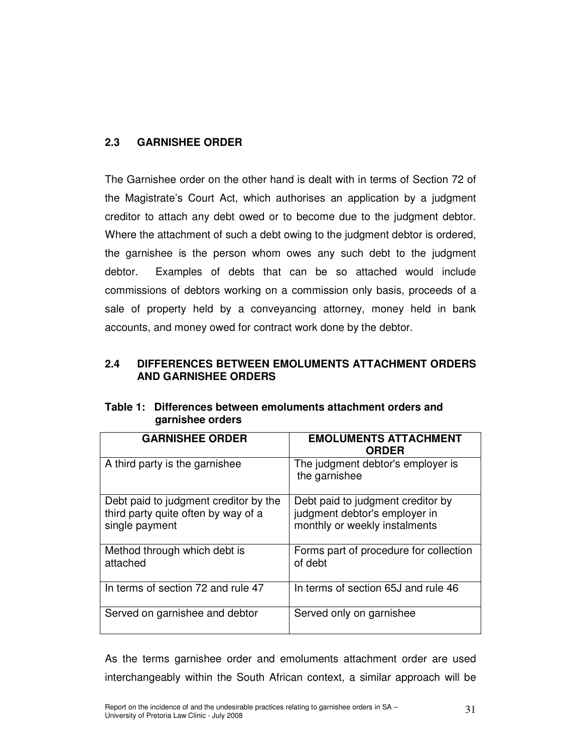#### **2.3 GARNISHEE ORDER**

The Garnishee order on the other hand is dealt with in terms of Section 72 of the Magistrate's Court Act, which authorises an application by a judgment creditor to attach any debt owed or to become due to the judgment debtor. Where the attachment of such a debt owing to the judgment debtor is ordered, the garnishee is the person whom owes any such debt to the judgment debtor. Examples of debts that can be so attached would include commissions of debtors working on a commission only basis, proceeds of a sale of property held by a conveyancing attorney, money held in bank accounts, and money owed for contract work done by the debtor.

#### **2.4 DIFFERENCES BETWEEN EMOLUMENTS ATTACHMENT ORDERS AND GARNISHEE ORDERS**

| <b>GARNISHEE ORDER</b>                                                                         | <b>EMOLUMENTS ATTACHMENT</b><br><b>ORDER</b>                                                        |  |  |  |
|------------------------------------------------------------------------------------------------|-----------------------------------------------------------------------------------------------------|--|--|--|
| A third party is the garnishee                                                                 | The judgment debtor's employer is<br>the garnishee                                                  |  |  |  |
| Debt paid to judgment creditor by the<br>third party quite often by way of a<br>single payment | Debt paid to judgment creditor by<br>judgment debtor's employer in<br>monthly or weekly instalments |  |  |  |
| Method through which debt is<br>attached                                                       | Forms part of procedure for collection<br>of debt                                                   |  |  |  |
| In terms of section 72 and rule 47                                                             | In terms of section 65J and rule 46                                                                 |  |  |  |
| Served on garnishee and debtor                                                                 | Served only on garnishee                                                                            |  |  |  |

**Table 1: Differences between emoluments attachment orders and garnishee orders** 

As the terms garnishee order and emoluments attachment order are used interchangeably within the South African context, a similar approach will be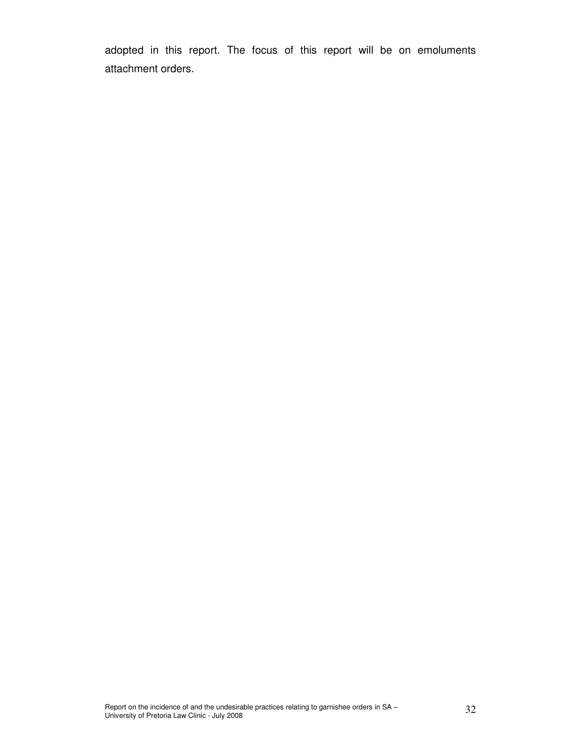adopted in this report. The focus of this report will be on emoluments attachment orders.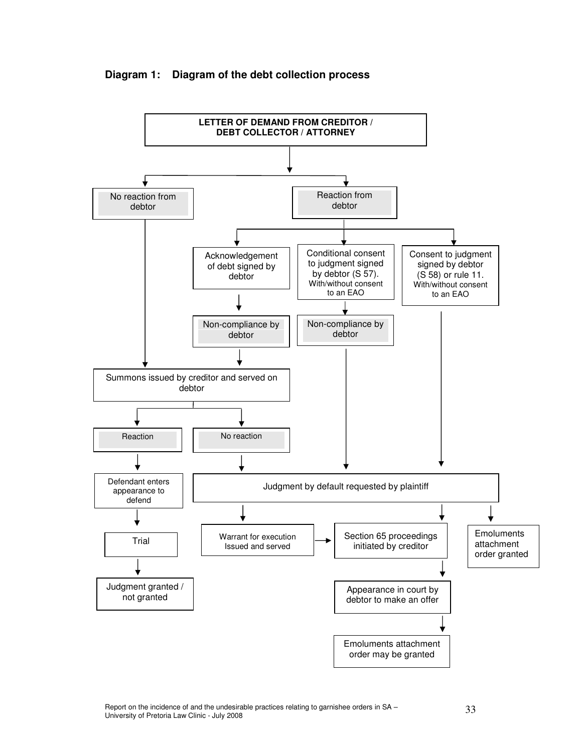

#### **Diagram 1: Diagram of the debt collection process**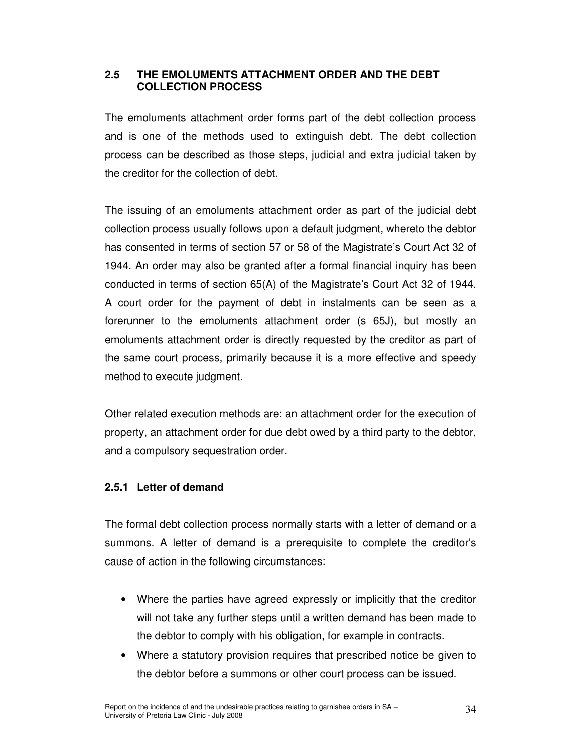#### **2.5 THE EMOLUMENTS ATTACHMENT ORDER AND THE DEBT COLLECTION PROCESS**

The emoluments attachment order forms part of the debt collection process and is one of the methods used to extinguish debt. The debt collection process can be described as those steps, judicial and extra judicial taken by the creditor for the collection of debt.

The issuing of an emoluments attachment order as part of the judicial debt collection process usually follows upon a default judgment, whereto the debtor has consented in terms of section 57 or 58 of the Magistrate's Court Act 32 of 1944. An order may also be granted after a formal financial inquiry has been conducted in terms of section 65(A) of the Magistrate's Court Act 32 of 1944. A court order for the payment of debt in instalments can be seen as a forerunner to the emoluments attachment order (s 65J), but mostly an emoluments attachment order is directly requested by the creditor as part of the same court process, primarily because it is a more effective and speedy method to execute judgment.

Other related execution methods are: an attachment order for the execution of property, an attachment order for due debt owed by a third party to the debtor, and a compulsory sequestration order.

### **2.5.1 Letter of demand**

The formal debt collection process normally starts with a letter of demand or a summons. A letter of demand is a prerequisite to complete the creditor's cause of action in the following circumstances:

- Where the parties have agreed expressly or implicitly that the creditor will not take any further steps until a written demand has been made to the debtor to comply with his obligation, for example in contracts.
- Where a statutory provision requires that prescribed notice be given to the debtor before a summons or other court process can be issued.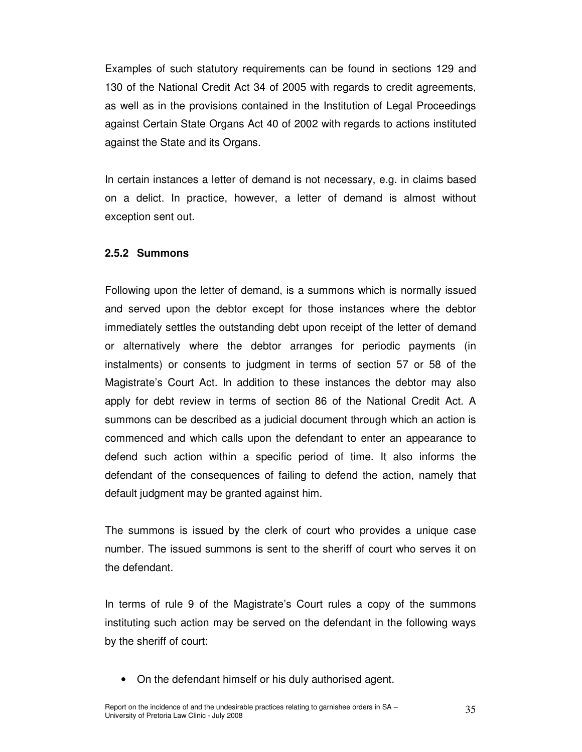Examples of such statutory requirements can be found in sections 129 and 130 of the National Credit Act 34 of 2005 with regards to credit agreements, as well as in the provisions contained in the Institution of Legal Proceedings against Certain State Organs Act 40 of 2002 with regards to actions instituted against the State and its Organs.

In certain instances a letter of demand is not necessary, e.g. in claims based on a delict. In practice, however, a letter of demand is almost without exception sent out.

#### **2.5.2 Summons**

Following upon the letter of demand, is a summons which is normally issued and served upon the debtor except for those instances where the debtor immediately settles the outstanding debt upon receipt of the letter of demand or alternatively where the debtor arranges for periodic payments (in instalments) or consents to judgment in terms of section 57 or 58 of the Magistrate's Court Act. In addition to these instances the debtor may also apply for debt review in terms of section 86 of the National Credit Act. A summons can be described as a judicial document through which an action is commenced and which calls upon the defendant to enter an appearance to defend such action within a specific period of time. It also informs the defendant of the consequences of failing to defend the action, namely that default judgment may be granted against him.

The summons is issued by the clerk of court who provides a unique case number. The issued summons is sent to the sheriff of court who serves it on the defendant.

In terms of rule 9 of the Magistrate's Court rules a copy of the summons instituting such action may be served on the defendant in the following ways by the sheriff of court:

• On the defendant himself or his duly authorised agent.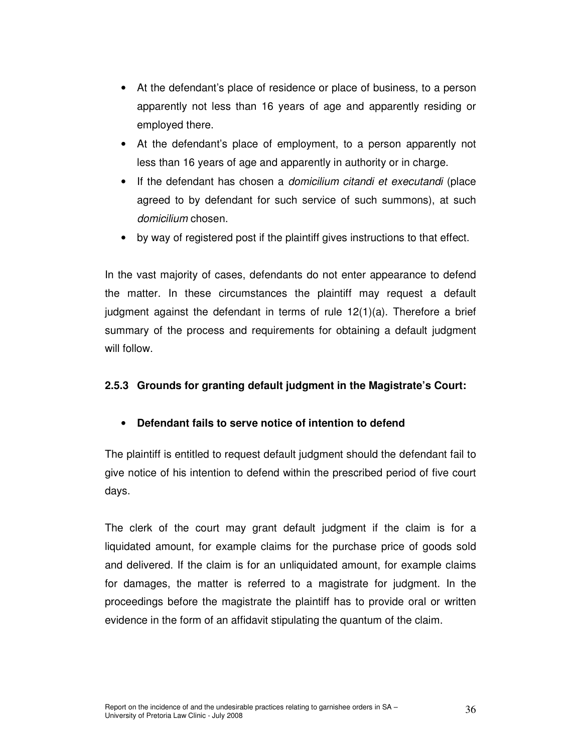- At the defendant's place of residence or place of business, to a person apparently not less than 16 years of age and apparently residing or employed there.
- At the defendant's place of employment, to a person apparently not less than 16 years of age and apparently in authority or in charge.
- If the defendant has chosen a *domicilium citandi et executandi* (place agreed to by defendant for such service of such summons), at such domicilium chosen.
- by way of registered post if the plaintiff gives instructions to that effect.

In the vast majority of cases, defendants do not enter appearance to defend the matter. In these circumstances the plaintiff may request a default judgment against the defendant in terms of rule 12(1)(a). Therefore a brief summary of the process and requirements for obtaining a default judgment will follow.

### **2.5.3 Grounds for granting default judgment in the Magistrate's Court:**

### • **Defendant fails to serve notice of intention to defend**

The plaintiff is entitled to request default judgment should the defendant fail to give notice of his intention to defend within the prescribed period of five court days.

The clerk of the court may grant default judgment if the claim is for a liquidated amount, for example claims for the purchase price of goods sold and delivered. If the claim is for an unliquidated amount, for example claims for damages, the matter is referred to a magistrate for judgment. In the proceedings before the magistrate the plaintiff has to provide oral or written evidence in the form of an affidavit stipulating the quantum of the claim.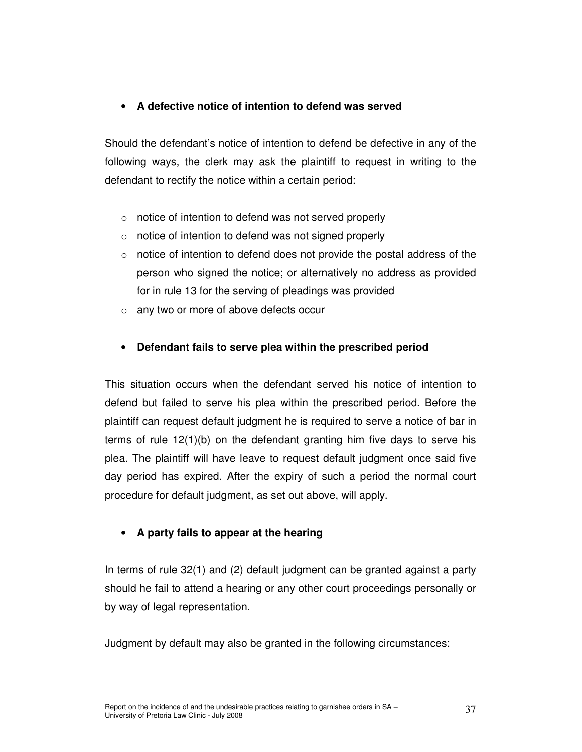## • **A defective notice of intention to defend was served**

Should the defendant's notice of intention to defend be defective in any of the following ways, the clerk may ask the plaintiff to request in writing to the defendant to rectify the notice within a certain period:

- o notice of intention to defend was not served properly
- o notice of intention to defend was not signed properly
- o notice of intention to defend does not provide the postal address of the person who signed the notice; or alternatively no address as provided for in rule 13 for the serving of pleadings was provided
- o any two or more of above defects occur

## • **Defendant fails to serve plea within the prescribed period**

This situation occurs when the defendant served his notice of intention to defend but failed to serve his plea within the prescribed period. Before the plaintiff can request default judgment he is required to serve a notice of bar in terms of rule 12(1)(b) on the defendant granting him five days to serve his plea. The plaintiff will have leave to request default judgment once said five day period has expired. After the expiry of such a period the normal court procedure for default judgment, as set out above, will apply.

## • **A party fails to appear at the hearing**

In terms of rule 32(1) and (2) default judgment can be granted against a party should he fail to attend a hearing or any other court proceedings personally or by way of legal representation.

Judgment by default may also be granted in the following circumstances: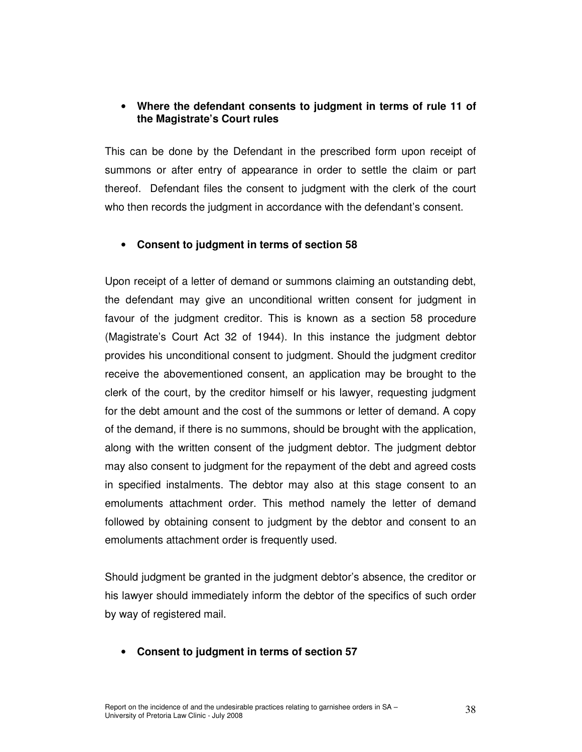## • **Where the defendant consents to judgment in terms of rule 11 of the Magistrate's Court rules**

This can be done by the Defendant in the prescribed form upon receipt of summons or after entry of appearance in order to settle the claim or part thereof. Defendant files the consent to judgment with the clerk of the court who then records the judgment in accordance with the defendant's consent.

## • **Consent to judgment in terms of section 58**

Upon receipt of a letter of demand or summons claiming an outstanding debt, the defendant may give an unconditional written consent for judgment in favour of the judgment creditor. This is known as a section 58 procedure (Magistrate's Court Act 32 of 1944). In this instance the judgment debtor provides his unconditional consent to judgment. Should the judgment creditor receive the abovementioned consent, an application may be brought to the clerk of the court, by the creditor himself or his lawyer, requesting judgment for the debt amount and the cost of the summons or letter of demand. A copy of the demand, if there is no summons, should be brought with the application, along with the written consent of the judgment debtor. The judgment debtor may also consent to judgment for the repayment of the debt and agreed costs in specified instalments. The debtor may also at this stage consent to an emoluments attachment order. This method namely the letter of demand followed by obtaining consent to judgment by the debtor and consent to an emoluments attachment order is frequently used.

Should judgment be granted in the judgment debtor's absence, the creditor or his lawyer should immediately inform the debtor of the specifics of such order by way of registered mail.

#### • **Consent to judgment in terms of section 57**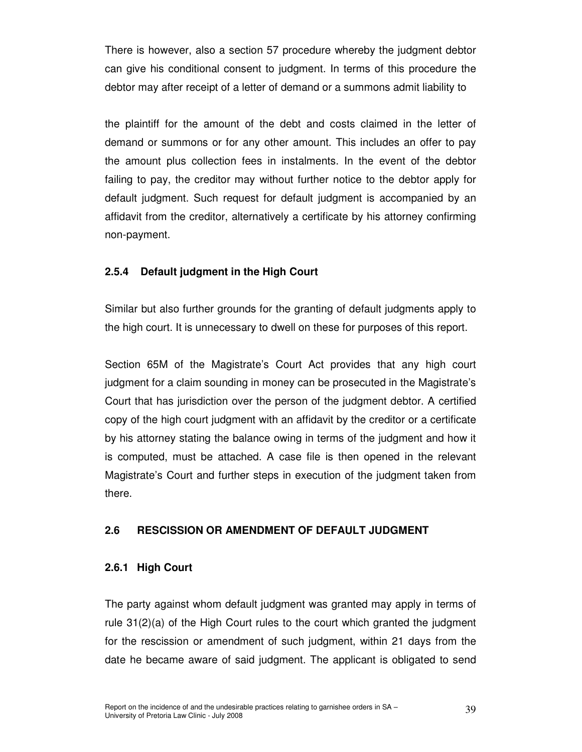There is however, also a section 57 procedure whereby the judgment debtor can give his conditional consent to judgment. In terms of this procedure the debtor may after receipt of a letter of demand or a summons admit liability to

the plaintiff for the amount of the debt and costs claimed in the letter of demand or summons or for any other amount. This includes an offer to pay the amount plus collection fees in instalments. In the event of the debtor failing to pay, the creditor may without further notice to the debtor apply for default judgment. Such request for default judgment is accompanied by an affidavit from the creditor, alternatively a certificate by his attorney confirming non-payment.

## **2.5.4 Default judgment in the High Court**

Similar but also further grounds for the granting of default judgments apply to the high court. It is unnecessary to dwell on these for purposes of this report.

Section 65M of the Magistrate's Court Act provides that any high court judgment for a claim sounding in money can be prosecuted in the Magistrate's Court that has jurisdiction over the person of the judgment debtor. A certified copy of the high court judgment with an affidavit by the creditor or a certificate by his attorney stating the balance owing in terms of the judgment and how it is computed, must be attached. A case file is then opened in the relevant Magistrate's Court and further steps in execution of the judgment taken from there.

#### **2.6 RESCISSION OR AMENDMENT OF DEFAULT JUDGMENT**

#### **2.6.1 High Court**

The party against whom default judgment was granted may apply in terms of rule 31(2)(a) of the High Court rules to the court which granted the judgment for the rescission or amendment of such judgment, within 21 days from the date he became aware of said judgment. The applicant is obligated to send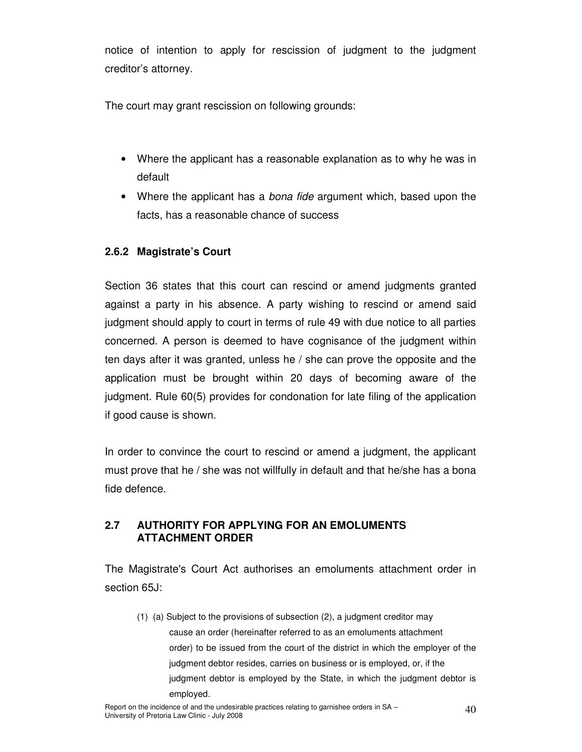notice of intention to apply for rescission of judgment to the judgment creditor's attorney.

The court may grant rescission on following grounds:

- Where the applicant has a reasonable explanation as to why he was in default
- Where the applicant has a *bona fide* argument which, based upon the facts, has a reasonable chance of success

## **2.6.2 Magistrate's Court**

Section 36 states that this court can rescind or amend judgments granted against a party in his absence. A party wishing to rescind or amend said judgment should apply to court in terms of rule 49 with due notice to all parties concerned. A person is deemed to have cognisance of the judgment within ten days after it was granted, unless he / she can prove the opposite and the application must be brought within 20 days of becoming aware of the judgment. Rule 60(5) provides for condonation for late filing of the application if good cause is shown.

In order to convince the court to rescind or amend a judgment, the applicant must prove that he / she was not willfully in default and that he/she has a bona fide defence.

## **2.7 AUTHORITY FOR APPLYING FOR AN EMOLUMENTS ATTACHMENT ORDER**

The Magistrate's Court Act authorises an emoluments attachment order in section 65J:

 (1) (a) Subject to the provisions of subsection (2), a judgment creditor may cause an order (hereinafter referred to as an emoluments attachment order) to be issued from the court of the district in which the employer of the judgment debtor resides, carries on business or is employed, or, if the judgment debtor is employed by the State, in which the judgment debtor is employed.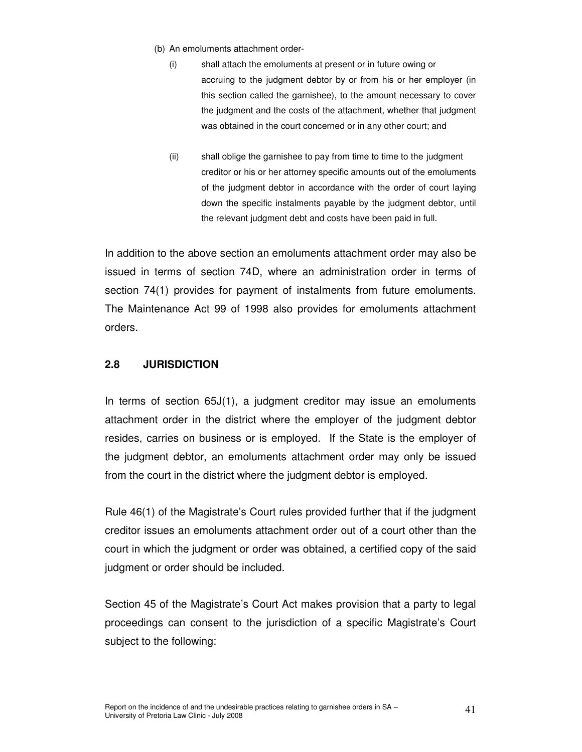- (b) An emoluments attachment order-
	- (i) shall attach the emoluments at present or in future owing or accruing to the judgment debtor by or from his or her employer (in this section called the garnishee), to the amount necessary to cover the judgment and the costs of the attachment, whether that judgment was obtained in the court concerned or in any other court; and
	- (ii) shall oblige the garnishee to pay from time to time to the judgment creditor or his or her attorney specific amounts out of the emoluments of the judgment debtor in accordance with the order of court laying down the specific instalments payable by the judgment debtor, until the relevant judgment debt and costs have been paid in full.

In addition to the above section an emoluments attachment order may also be issued in terms of section 74D, where an administration order in terms of section 74(1) provides for payment of instalments from future emoluments. The Maintenance Act 99 of 1998 also provides for emoluments attachment orders.

## **2.8 JURISDICTION**

In terms of section 65J(1), a judgment creditor may issue an emoluments attachment order in the district where the employer of the judgment debtor resides, carries on business or is employed. If the State is the employer of the judgment debtor, an emoluments attachment order may only be issued from the court in the district where the judgment debtor is employed.

Rule 46(1) of the Magistrate's Court rules provided further that if the judgment creditor issues an emoluments attachment order out of a court other than the court in which the judgment or order was obtained, a certified copy of the said judgment or order should be included.

Section 45 of the Magistrate's Court Act makes provision that a party to legal proceedings can consent to the jurisdiction of a specific Magistrate's Court subject to the following: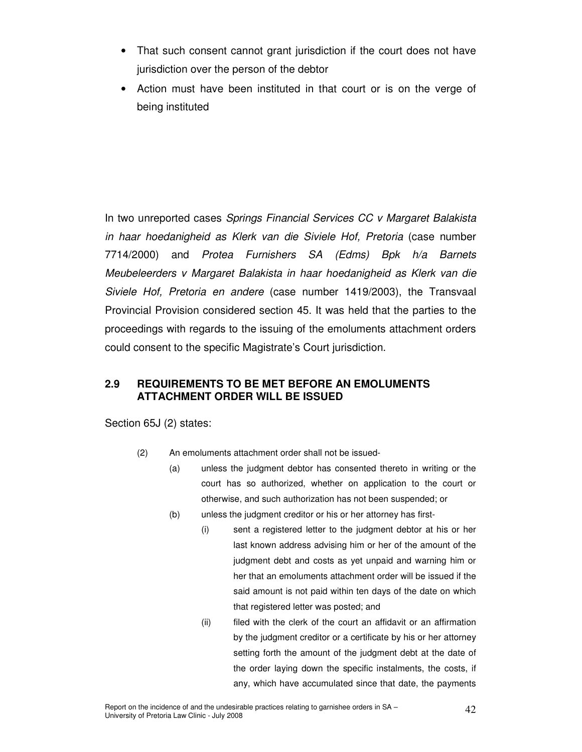- That such consent cannot grant jurisdiction if the court does not have jurisdiction over the person of the debtor
- Action must have been instituted in that court or is on the verge of being instituted

In two unreported cases Springs Financial Services CC v Margaret Balakista in haar hoedanigheid as Klerk van die Siviele Hof, Pretoria (case number 7714/2000) and Protea Furnishers SA (Edms) Bpk h/a Barnets Meubeleerders v Margaret Balakista in haar hoedanigheid as Klerk van die Siviele Hof, Pretoria en andere (case number 1419/2003), the Transvaal Provincial Provision considered section 45. It was held that the parties to the proceedings with regards to the issuing of the emoluments attachment orders could consent to the specific Magistrate's Court jurisdiction.

## **2.9 REQUIREMENTS TO BE MET BEFORE AN EMOLUMENTS ATTACHMENT ORDER WILL BE ISSUED**

Section 65J (2) states:

- (2) An emoluments attachment order shall not be issued-
	- (a) unless the judgment debtor has consented thereto in writing or the court has so authorized, whether on application to the court or otherwise, and such authorization has not been suspended; or
	- (b) unless the judgment creditor or his or her attorney has first-
		- (i) sent a registered letter to the judgment debtor at his or her last known address advising him or her of the amount of the judgment debt and costs as yet unpaid and warning him or her that an emoluments attachment order will be issued if the said amount is not paid within ten days of the date on which that registered letter was posted; and
		- (ii) filed with the clerk of the court an affidavit or an affirmation by the judgment creditor or a certificate by his or her attorney setting forth the amount of the judgment debt at the date of the order laying down the specific instalments, the costs, if any, which have accumulated since that date, the payments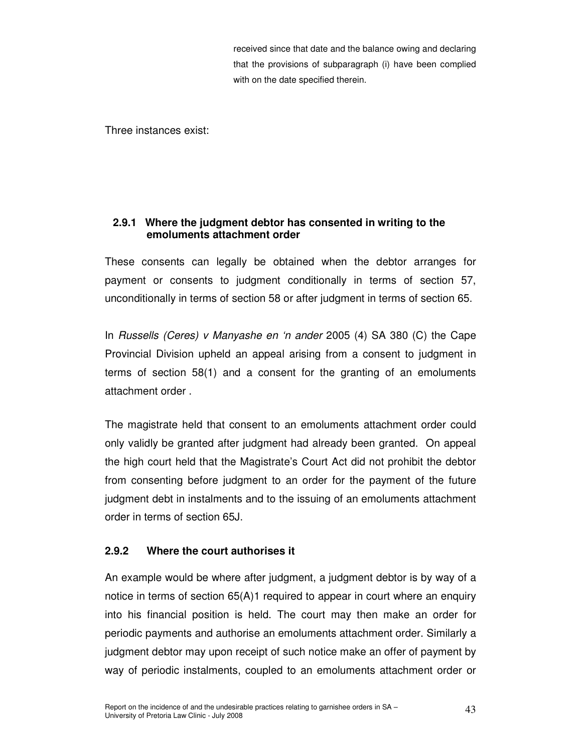received since that date and the balance owing and declaring that the provisions of subparagraph (i) have been complied with on the date specified therein.

Three instances exist:

## **2.9.1 Where the judgment debtor has consented in writing to the emoluments attachment order**

These consents can legally be obtained when the debtor arranges for payment or consents to judgment conditionally in terms of section 57, unconditionally in terms of section 58 or after judgment in terms of section 65.

In Russells (Ceres) v Manyashe en 'n ander 2005 (4) SA 380 (C) the Cape Provincial Division upheld an appeal arising from a consent to judgment in terms of section 58(1) and a consent for the granting of an emoluments attachment order .

The magistrate held that consent to an emoluments attachment order could only validly be granted after judgment had already been granted. On appeal the high court held that the Magistrate's Court Act did not prohibit the debtor from consenting before judgment to an order for the payment of the future judgment debt in instalments and to the issuing of an emoluments attachment order in terms of section 65J.

## **2.9.2 Where the court authorises it**

An example would be where after judgment, a judgment debtor is by way of a notice in terms of section 65(A)1 required to appear in court where an enquiry into his financial position is held. The court may then make an order for periodic payments and authorise an emoluments attachment order. Similarly a judgment debtor may upon receipt of such notice make an offer of payment by way of periodic instalments, coupled to an emoluments attachment order or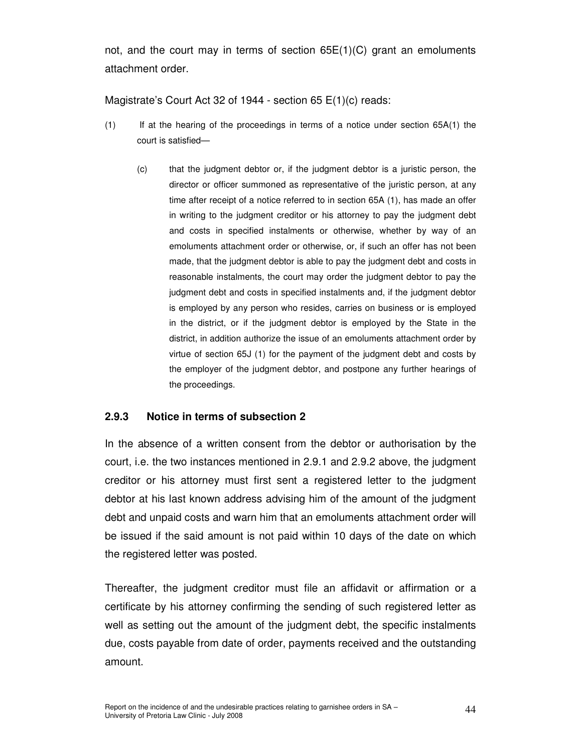not, and the court may in terms of section 65E(1)(C) grant an emoluments attachment order.

Magistrate's Court Act 32 of 1944 - section 65 E(1)(c) reads:

- (1) If at the hearing of the proceedings in terms of a notice under section 65A(1) the court is satisfied—
	- (c) that the judgment debtor or, if the judgment debtor is a juristic person, the director or officer summoned as representative of the juristic person, at any time after receipt of a notice referred to in section 65A (1), has made an offer in writing to the judgment creditor or his attorney to pay the judgment debt and costs in specified instalments or otherwise, whether by way of an emoluments attachment order or otherwise, or, if such an offer has not been made, that the judgment debtor is able to pay the judgment debt and costs in reasonable instalments, the court may order the judgment debtor to pay the judgment debt and costs in specified instalments and, if the judgment debtor is employed by any person who resides, carries on business or is employed in the district, or if the judgment debtor is employed by the State in the district, in addition authorize the issue of an emoluments attachment order by virtue of section 65J (1) for the payment of the judgment debt and costs by the employer of the judgment debtor, and postpone any further hearings of the proceedings.

#### **2.9.3 Notice in terms of subsection 2**

In the absence of a written consent from the debtor or authorisation by the court, i.e. the two instances mentioned in 2.9.1 and 2.9.2 above, the judgment creditor or his attorney must first sent a registered letter to the judgment debtor at his last known address advising him of the amount of the judgment debt and unpaid costs and warn him that an emoluments attachment order will be issued if the said amount is not paid within 10 days of the date on which the registered letter was posted.

Thereafter, the judgment creditor must file an affidavit or affirmation or a certificate by his attorney confirming the sending of such registered letter as well as setting out the amount of the judgment debt, the specific instalments due, costs payable from date of order, payments received and the outstanding amount.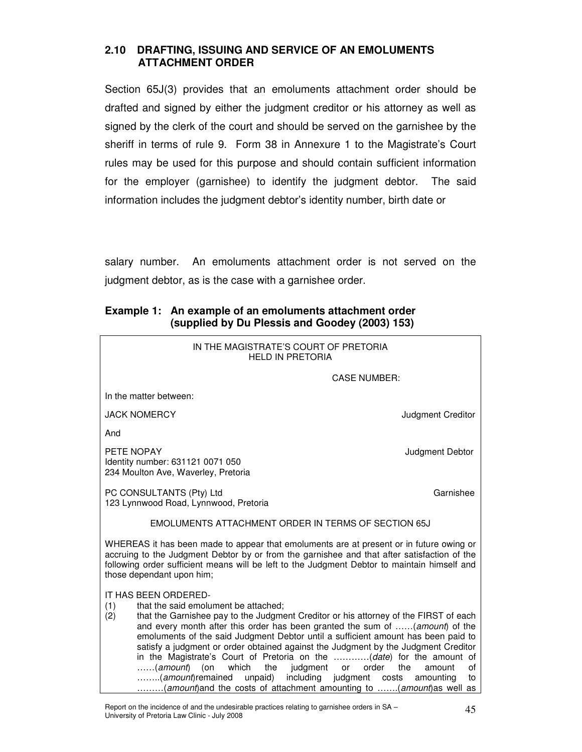### **2.10 DRAFTING, ISSUING AND SERVICE OF AN EMOLUMENTS ATTACHMENT ORDER**

Section 65J(3) provides that an emoluments attachment order should be drafted and signed by either the judgment creditor or his attorney as well as signed by the clerk of the court and should be served on the garnishee by the sheriff in terms of rule 9. Form 38 in Annexure 1 to the Magistrate's Court rules may be used for this purpose and should contain sufficient information for the employer (garnishee) to identify the judgment debtor. The said information includes the judgment debtor's identity number, birth date or

salary number. An emoluments attachment order is not served on the judgment debtor, as is the case with a garnishee order.

#### **Example 1: An example of an emoluments attachment order (supplied by Du Plessis and Goodey (2003) 153)**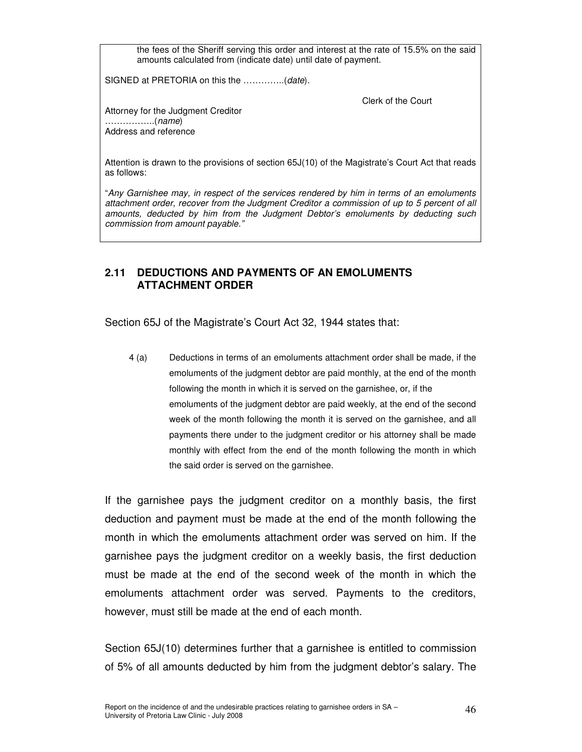the fees of the Sheriff serving this order and interest at the rate of 15.5% on the said amounts calculated from (indicate date) until date of payment.

SIGNED at PRETORIA on this the ..............(date).

Clerk of the Court

Attorney for the Judgment Creditor ……………..(name) Address and reference

Attention is drawn to the provisions of section 65J(10) of the Magistrate's Court Act that reads as follows:

"Any Garnishee may, in respect of the services rendered by him in terms of an emoluments attachment order, recover from the Judgment Creditor a commission of up to 5 percent of all amounts, deducted by him from the Judgment Debtor's emoluments by deducting such commission from amount payable."

## **2.11 DEDUCTIONS AND PAYMENTS OF AN EMOLUMENTS ATTACHMENT ORDER**

Section 65J of the Magistrate's Court Act 32, 1944 states that:

4 (a) Deductions in terms of an emoluments attachment order shall be made, if the emoluments of the judgment debtor are paid monthly, at the end of the month following the month in which it is served on the garnishee, or, if the emoluments of the judgment debtor are paid weekly, at the end of the second week of the month following the month it is served on the garnishee, and all payments there under to the judgment creditor or his attorney shall be made monthly with effect from the end of the month following the month in which the said order is served on the garnishee.

If the garnishee pays the judgment creditor on a monthly basis, the first deduction and payment must be made at the end of the month following the month in which the emoluments attachment order was served on him. If the garnishee pays the judgment creditor on a weekly basis, the first deduction must be made at the end of the second week of the month in which the emoluments attachment order was served. Payments to the creditors, however, must still be made at the end of each month.

Section 65J(10) determines further that a garnishee is entitled to commission of 5% of all amounts deducted by him from the judgment debtor's salary. The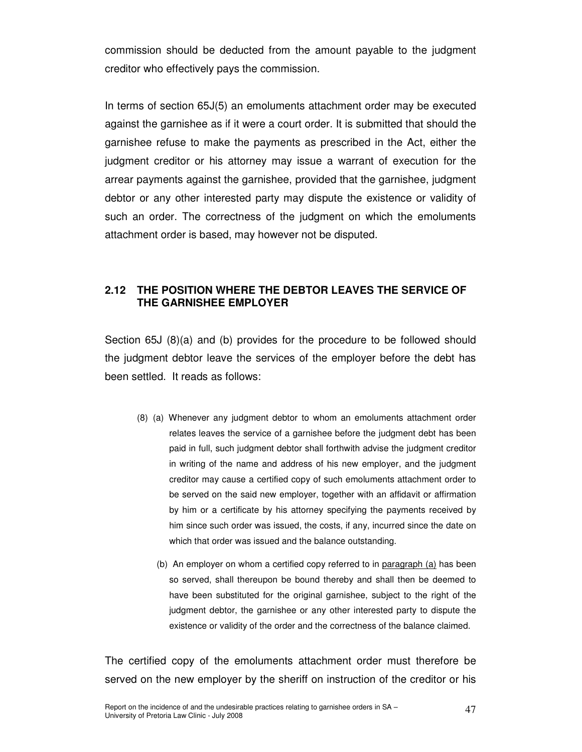commission should be deducted from the amount payable to the judgment creditor who effectively pays the commission.

In terms of section 65J(5) an emoluments attachment order may be executed against the garnishee as if it were a court order. It is submitted that should the garnishee refuse to make the payments as prescribed in the Act, either the judgment creditor or his attorney may issue a warrant of execution for the arrear payments against the garnishee, provided that the garnishee, judgment debtor or any other interested party may dispute the existence or validity of such an order. The correctness of the judgment on which the emoluments attachment order is based, may however not be disputed.

## **2.12 THE POSITION WHERE THE DEBTOR LEAVES THE SERVICE OF THE GARNISHEE EMPLOYER**

Section 65J (8)(a) and (b) provides for the procedure to be followed should the judgment debtor leave the services of the employer before the debt has been settled. It reads as follows:

- (8) (a) Whenever any judgment debtor to whom an emoluments attachment order relates leaves the service of a garnishee before the judgment debt has been paid in full, such judgment debtor shall forthwith advise the judgment creditor in writing of the name and address of his new employer, and the judgment creditor may cause a certified copy of such emoluments attachment order to be served on the said new employer, together with an affidavit or affirmation by him or a certificate by his attorney specifying the payments received by him since such order was issued, the costs, if any, incurred since the date on which that order was issued and the balance outstanding.
	- (b) An employer on whom a certified copy referred to in paragraph (a) has been so served, shall thereupon be bound thereby and shall then be deemed to have been substituted for the original garnishee, subject to the right of the judgment debtor, the garnishee or any other interested party to dispute the existence or validity of the order and the correctness of the balance claimed.

The certified copy of the emoluments attachment order must therefore be served on the new employer by the sheriff on instruction of the creditor or his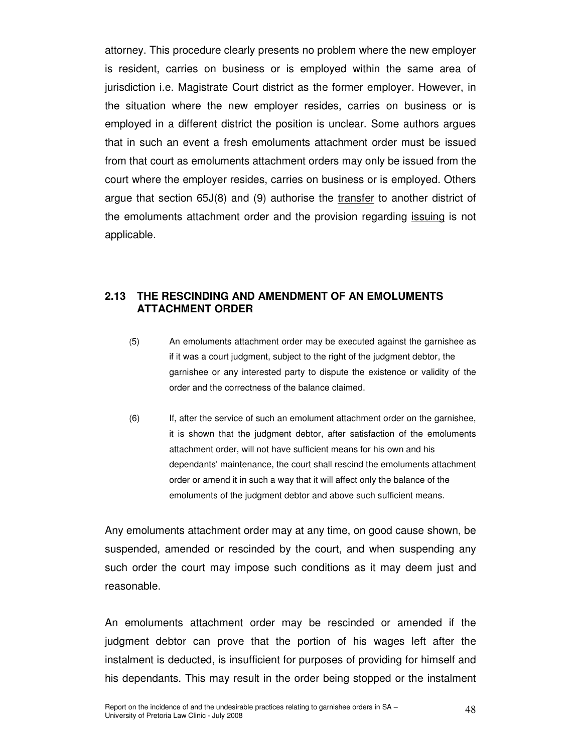attorney. This procedure clearly presents no problem where the new employer is resident, carries on business or is employed within the same area of jurisdiction i.e. Magistrate Court district as the former employer. However, in the situation where the new employer resides, carries on business or is employed in a different district the position is unclear. Some authors argues that in such an event a fresh emoluments attachment order must be issued from that court as emoluments attachment orders may only be issued from the court where the employer resides, carries on business or is employed. Others argue that section  $65J(8)$  and (9) authorise the transfer to another district of the emoluments attachment order and the provision regarding *issuing* is not applicable.

#### **2.13 THE RESCINDING AND AMENDMENT OF AN EMOLUMENTS ATTACHMENT ORDER**

- (5) An emoluments attachment order may be executed against the garnishee as if it was a court judgment, subject to the right of the judgment debtor, the garnishee or any interested party to dispute the existence or validity of the order and the correctness of the balance claimed.
- (6) If, after the service of such an emolument attachment order on the garnishee, it is shown that the judgment debtor, after satisfaction of the emoluments attachment order, will not have sufficient means for his own and his dependants' maintenance, the court shall rescind the emoluments attachment order or amend it in such a way that it will affect only the balance of the emoluments of the judgment debtor and above such sufficient means.

Any emoluments attachment order may at any time, on good cause shown, be suspended, amended or rescinded by the court, and when suspending any such order the court may impose such conditions as it may deem just and reasonable.

An emoluments attachment order may be rescinded or amended if the judgment debtor can prove that the portion of his wages left after the instalment is deducted, is insufficient for purposes of providing for himself and his dependants. This may result in the order being stopped or the instalment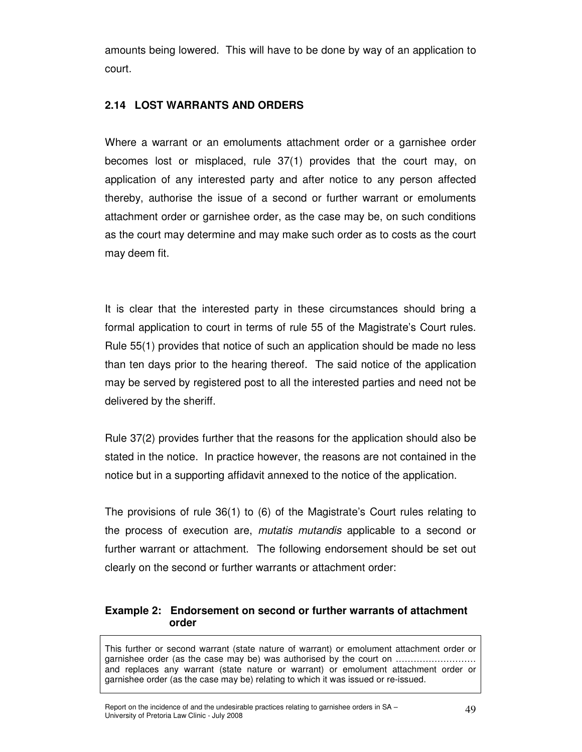amounts being lowered. This will have to be done by way of an application to court.

## **2.14 LOST WARRANTS AND ORDERS**

Where a warrant or an emoluments attachment order or a garnishee order becomes lost or misplaced, rule 37(1) provides that the court may, on application of any interested party and after notice to any person affected thereby, authorise the issue of a second or further warrant or emoluments attachment order or garnishee order, as the case may be, on such conditions as the court may determine and may make such order as to costs as the court may deem fit.

It is clear that the interested party in these circumstances should bring a formal application to court in terms of rule 55 of the Magistrate's Court rules. Rule 55(1) provides that notice of such an application should be made no less than ten days prior to the hearing thereof. The said notice of the application may be served by registered post to all the interested parties and need not be delivered by the sheriff.

Rule 37(2) provides further that the reasons for the application should also be stated in the notice. In practice however, the reasons are not contained in the notice but in a supporting affidavit annexed to the notice of the application.

The provisions of rule 36(1) to (6) of the Magistrate's Court rules relating to the process of execution are, mutatis mutandis applicable to a second or further warrant or attachment. The following endorsement should be set out clearly on the second or further warrants or attachment order:

## **Example 2: Endorsement on second or further warrants of attachment order**

This further or second warrant (state nature of warrant) or emolument attachment order or garnishee order (as the case may be) was authorised by the court on ……………………… and replaces any warrant (state nature or warrant) or emolument attachment order or garnishee order (as the case may be) relating to which it was issued or re-issued.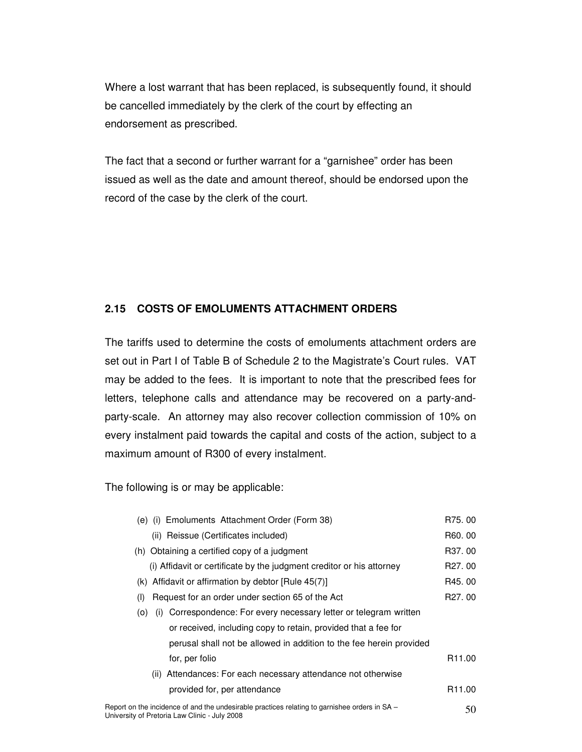Where a lost warrant that has been replaced, is subsequently found, it should be cancelled immediately by the clerk of the court by effecting an endorsement as prescribed.

The fact that a second or further warrant for a "garnishee" order has been issued as well as the date and amount thereof, should be endorsed upon the record of the case by the clerk of the court.

## **2.15 COSTS OF EMOLUMENTS ATTACHMENT ORDERS**

The tariffs used to determine the costs of emoluments attachment orders are set out in Part I of Table B of Schedule 2 to the Magistrate's Court rules. VAT may be added to the fees. It is important to note that the prescribed fees for letters, telephone calls and attendance may be recovered on a party-andparty-scale. An attorney may also recover collection commission of 10% on every instalment paid towards the capital and costs of the action, subject to a maximum amount of R300 of every instalment.

The following is or may be applicable:

| (e) (i) Emoluments Attachment Order (Form 38)                                | R75, 00             |
|------------------------------------------------------------------------------|---------------------|
| (ii) Reissue (Certificates included)                                         | R60.00              |
| (h) Obtaining a certified copy of a judgment                                 | R37, 00             |
| (i) Affidavit or certificate by the judgment creditor or his attorney        | R <sub>27</sub> .00 |
| (k) Affidavit or affirmation by debtor $[Rule 45(7)]$                        | R45, 00             |
| Request for an order under section 65 of the Act<br>(1)                      | R <sub>27</sub> .00 |
| Correspondence: For every necessary letter or telegram written<br>(O)<br>(1) |                     |
| or received, including copy to retain, provided that a fee for               |                     |
| perusal shall not be allowed in addition to the fee herein provided          |                     |
| for, per folio                                                               | R <sub>11.00</sub>  |
| (ii) Attendances: For each necessary attendance not otherwise                |                     |
| provided for, per attendance                                                 | R <sub>11.00</sub>  |
|                                                                              |                     |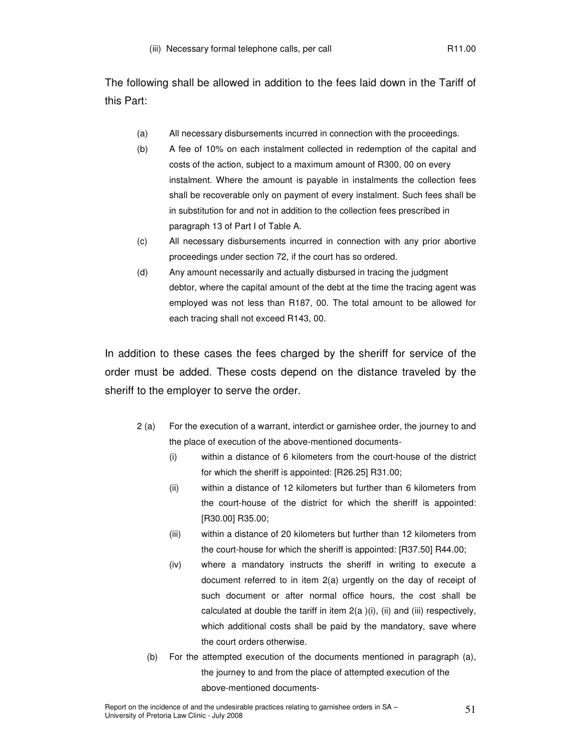The following shall be allowed in addition to the fees laid down in the Tariff of this Part:

- (a) All necessary disbursements incurred in connection with the proceedings.
- (b) A fee of 10% on each instalment collected in redemption of the capital and costs of the action, subject to a maximum amount of R300, 00 on every instalment. Where the amount is payable in instalments the collection fees shall be recoverable only on payment of every instalment. Such fees shall be in substitution for and not in addition to the collection fees prescribed in paragraph 13 of Part I of Table A.
- (c) All necessary disbursements incurred in connection with any prior abortive proceedings under section 72, if the court has so ordered.
- (d) Any amount necessarily and actually disbursed in tracing the judgment debtor, where the capital amount of the debt at the time the tracing agent was employed was not less than R187, 00. The total amount to be allowed for each tracing shall not exceed R143, 00.

In addition to these cases the fees charged by the sheriff for service of the order must be added. These costs depend on the distance traveled by the sheriff to the employer to serve the order.

- 2 (a) For the execution of a warrant, interdict or garnishee order, the journey to and the place of execution of the above-mentioned documents-
	- (i) within a distance of 6 kilometers from the court-house of the district for which the sheriff is appointed: [R26.25] R31.00;
	- (ii) within a distance of 12 kilometers but further than 6 kilometers from the court-house of the district for which the sheriff is appointed: [R30.00] R35.00;
	- (iii) within a distance of 20 kilometers but further than 12 kilometers from the court-house for which the sheriff is appointed: [R37.50] R44.00;
	- (iv) where a mandatory instructs the sheriff in writing to execute a document referred to in item 2(a) urgently on the day of receipt of such document or after normal office hours, the cost shall be calculated at double the tariff in item 2(a )(i), (ii) and (iii) respectively, which additional costs shall be paid by the mandatory, save where the court orders otherwise.
	- (b) For the attempted execution of the documents mentioned in paragraph (a), the journey to and from the place of attempted execution of the above-mentioned documents-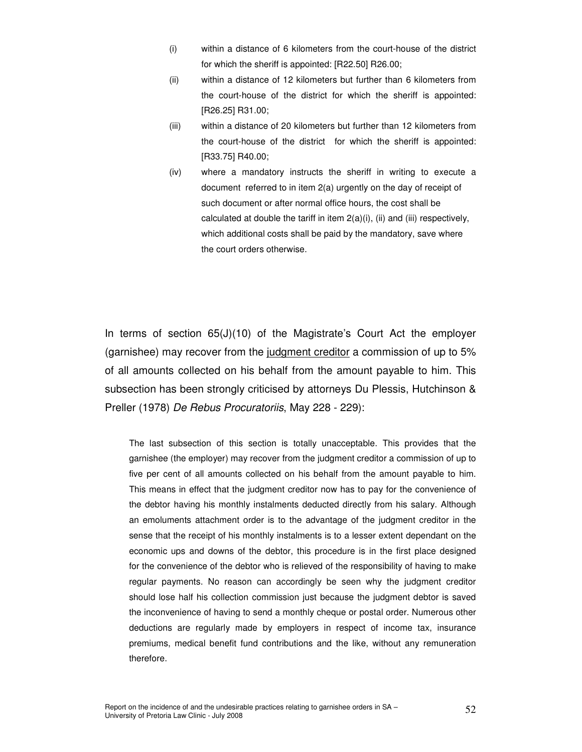- (i) within a distance of 6 kilometers from the court-house of the district for which the sheriff is appointed: [R22.50] R26.00;
- (ii) within a distance of 12 kilometers but further than 6 kilometers from the court-house of the district for which the sheriff is appointed: [R26.25] R31.00;
- (iii) within a distance of 20 kilometers but further than 12 kilometers from the court-house of the district for which the sheriff is appointed: [R33.75] R40.00;
- (iv) where a mandatory instructs the sheriff in writing to execute a document referred to in item 2(a) urgently on the day of receipt of such document or after normal office hours, the cost shall be calculated at double the tariff in item  $2(a)(i)$ , (ii) and (iii) respectively, which additional costs shall be paid by the mandatory, save where the court orders otherwise.

In terms of section 65(J)(10) of the Magistrate's Court Act the employer (garnishee) may recover from the judgment creditor a commission of up to 5% of all amounts collected on his behalf from the amount payable to him. This subsection has been strongly criticised by attorneys Du Plessis, Hutchinson & Preller (1978) De Rebus Procuratoriis, May 228 - 229):

The last subsection of this section is totally unacceptable. This provides that the garnishee (the employer) may recover from the judgment creditor a commission of up to five per cent of all amounts collected on his behalf from the amount payable to him. This means in effect that the judgment creditor now has to pay for the convenience of the debtor having his monthly instalments deducted directly from his salary. Although an emoluments attachment order is to the advantage of the judgment creditor in the sense that the receipt of his monthly instalments is to a lesser extent dependant on the economic ups and downs of the debtor, this procedure is in the first place designed for the convenience of the debtor who is relieved of the responsibility of having to make regular payments. No reason can accordingly be seen why the judgment creditor should lose half his collection commission just because the judgment debtor is saved the inconvenience of having to send a monthly cheque or postal order. Numerous other deductions are regularly made by employers in respect of income tax, insurance premiums, medical benefit fund contributions and the like, without any remuneration therefore.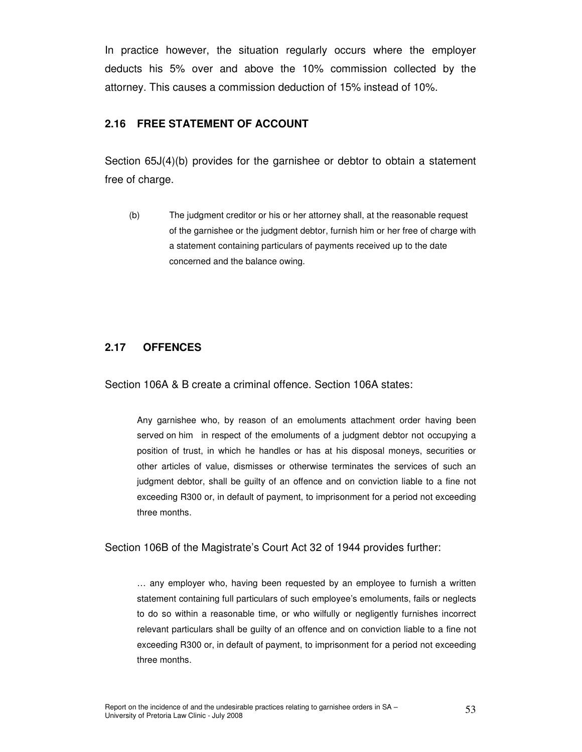In practice however, the situation regularly occurs where the employer deducts his 5% over and above the 10% commission collected by the attorney. This causes a commission deduction of 15% instead of 10%.

#### **2.16 FREE STATEMENT OF ACCOUNT**

Section 65J(4)(b) provides for the garnishee or debtor to obtain a statement free of charge.

(b) The judgment creditor or his or her attorney shall, at the reasonable request of the garnishee or the judgment debtor, furnish him or her free of charge with a statement containing particulars of payments received up to the date concerned and the balance owing.

## **2.17 OFFENCES**

Section 106A & B create a criminal offence. Section 106A states:

Any garnishee who, by reason of an emoluments attachment order having been served on him in respect of the emoluments of a judgment debtor not occupying a position of trust, in which he handles or has at his disposal moneys, securities or other articles of value, dismisses or otherwise terminates the services of such an judgment debtor, shall be guilty of an offence and on conviction liable to a fine not exceeding R300 or, in default of payment, to imprisonment for a period not exceeding three months.

Section 106B of the Magistrate's Court Act 32 of 1944 provides further:

… any employer who, having been requested by an employee to furnish a written statement containing full particulars of such employee's emoluments, fails or neglects to do so within a reasonable time, or who wilfully or negligently furnishes incorrect relevant particulars shall be guilty of an offence and on conviction liable to a fine not exceeding R300 or, in default of payment, to imprisonment for a period not exceeding three months.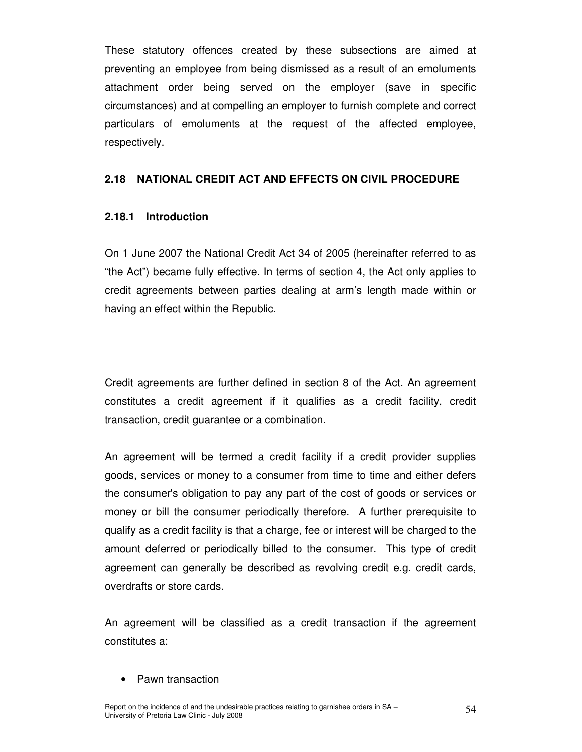These statutory offences created by these subsections are aimed at preventing an employee from being dismissed as a result of an emoluments attachment order being served on the employer (save in specific circumstances) and at compelling an employer to furnish complete and correct particulars of emoluments at the request of the affected employee, respectively.

#### **2.18 NATIONAL CREDIT ACT AND EFFECTS ON CIVIL PROCEDURE**

#### **2.18.1 Introduction**

On 1 June 2007 the National Credit Act 34 of 2005 (hereinafter referred to as "the Act") became fully effective. In terms of section 4, the Act only applies to credit agreements between parties dealing at arm's length made within or having an effect within the Republic.

Credit agreements are further defined in section 8 of the Act. An agreement constitutes a credit agreement if it qualifies as a credit facility, credit transaction, credit guarantee or a combination.

An agreement will be termed a credit facility if a credit provider supplies goods, services or money to a consumer from time to time and either defers the consumer's obligation to pay any part of the cost of goods or services or money or bill the consumer periodically therefore. A further prerequisite to qualify as a credit facility is that a charge, fee or interest will be charged to the amount deferred or periodically billed to the consumer. This type of credit agreement can generally be described as revolving credit e.g. credit cards, overdrafts or store cards.

An agreement will be classified as a credit transaction if the agreement constitutes a:

• Pawn transaction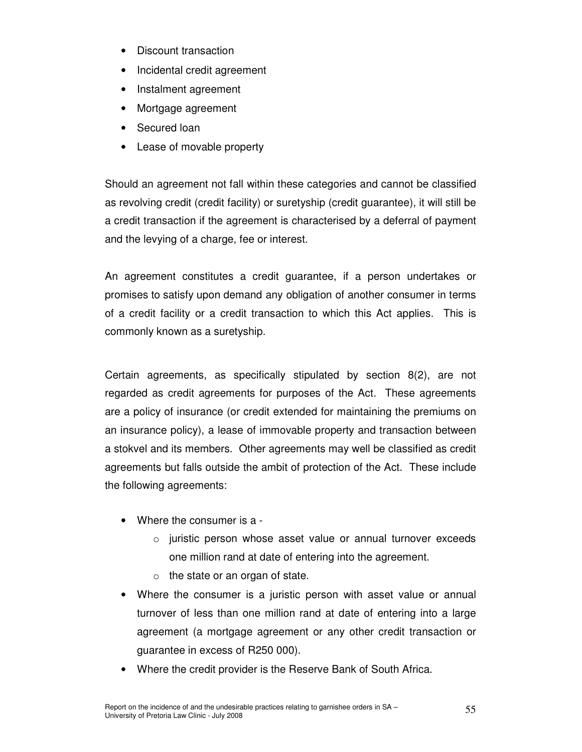- Discount transaction
- Incidental credit agreement
- Instalment agreement
- Mortgage agreement
- Secured loan
- Lease of movable property

Should an agreement not fall within these categories and cannot be classified as revolving credit (credit facility) or suretyship (credit guarantee), it will still be a credit transaction if the agreement is characterised by a deferral of payment and the levying of a charge, fee or interest.

An agreement constitutes a credit guarantee, if a person undertakes or promises to satisfy upon demand any obligation of another consumer in terms of a credit facility or a credit transaction to which this Act applies. This is commonly known as a suretyship.

Certain agreements, as specifically stipulated by section 8(2), are not regarded as credit agreements for purposes of the Act. These agreements are a policy of insurance (or credit extended for maintaining the premiums on an insurance policy), a lease of immovable property and transaction between a stokvel and its members. Other agreements may well be classified as credit agreements but falls outside the ambit of protection of the Act. These include the following agreements:

- Where the consumer is a
	- o juristic person whose asset value or annual turnover exceeds one million rand at date of entering into the agreement.
	- $\circ$  the state or an organ of state.
- Where the consumer is a juristic person with asset value or annual turnover of less than one million rand at date of entering into a large agreement (a mortgage agreement or any other credit transaction or guarantee in excess of R250 000).
- Where the credit provider is the Reserve Bank of South Africa.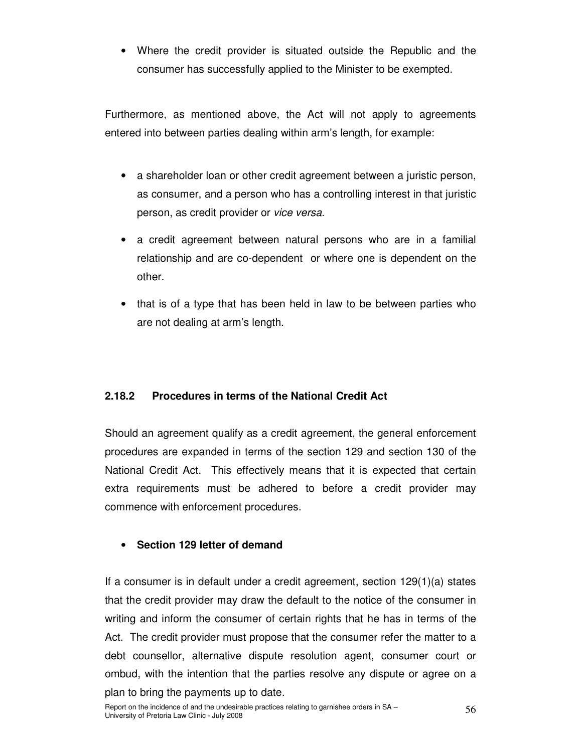• Where the credit provider is situated outside the Republic and the consumer has successfully applied to the Minister to be exempted.

Furthermore, as mentioned above, the Act will not apply to agreements entered into between parties dealing within arm's length, for example:

- a shareholder loan or other credit agreement between a juristic person, as consumer, and a person who has a controlling interest in that juristic person, as credit provider or vice versa.
- a credit agreement between natural persons who are in a familial relationship and are co-dependent or where one is dependent on the other.
- that is of a type that has been held in law to be between parties who are not dealing at arm's length.

## **2.18.2 Procedures in terms of the National Credit Act**

Should an agreement qualify as a credit agreement, the general enforcement procedures are expanded in terms of the section 129 and section 130 of the National Credit Act. This effectively means that it is expected that certain extra requirements must be adhered to before a credit provider may commence with enforcement procedures.

## • **Section 129 letter of demand**

If a consumer is in default under a credit agreement, section 129(1)(a) states that the credit provider may draw the default to the notice of the consumer in writing and inform the consumer of certain rights that he has in terms of the Act. The credit provider must propose that the consumer refer the matter to a debt counsellor, alternative dispute resolution agent, consumer court or ombud, with the intention that the parties resolve any dispute or agree on a plan to bring the payments up to date.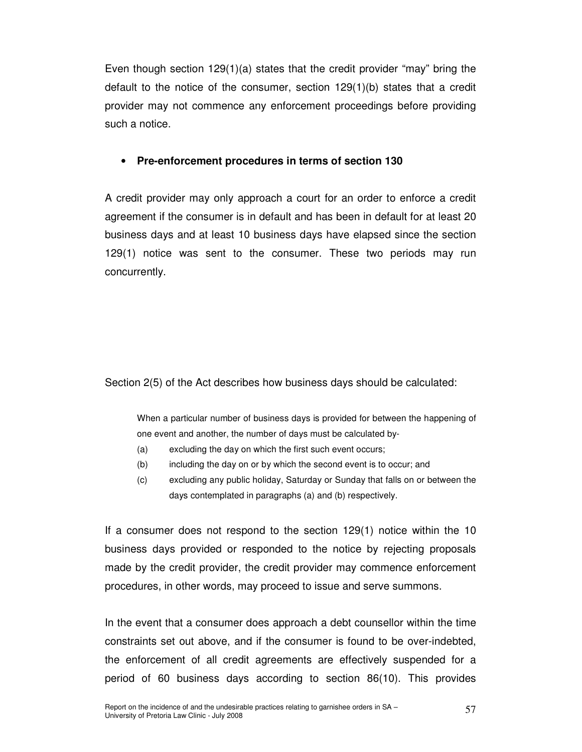Even though section 129(1)(a) states that the credit provider "may" bring the default to the notice of the consumer, section 129(1)(b) states that a credit provider may not commence any enforcement proceedings before providing such a notice.

### • **Pre-enforcement procedures in terms of section 130**

A credit provider may only approach a court for an order to enforce a credit agreement if the consumer is in default and has been in default for at least 20 business days and at least 10 business days have elapsed since the section 129(1) notice was sent to the consumer. These two periods may run concurrently.

#### Section 2(5) of the Act describes how business days should be calculated:

When a particular number of business days is provided for between the happening of one event and another, the number of days must be calculated by-

- (a) excluding the day on which the first such event occurs;
- (b) including the day on or by which the second event is to occur; and
- (c) excluding any public holiday, Saturday or Sunday that falls on or between the days contemplated in paragraphs (a) and (b) respectively.

If a consumer does not respond to the section 129(1) notice within the 10 business days provided or responded to the notice by rejecting proposals made by the credit provider, the credit provider may commence enforcement procedures, in other words, may proceed to issue and serve summons.

In the event that a consumer does approach a debt counsellor within the time constraints set out above, and if the consumer is found to be over-indebted, the enforcement of all credit agreements are effectively suspended for a period of 60 business days according to section 86(10). This provides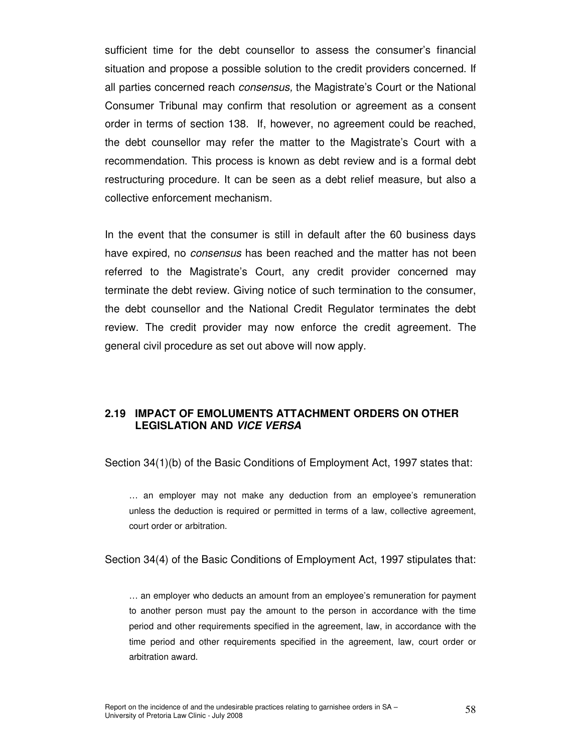sufficient time for the debt counsellor to assess the consumer's financial situation and propose a possible solution to the credit providers concerned. If all parties concerned reach *consensus*, the Magistrate's Court or the National Consumer Tribunal may confirm that resolution or agreement as a consent order in terms of section 138. If, however, no agreement could be reached, the debt counsellor may refer the matter to the Magistrate's Court with a recommendation. This process is known as debt review and is a formal debt restructuring procedure. It can be seen as a debt relief measure, but also a collective enforcement mechanism.

In the event that the consumer is still in default after the 60 business days have expired, no *consensus* has been reached and the matter has not been referred to the Magistrate's Court, any credit provider concerned may terminate the debt review. Giving notice of such termination to the consumer, the debt counsellor and the National Credit Regulator terminates the debt review. The credit provider may now enforce the credit agreement. The general civil procedure as set out above will now apply.

#### **2.19 IMPACT OF EMOLUMENTS ATTACHMENT ORDERS ON OTHER LEGISLATION AND VICE VERSA**

Section 34(1)(b) of the Basic Conditions of Employment Act, 1997 states that:

… an employer may not make any deduction from an employee's remuneration unless the deduction is required or permitted in terms of a law, collective agreement, court order or arbitration.

Section 34(4) of the Basic Conditions of Employment Act, 1997 stipulates that:

… an employer who deducts an amount from an employee's remuneration for payment to another person must pay the amount to the person in accordance with the time period and other requirements specified in the agreement, law, in accordance with the time period and other requirements specified in the agreement, law, court order or arbitration award.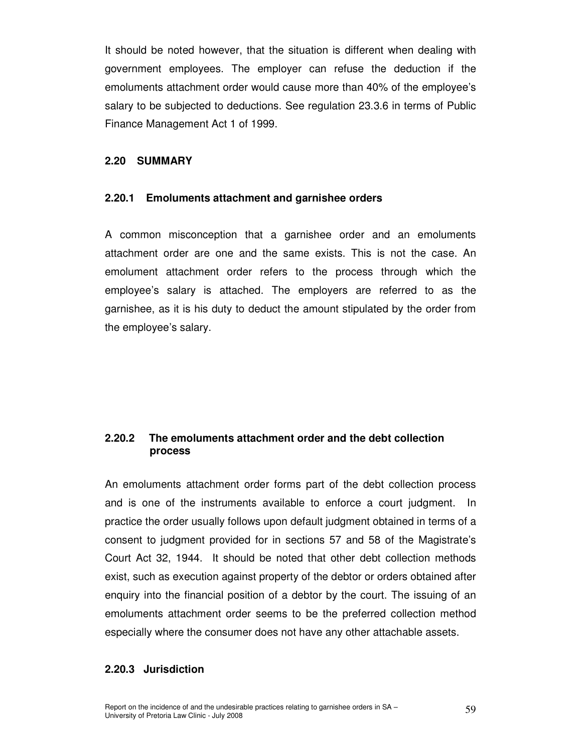It should be noted however, that the situation is different when dealing with government employees. The employer can refuse the deduction if the emoluments attachment order would cause more than 40% of the employee's salary to be subjected to deductions. See regulation 23.3.6 in terms of Public Finance Management Act 1 of 1999.

#### **2.20 SUMMARY**

#### **2.20.1 Emoluments attachment and garnishee orders**

A common misconception that a garnishee order and an emoluments attachment order are one and the same exists. This is not the case. An emolument attachment order refers to the process through which the employee's salary is attached. The employers are referred to as the garnishee, as it is his duty to deduct the amount stipulated by the order from the employee's salary.

## **2.20.2 The emoluments attachment order and the debt collection process**

An emoluments attachment order forms part of the debt collection process and is one of the instruments available to enforce a court judgment. In practice the order usually follows upon default judgment obtained in terms of a consent to judgment provided for in sections 57 and 58 of the Magistrate's Court Act 32, 1944. It should be noted that other debt collection methods exist, such as execution against property of the debtor or orders obtained after enquiry into the financial position of a debtor by the court. The issuing of an emoluments attachment order seems to be the preferred collection method especially where the consumer does not have any other attachable assets.

#### **2.20.3 Jurisdiction**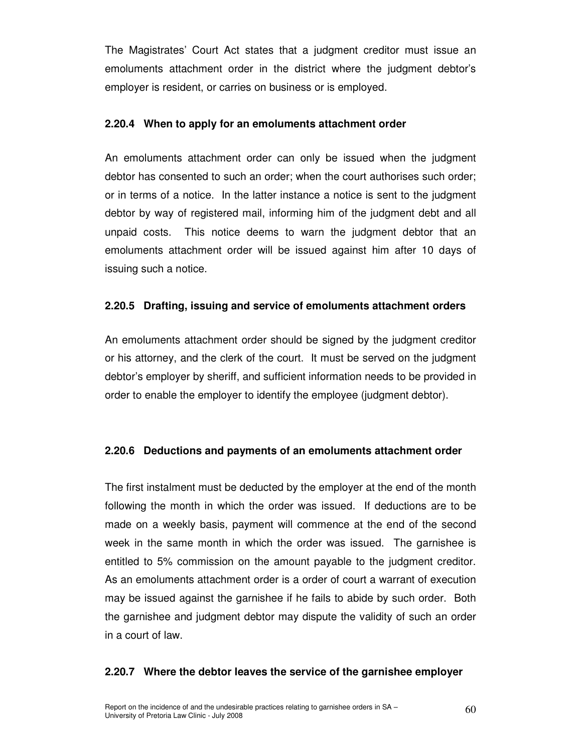The Magistrates' Court Act states that a judgment creditor must issue an emoluments attachment order in the district where the judgment debtor's employer is resident, or carries on business or is employed.

#### **2.20.4 When to apply for an emoluments attachment order**

An emoluments attachment order can only be issued when the judgment debtor has consented to such an order; when the court authorises such order; or in terms of a notice. In the latter instance a notice is sent to the judgment debtor by way of registered mail, informing him of the judgment debt and all unpaid costs. This notice deems to warn the judgment debtor that an emoluments attachment order will be issued against him after 10 days of issuing such a notice.

#### **2.20.5 Drafting, issuing and service of emoluments attachment orders**

An emoluments attachment order should be signed by the judgment creditor or his attorney, and the clerk of the court. It must be served on the judgment debtor's employer by sheriff, and sufficient information needs to be provided in order to enable the employer to identify the employee (judgment debtor).

#### **2.20.6 Deductions and payments of an emoluments attachment order**

The first instalment must be deducted by the employer at the end of the month following the month in which the order was issued. If deductions are to be made on a weekly basis, payment will commence at the end of the second week in the same month in which the order was issued. The garnishee is entitled to 5% commission on the amount payable to the judgment creditor. As an emoluments attachment order is a order of court a warrant of execution may be issued against the garnishee if he fails to abide by such order. Both the garnishee and judgment debtor may dispute the validity of such an order in a court of law.

#### **2.20.7 Where the debtor leaves the service of the garnishee employer**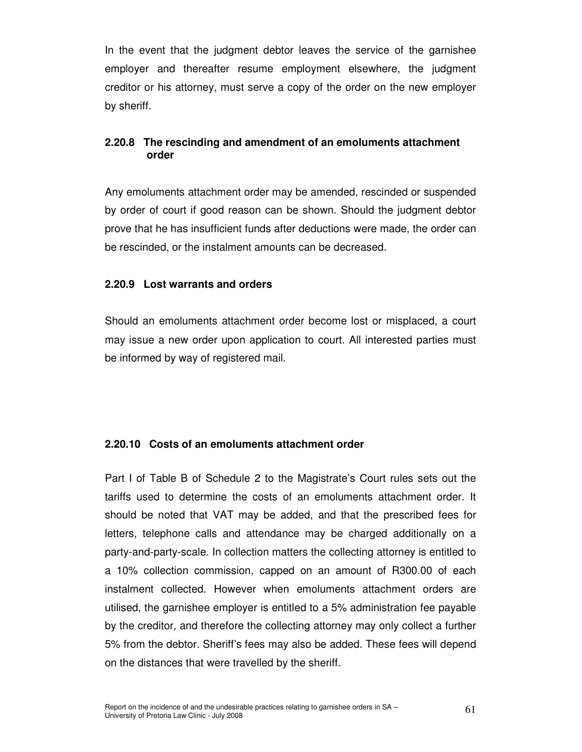In the event that the judgment debtor leaves the service of the garnishee employer and thereafter resume employment elsewhere, the judgment creditor or his attorney, must serve a copy of the order on the new employer by sheriff.

## **2.20.8 The rescinding and amendment of an emoluments attachment order**

Any emoluments attachment order may be amended, rescinded or suspended by order of court if good reason can be shown. Should the judgment debtor prove that he has insufficient funds after deductions were made, the order can be rescinded, or the instalment amounts can be decreased.

#### **2.20.9 Lost warrants and orders**

Should an emoluments attachment order become lost or misplaced, a court may issue a new order upon application to court. All interested parties must be informed by way of registered mail.

#### **2.20.10 Costs of an emoluments attachment order**

Part I of Table B of Schedule 2 to the Magistrate's Court rules sets out the tariffs used to determine the costs of an emoluments attachment order. It should be noted that VAT may be added, and that the prescribed fees for letters, telephone calls and attendance may be charged additionally on a party-and-party-scale. In collection matters the collecting attorney is entitled to a 10% collection commission, capped on an amount of R300.00 of each instalment collected. However when emoluments attachment orders are utilised, the garnishee employer is entitled to a 5% administration fee payable by the creditor, and therefore the collecting attorney may only collect a further 5% from the debtor. Sheriff's fees may also be added. These fees will depend on the distances that were travelled by the sheriff.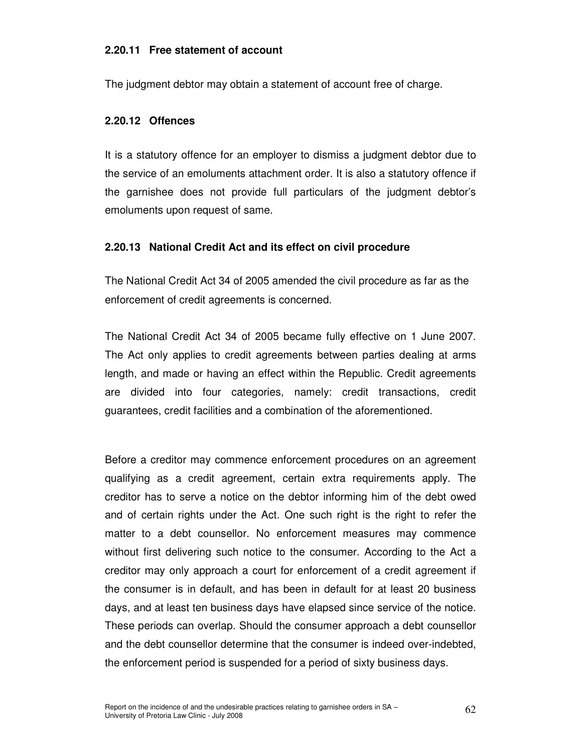#### **2.20.11 Free statement of account**

The judgment debtor may obtain a statement of account free of charge.

### **2.20.12 Offences**

It is a statutory offence for an employer to dismiss a judgment debtor due to the service of an emoluments attachment order. It is also a statutory offence if the garnishee does not provide full particulars of the judgment debtor's emoluments upon request of same.

## **2.20.13 National Credit Act and its effect on civil procedure**

The National Credit Act 34 of 2005 amended the civil procedure as far as the enforcement of credit agreements is concerned.

The National Credit Act 34 of 2005 became fully effective on 1 June 2007. The Act only applies to credit agreements between parties dealing at arms length, and made or having an effect within the Republic. Credit agreements are divided into four categories, namely: credit transactions, credit guarantees, credit facilities and a combination of the aforementioned.

Before a creditor may commence enforcement procedures on an agreement qualifying as a credit agreement, certain extra requirements apply. The creditor has to serve a notice on the debtor informing him of the debt owed and of certain rights under the Act. One such right is the right to refer the matter to a debt counsellor. No enforcement measures may commence without first delivering such notice to the consumer. According to the Act a creditor may only approach a court for enforcement of a credit agreement if the consumer is in default, and has been in default for at least 20 business days, and at least ten business days have elapsed since service of the notice. These periods can overlap. Should the consumer approach a debt counsellor and the debt counsellor determine that the consumer is indeed over-indebted, the enforcement period is suspended for a period of sixty business days.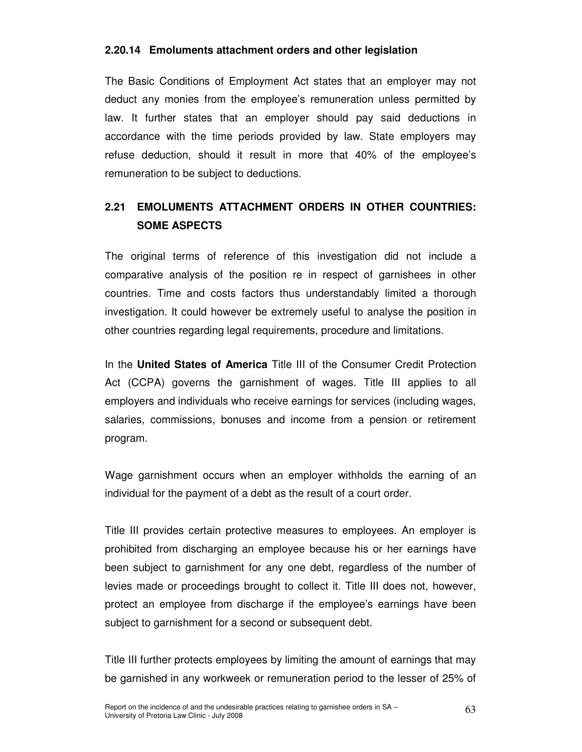#### **2.20.14 Emoluments attachment orders and other legislation**

The Basic Conditions of Employment Act states that an employer may not deduct any monies from the employee's remuneration unless permitted by law. It further states that an employer should pay said deductions in accordance with the time periods provided by law. State employers may refuse deduction, should it result in more that 40% of the employee's remuneration to be subject to deductions.

## **2.21 EMOLUMENTS ATTACHMENT ORDERS IN OTHER COUNTRIES: SOME ASPECTS**

The original terms of reference of this investigation did not include a comparative analysis of the position re in respect of garnishees in other countries. Time and costs factors thus understandably limited a thorough investigation. It could however be extremely useful to analyse the position in other countries regarding legal requirements, procedure and limitations.

In the **United States of America** Title III of the Consumer Credit Protection Act (CCPA) governs the garnishment of wages. Title III applies to all employers and individuals who receive earnings for services (including wages, salaries, commissions, bonuses and income from a pension or retirement program.

Wage garnishment occurs when an employer withholds the earning of an individual for the payment of a debt as the result of a court order.

Title III provides certain protective measures to employees. An employer is prohibited from discharging an employee because his or her earnings have been subject to garnishment for any one debt, regardless of the number of levies made or proceedings brought to collect it. Title III does not, however, protect an employee from discharge if the employee's earnings have been subject to garnishment for a second or subsequent debt.

Title III further protects employees by limiting the amount of earnings that may be garnished in any workweek or remuneration period to the lesser of 25% of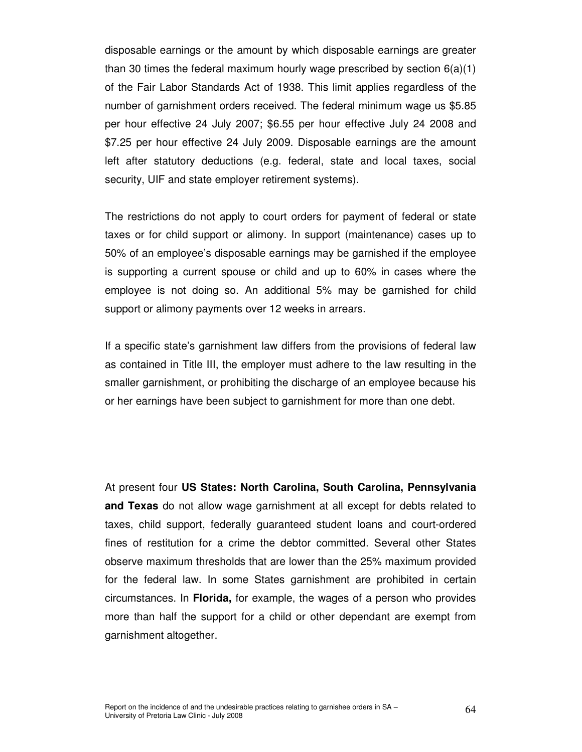disposable earnings or the amount by which disposable earnings are greater than 30 times the federal maximum hourly wage prescribed by section  $6(a)(1)$ of the Fair Labor Standards Act of 1938. This limit applies regardless of the number of garnishment orders received. The federal minimum wage us \$5.85 per hour effective 24 July 2007; \$6.55 per hour effective July 24 2008 and \$7.25 per hour effective 24 July 2009. Disposable earnings are the amount left after statutory deductions (e.g. federal, state and local taxes, social security, UIF and state employer retirement systems).

The restrictions do not apply to court orders for payment of federal or state taxes or for child support or alimony. In support (maintenance) cases up to 50% of an employee's disposable earnings may be garnished if the employee is supporting a current spouse or child and up to 60% in cases where the employee is not doing so. An additional 5% may be garnished for child support or alimony payments over 12 weeks in arrears.

If a specific state's garnishment law differs from the provisions of federal law as contained in Title III, the employer must adhere to the law resulting in the smaller garnishment, or prohibiting the discharge of an employee because his or her earnings have been subject to garnishment for more than one debt.

At present four **US States: North Carolina, South Carolina, Pennsylvania and Texas** do not allow wage garnishment at all except for debts related to taxes, child support, federally guaranteed student loans and court-ordered fines of restitution for a crime the debtor committed. Several other States observe maximum thresholds that are lower than the 25% maximum provided for the federal law. In some States garnishment are prohibited in certain circumstances. In **Florida,** for example, the wages of a person who provides more than half the support for a child or other dependant are exempt from garnishment altogether.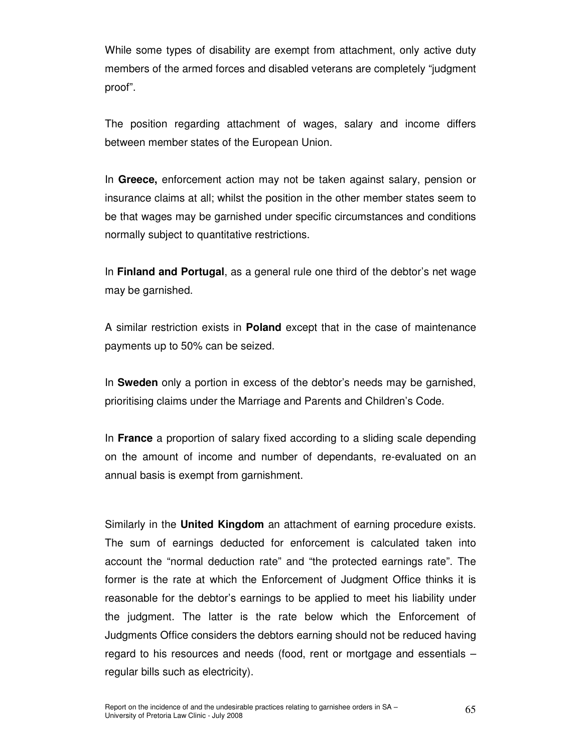While some types of disability are exempt from attachment, only active duty members of the armed forces and disabled veterans are completely "judgment proof".

The position regarding attachment of wages, salary and income differs between member states of the European Union.

In **Greece,** enforcement action may not be taken against salary, pension or insurance claims at all; whilst the position in the other member states seem to be that wages may be garnished under specific circumstances and conditions normally subject to quantitative restrictions.

In **Finland and Portugal**, as a general rule one third of the debtor's net wage may be garnished.

A similar restriction exists in **Poland** except that in the case of maintenance payments up to 50% can be seized.

In **Sweden** only a portion in excess of the debtor's needs may be garnished, prioritising claims under the Marriage and Parents and Children's Code.

In **France** a proportion of salary fixed according to a sliding scale depending on the amount of income and number of dependants, re-evaluated on an annual basis is exempt from garnishment.

Similarly in the **United Kingdom** an attachment of earning procedure exists. The sum of earnings deducted for enforcement is calculated taken into account the "normal deduction rate" and "the protected earnings rate". The former is the rate at which the Enforcement of Judgment Office thinks it is reasonable for the debtor's earnings to be applied to meet his liability under the judgment. The latter is the rate below which the Enforcement of Judgments Office considers the debtors earning should not be reduced having regard to his resources and needs (food, rent or mortgage and essentials – regular bills such as electricity).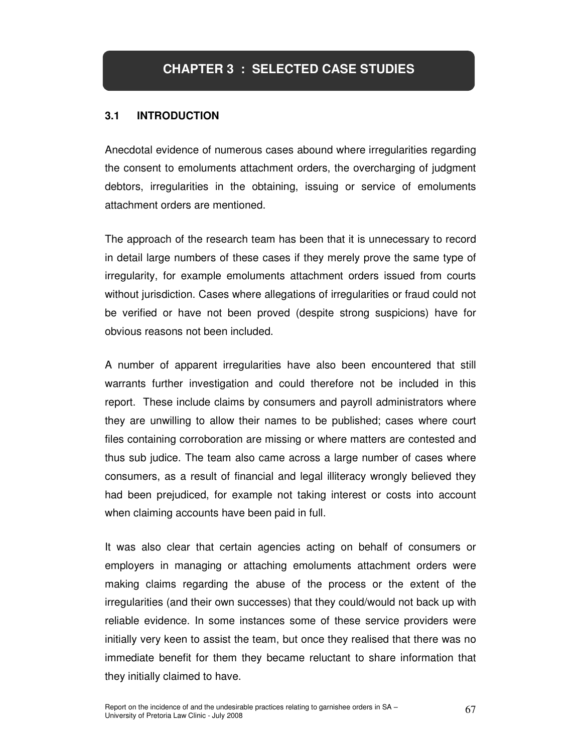## **3.1 INTRODUCTION**

Anecdotal evidence of numerous cases abound where irregularities regarding the consent to emoluments attachment orders, the overcharging of judgment debtors, irregularities in the obtaining, issuing or service of emoluments attachment orders are mentioned.

The approach of the research team has been that it is unnecessary to record in detail large numbers of these cases if they merely prove the same type of irregularity, for example emoluments attachment orders issued from courts without jurisdiction. Cases where allegations of irregularities or fraud could not be verified or have not been proved (despite strong suspicions) have for obvious reasons not been included.

A number of apparent irregularities have also been encountered that still warrants further investigation and could therefore not be included in this report. These include claims by consumers and payroll administrators where they are unwilling to allow their names to be published; cases where court files containing corroboration are missing or where matters are contested and thus sub judice. The team also came across a large number of cases where consumers, as a result of financial and legal illiteracy wrongly believed they had been prejudiced, for example not taking interest or costs into account when claiming accounts have been paid in full.

It was also clear that certain agencies acting on behalf of consumers or employers in managing or attaching emoluments attachment orders were making claims regarding the abuse of the process or the extent of the irregularities (and their own successes) that they could/would not back up with reliable evidence. In some instances some of these service providers were initially very keen to assist the team, but once they realised that there was no immediate benefit for them they became reluctant to share information that they initially claimed to have.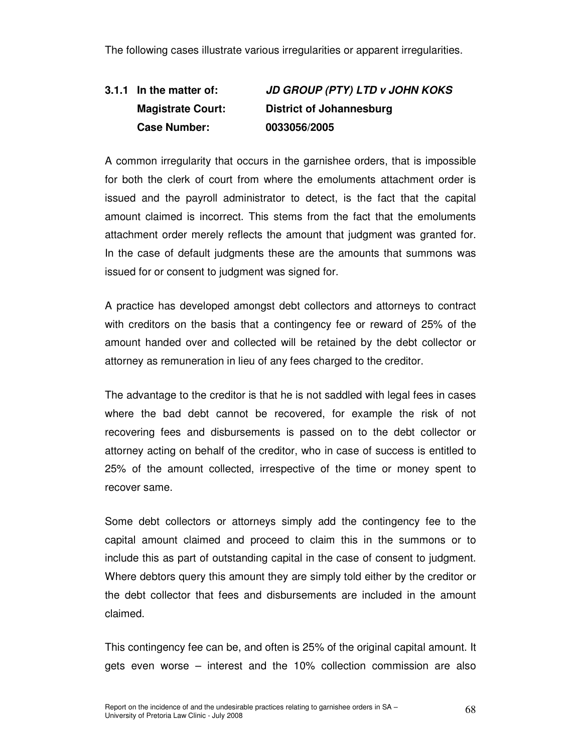The following cases illustrate various irregularities or apparent irregularities.

## **3.1.1 In the matter of: JD GROUP (PTY) LTD v JOHN KOKS Magistrate Court: District of Johannesburg Case Number: 0033056/2005**

A common irregularity that occurs in the garnishee orders, that is impossible for both the clerk of court from where the emoluments attachment order is issued and the payroll administrator to detect, is the fact that the capital amount claimed is incorrect. This stems from the fact that the emoluments attachment order merely reflects the amount that judgment was granted for. In the case of default judgments these are the amounts that summons was issued for or consent to judgment was signed for.

A practice has developed amongst debt collectors and attorneys to contract with creditors on the basis that a contingency fee or reward of 25% of the amount handed over and collected will be retained by the debt collector or attorney as remuneration in lieu of any fees charged to the creditor.

The advantage to the creditor is that he is not saddled with legal fees in cases where the bad debt cannot be recovered, for example the risk of not recovering fees and disbursements is passed on to the debt collector or attorney acting on behalf of the creditor, who in case of success is entitled to 25% of the amount collected, irrespective of the time or money spent to recover same.

Some debt collectors or attorneys simply add the contingency fee to the capital amount claimed and proceed to claim this in the summons or to include this as part of outstanding capital in the case of consent to judgment. Where debtors query this amount they are simply told either by the creditor or the debt collector that fees and disbursements are included in the amount claimed.

This contingency fee can be, and often is 25% of the original capital amount. It gets even worse – interest and the 10% collection commission are also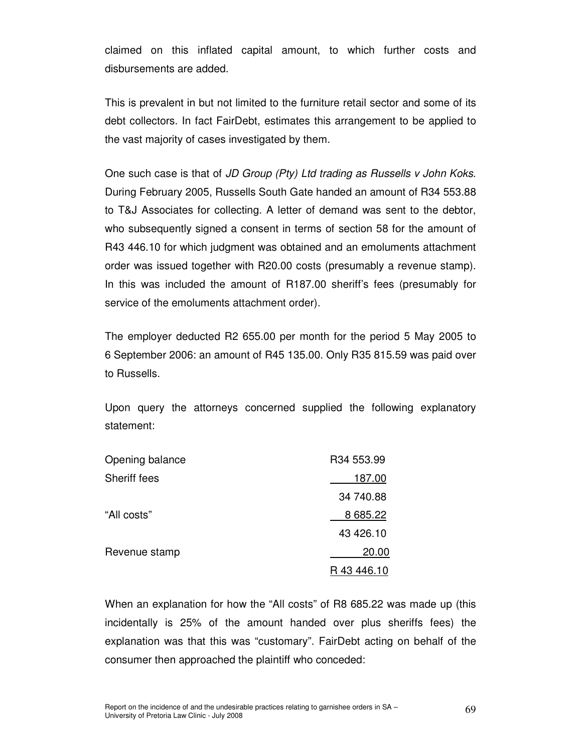claimed on this inflated capital amount, to which further costs and disbursements are added.

This is prevalent in but not limited to the furniture retail sector and some of its debt collectors. In fact FairDebt, estimates this arrangement to be applied to the vast majority of cases investigated by them.

One such case is that of JD Group (Pty) Ltd trading as Russells v John Koks. During February 2005, Russells South Gate handed an amount of R34 553.88 to T&J Associates for collecting. A letter of demand was sent to the debtor, who subsequently signed a consent in terms of section 58 for the amount of R43 446.10 for which judgment was obtained and an emoluments attachment order was issued together with R20.00 costs (presumably a revenue stamp). In this was included the amount of R187.00 sheriff's fees (presumably for service of the emoluments attachment order).

The employer deducted R2 655.00 per month for the period 5 May 2005 to 6 September 2006: an amount of R45 135.00. Only R35 815.59 was paid over to Russells.

Upon query the attorneys concerned supplied the following explanatory statement:

| Opening balance     | R34 553.99  |
|---------------------|-------------|
| <b>Sheriff fees</b> | 187.00      |
|                     | 34 740.88   |
| "All costs"         | 8 685.22    |
|                     | 43 426.10   |
| Revenue stamp       | 20.00       |
|                     | R 43 446.10 |

When an explanation for how the "All costs" of R8 685.22 was made up (this incidentally is 25% of the amount handed over plus sheriffs fees) the explanation was that this was "customary". FairDebt acting on behalf of the consumer then approached the plaintiff who conceded: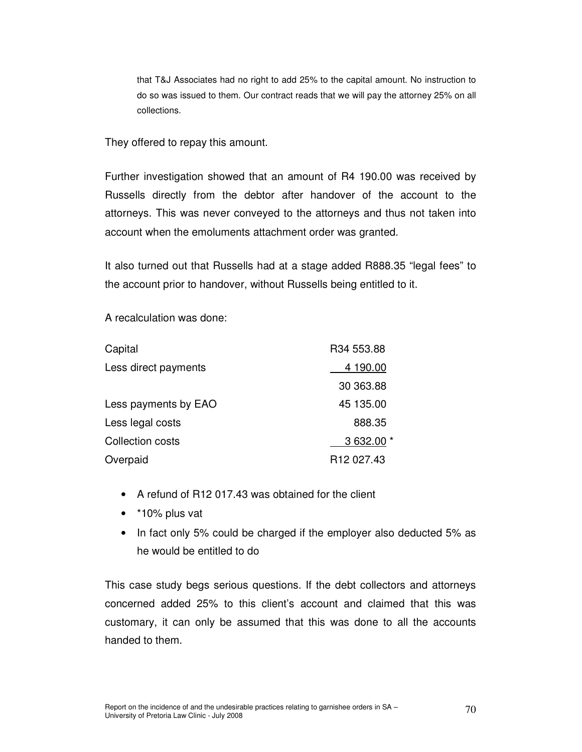that T&J Associates had no right to add 25% to the capital amount. No instruction to do so was issued to them. Our contract reads that we will pay the attorney 25% on all collections.

They offered to repay this amount.

Further investigation showed that an amount of R4 190.00 was received by Russells directly from the debtor after handover of the account to the attorneys. This was never conveyed to the attorneys and thus not taken into account when the emoluments attachment order was granted.

It also turned out that Russells had at a stage added R888.35 "legal fees" to the account prior to handover, without Russells being entitled to it.

A recalculation was done:

| Capital              | R34 553.88             |
|----------------------|------------------------|
| Less direct payments | 4 190.00               |
|                      | 30 363.88              |
| Less payments by EAO | 45 135.00              |
| Less legal costs     | 888.35                 |
| Collection costs     | 3 632.00 *             |
| Overpaid             | R <sub>12</sub> 027.43 |

- A refund of R12 017.43 was obtained for the client
- \*10% plus vat
- In fact only 5% could be charged if the employer also deducted 5% as he would be entitled to do

This case study begs serious questions. If the debt collectors and attorneys concerned added 25% to this client's account and claimed that this was customary, it can only be assumed that this was done to all the accounts handed to them.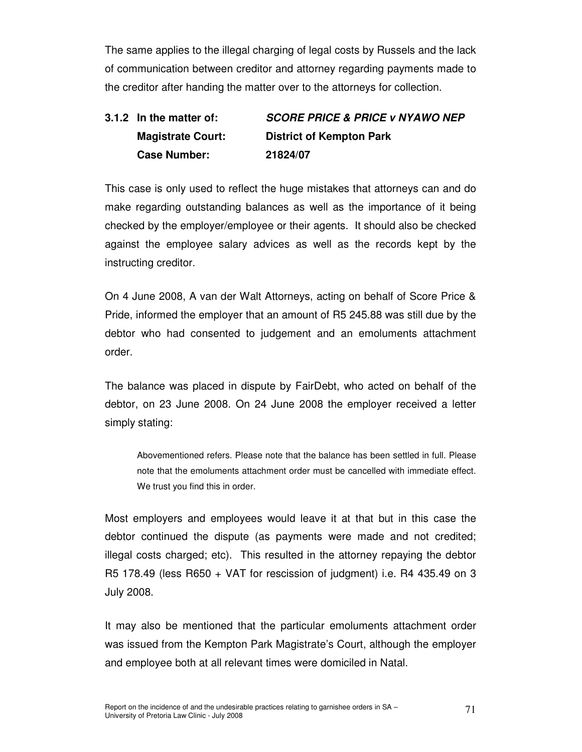The same applies to the illegal charging of legal costs by Russels and the lack of communication between creditor and attorney regarding payments made to the creditor after handing the matter over to the attorneys for collection.

# **3.1.2 In the matter of: SCORE PRICE & PRICE v NYAWO NEP Magistrate Court: District of Kempton Park Case Number: 21824/07**

This case is only used to reflect the huge mistakes that attorneys can and do make regarding outstanding balances as well as the importance of it being checked by the employer/employee or their agents. It should also be checked against the employee salary advices as well as the records kept by the instructing creditor.

On 4 June 2008, A van der Walt Attorneys, acting on behalf of Score Price & Pride, informed the employer that an amount of R5 245.88 was still due by the debtor who had consented to judgement and an emoluments attachment order.

The balance was placed in dispute by FairDebt, who acted on behalf of the debtor, on 23 June 2008. On 24 June 2008 the employer received a letter simply stating:

Abovementioned refers. Please note that the balance has been settled in full. Please note that the emoluments attachment order must be cancelled with immediate effect. We trust you find this in order.

Most employers and employees would leave it at that but in this case the debtor continued the dispute (as payments were made and not credited; illegal costs charged; etc). This resulted in the attorney repaying the debtor R5 178.49 (less R650 + VAT for rescission of judgment) i.e. R4 435.49 on 3 July 2008.

It may also be mentioned that the particular emoluments attachment order was issued from the Kempton Park Magistrate's Court, although the employer and employee both at all relevant times were domiciled in Natal.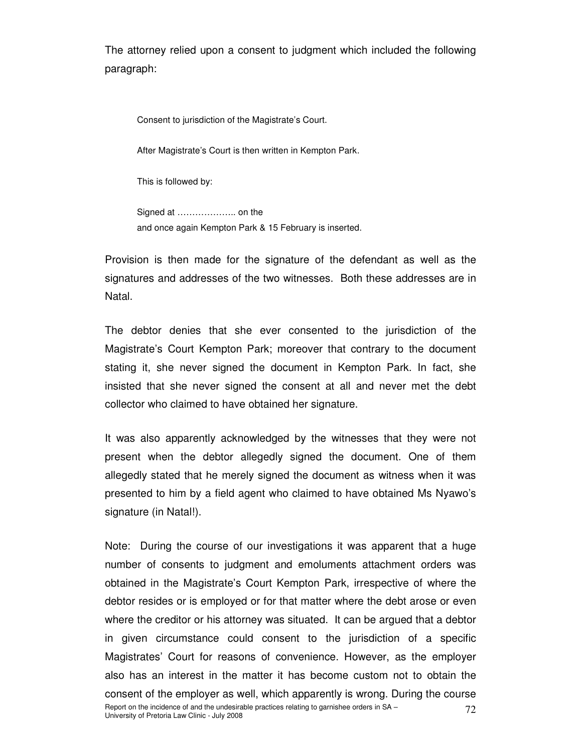The attorney relied upon a consent to judgment which included the following paragraph:

Consent to jurisdiction of the Magistrate's Court.

After Magistrate's Court is then written in Kempton Park.

This is followed by:

 Signed at ……………….. on the and once again Kempton Park & 15 February is inserted.

Provision is then made for the signature of the defendant as well as the signatures and addresses of the two witnesses. Both these addresses are in Natal.

The debtor denies that she ever consented to the jurisdiction of the Magistrate's Court Kempton Park; moreover that contrary to the document stating it, she never signed the document in Kempton Park. In fact, she insisted that she never signed the consent at all and never met the debt collector who claimed to have obtained her signature.

It was also apparently acknowledged by the witnesses that they were not present when the debtor allegedly signed the document. One of them allegedly stated that he merely signed the document as witness when it was presented to him by a field agent who claimed to have obtained Ms Nyawo's signature (in Natal!).

Report on the incidence of and the undesirable practices relating to garnishee orders in SA –  $72$ <br>University of Pretoria Law Clinic - July 2008 Note: During the course of our investigations it was apparent that a huge number of consents to judgment and emoluments attachment orders was obtained in the Magistrate's Court Kempton Park, irrespective of where the debtor resides or is employed or for that matter where the debt arose or even where the creditor or his attorney was situated. It can be argued that a debtor in given circumstance could consent to the jurisdiction of a specific Magistrates' Court for reasons of convenience. However, as the employer also has an interest in the matter it has become custom not to obtain the consent of the employer as well, which apparently is wrong. During the course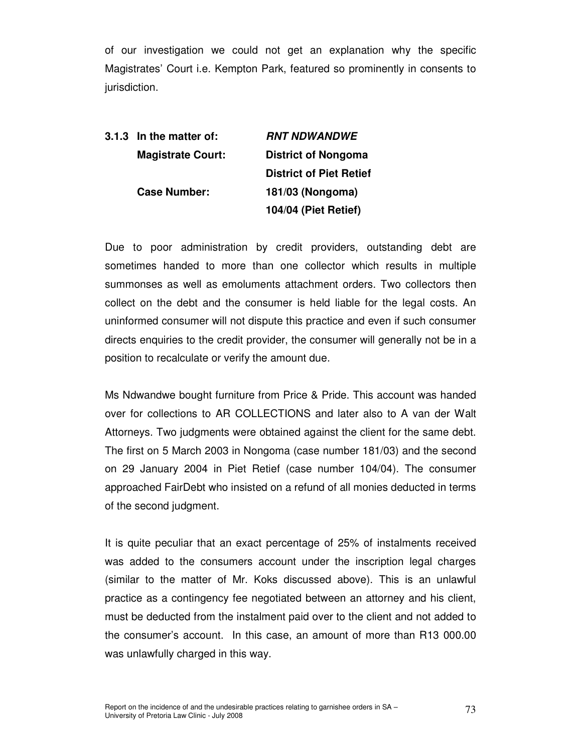of our investigation we could not get an explanation why the specific Magistrates' Court i.e. Kempton Park, featured so prominently in consents to jurisdiction.

| 3.1.3 In the matter of:  | <i><b>RNT NDWANDWE</b></i>     |
|--------------------------|--------------------------------|
| <b>Magistrate Court:</b> | <b>District of Nongoma</b>     |
|                          | <b>District of Piet Retief</b> |
| <b>Case Number:</b>      | 181/03 (Nongoma)               |
|                          | <b>104/04 (Piet Retief)</b>    |

Due to poor administration by credit providers, outstanding debt are sometimes handed to more than one collector which results in multiple summonses as well as emoluments attachment orders. Two collectors then collect on the debt and the consumer is held liable for the legal costs. An uninformed consumer will not dispute this practice and even if such consumer directs enquiries to the credit provider, the consumer will generally not be in a position to recalculate or verify the amount due.

Ms Ndwandwe bought furniture from Price & Pride. This account was handed over for collections to AR COLLECTIONS and later also to A van der Walt Attorneys. Two judgments were obtained against the client for the same debt. The first on 5 March 2003 in Nongoma (case number 181/03) and the second on 29 January 2004 in Piet Retief (case number 104/04). The consumer approached FairDebt who insisted on a refund of all monies deducted in terms of the second judgment.

It is quite peculiar that an exact percentage of 25% of instalments received was added to the consumers account under the inscription legal charges (similar to the matter of Mr. Koks discussed above). This is an unlawful practice as a contingency fee negotiated between an attorney and his client, must be deducted from the instalment paid over to the client and not added to the consumer's account. In this case, an amount of more than R13 000.00 was unlawfully charged in this way.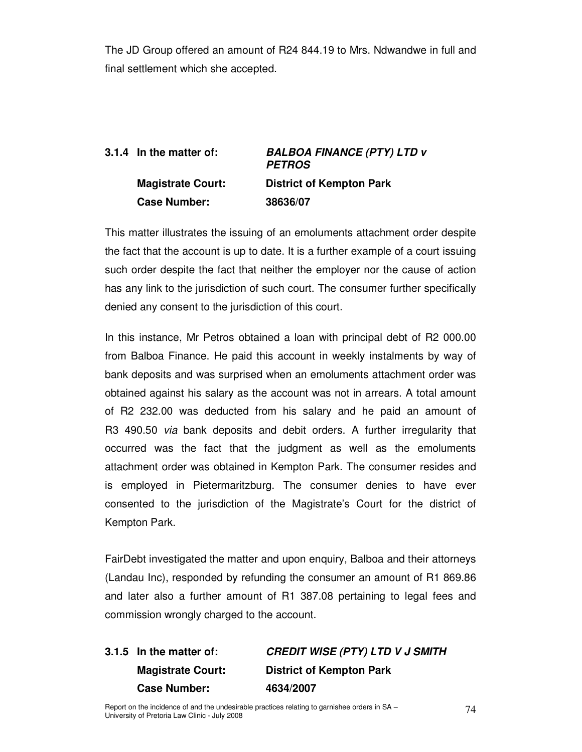The JD Group offered an amount of R24 844.19 to Mrs. Ndwandwe in full and final settlement which she accepted.

## **3.1.4 In the matter of: BALBOA FINANCE (PTY) LTD v PETROS Magistrate Court: District of Kempton Park Case Number: 38636/07**

This matter illustrates the issuing of an emoluments attachment order despite the fact that the account is up to date. It is a further example of a court issuing such order despite the fact that neither the employer nor the cause of action has any link to the jurisdiction of such court. The consumer further specifically denied any consent to the jurisdiction of this court.

In this instance, Mr Petros obtained a loan with principal debt of R2 000.00 from Balboa Finance. He paid this account in weekly instalments by way of bank deposits and was surprised when an emoluments attachment order was obtained against his salary as the account was not in arrears. A total amount of R2 232.00 was deducted from his salary and he paid an amount of R3 490.50 via bank deposits and debit orders. A further irregularity that occurred was the fact that the judgment as well as the emoluments attachment order was obtained in Kempton Park. The consumer resides and is employed in Pietermaritzburg. The consumer denies to have ever consented to the jurisdiction of the Magistrate's Court for the district of Kempton Park.

FairDebt investigated the matter and upon enquiry, Balboa and their attorneys (Landau Inc), responded by refunding the consumer an amount of R1 869.86 and later also a further amount of R1 387.08 pertaining to legal fees and commission wrongly charged to the account.

# **3.1.5 In the matter of: CREDIT WISE (PTY) LTD V J SMITH Magistrate Court: District of Kempton Park Case Number: 4634/2007**

Report on the incidence of and the undesirable practices relating to garnishee orders in SA – 74<br>University of Pretoria Law Clinic - July 2008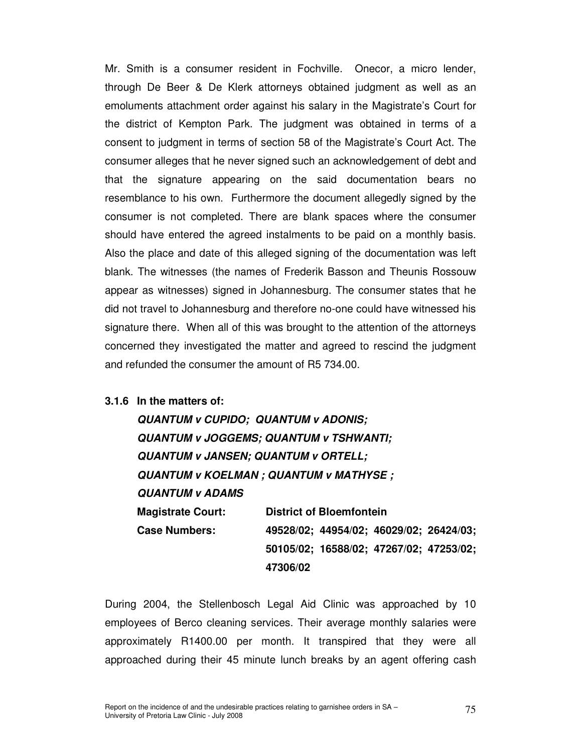Mr. Smith is a consumer resident in Fochville. Onecor, a micro lender, through De Beer & De Klerk attorneys obtained judgment as well as an emoluments attachment order against his salary in the Magistrate's Court for the district of Kempton Park. The judgment was obtained in terms of a consent to judgment in terms of section 58 of the Magistrate's Court Act. The consumer alleges that he never signed such an acknowledgement of debt and that the signature appearing on the said documentation bears no resemblance to his own. Furthermore the document allegedly signed by the consumer is not completed. There are blank spaces where the consumer should have entered the agreed instalments to be paid on a monthly basis. Also the place and date of this alleged signing of the documentation was left blank. The witnesses (the names of Frederik Basson and Theunis Rossouw appear as witnesses) signed in Johannesburg. The consumer states that he did not travel to Johannesburg and therefore no-one could have witnessed his signature there. When all of this was brought to the attention of the attorneys concerned they investigated the matter and agreed to rescind the judgment and refunded the consumer the amount of R5 734.00.

#### **3.1.6 In the matters of:**

**QUANTUM v CUPIDO; QUANTUM v ADONIS; QUANTUM v JOGGEMS; QUANTUM v TSHWANTI; QUANTUM v JANSEN; QUANTUM v ORTELL; QUANTUM v KOELMAN ; QUANTUM v MATHYSE ; QUANTUM v ADAMS Magistrate Court: District of Bloemfontein Case Numbers: 49528/02; 44954/02; 46029/02; 26424/03; 50105/02; 16588/02; 47267/02; 47253/02; 47306/02** 

During 2004, the Stellenbosch Legal Aid Clinic was approached by 10 employees of Berco cleaning services. Their average monthly salaries were approximately R1400.00 per month. It transpired that they were all approached during their 45 minute lunch breaks by an agent offering cash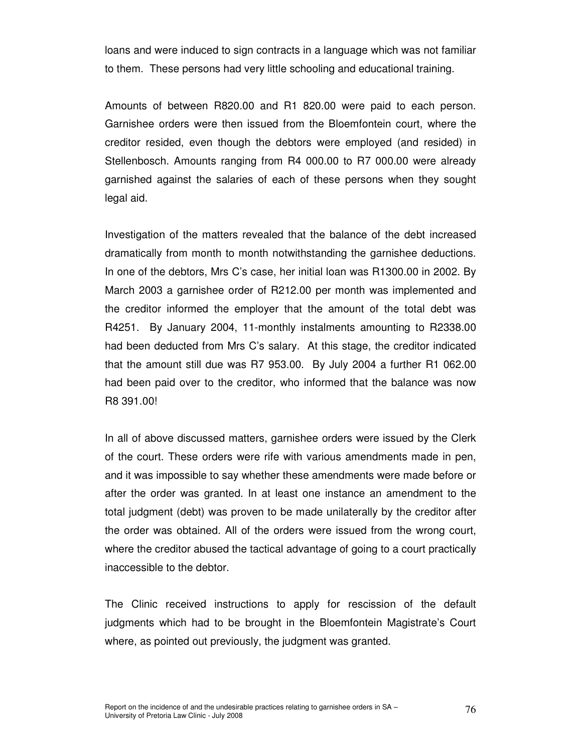loans and were induced to sign contracts in a language which was not familiar to them. These persons had very little schooling and educational training.

Amounts of between R820.00 and R1 820.00 were paid to each person. Garnishee orders were then issued from the Bloemfontein court, where the creditor resided, even though the debtors were employed (and resided) in Stellenbosch. Amounts ranging from R4 000.00 to R7 000.00 were already garnished against the salaries of each of these persons when they sought legal aid.

Investigation of the matters revealed that the balance of the debt increased dramatically from month to month notwithstanding the garnishee deductions. In one of the debtors, Mrs C's case, her initial loan was R1300.00 in 2002. By March 2003 a garnishee order of R212.00 per month was implemented and the creditor informed the employer that the amount of the total debt was R4251. By January 2004, 11-monthly instalments amounting to R2338.00 had been deducted from Mrs C's salary. At this stage, the creditor indicated that the amount still due was R7 953.00. By July 2004 a further R1 062.00 had been paid over to the creditor, who informed that the balance was now R8 391.00!

In all of above discussed matters, garnishee orders were issued by the Clerk of the court. These orders were rife with various amendments made in pen, and it was impossible to say whether these amendments were made before or after the order was granted. In at least one instance an amendment to the total judgment (debt) was proven to be made unilaterally by the creditor after the order was obtained. All of the orders were issued from the wrong court, where the creditor abused the tactical advantage of going to a court practically inaccessible to the debtor.

The Clinic received instructions to apply for rescission of the default judgments which had to be brought in the Bloemfontein Magistrate's Court where, as pointed out previously, the judgment was granted.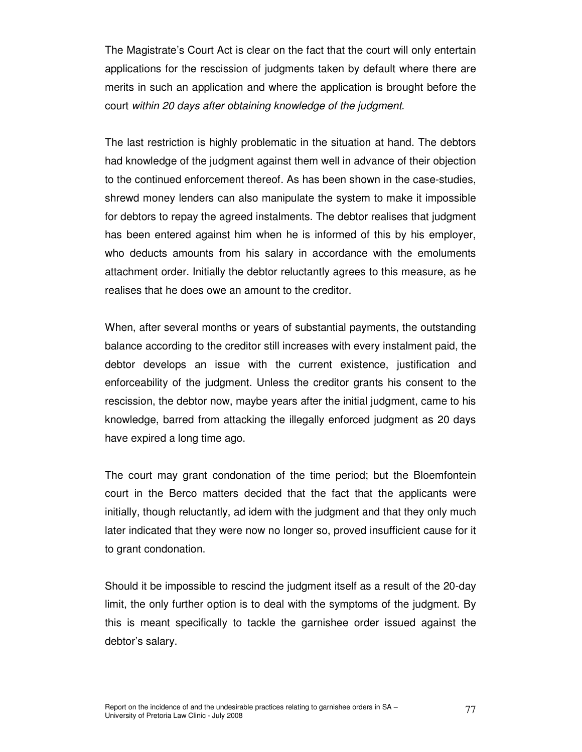The Magistrate's Court Act is clear on the fact that the court will only entertain applications for the rescission of judgments taken by default where there are merits in such an application and where the application is brought before the court within 20 days after obtaining knowledge of the judgment.

The last restriction is highly problematic in the situation at hand. The debtors had knowledge of the judgment against them well in advance of their objection to the continued enforcement thereof. As has been shown in the case-studies, shrewd money lenders can also manipulate the system to make it impossible for debtors to repay the agreed instalments. The debtor realises that judgment has been entered against him when he is informed of this by his employer, who deducts amounts from his salary in accordance with the emoluments attachment order. Initially the debtor reluctantly agrees to this measure, as he realises that he does owe an amount to the creditor.

When, after several months or years of substantial payments, the outstanding balance according to the creditor still increases with every instalment paid, the debtor develops an issue with the current existence, justification and enforceability of the judgment. Unless the creditor grants his consent to the rescission, the debtor now, maybe years after the initial judgment, came to his knowledge, barred from attacking the illegally enforced judgment as 20 days have expired a long time ago.

The court may grant condonation of the time period; but the Bloemfontein court in the Berco matters decided that the fact that the applicants were initially, though reluctantly, ad idem with the judgment and that they only much later indicated that they were now no longer so, proved insufficient cause for it to grant condonation.

Should it be impossible to rescind the judgment itself as a result of the 20-day limit, the only further option is to deal with the symptoms of the judgment. By this is meant specifically to tackle the garnishee order issued against the debtor's salary.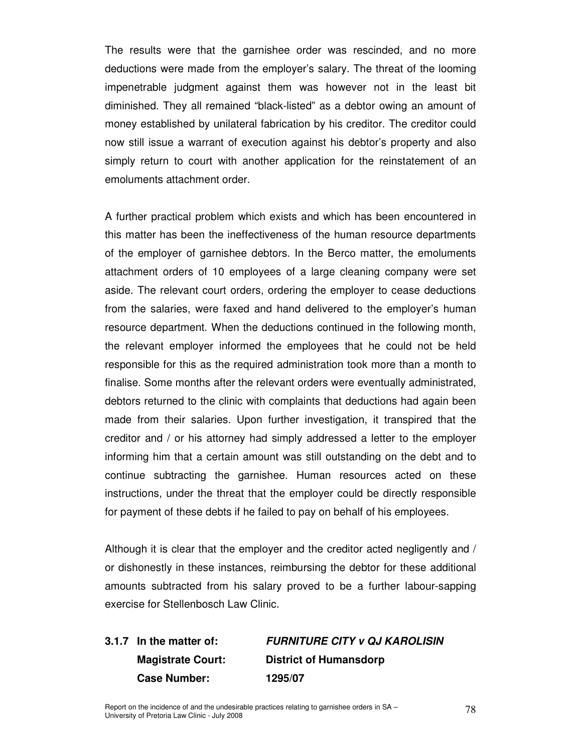The results were that the garnishee order was rescinded, and no more deductions were made from the employer's salary. The threat of the looming impenetrable judgment against them was however not in the least bit diminished. They all remained "black-listed" as a debtor owing an amount of money established by unilateral fabrication by his creditor. The creditor could now still issue a warrant of execution against his debtor's property and also simply return to court with another application for the reinstatement of an emoluments attachment order.

A further practical problem which exists and which has been encountered in this matter has been the ineffectiveness of the human resource departments of the employer of garnishee debtors. In the Berco matter, the emoluments attachment orders of 10 employees of a large cleaning company were set aside. The relevant court orders, ordering the employer to cease deductions from the salaries, were faxed and hand delivered to the employer's human resource department. When the deductions continued in the following month, the relevant employer informed the employees that he could not be held responsible for this as the required administration took more than a month to finalise. Some months after the relevant orders were eventually administrated, debtors returned to the clinic with complaints that deductions had again been made from their salaries. Upon further investigation, it transpired that the creditor and / or his attorney had simply addressed a letter to the employer informing him that a certain amount was still outstanding on the debt and to continue subtracting the garnishee. Human resources acted on these instructions, under the threat that the employer could be directly responsible for payment of these debts if he failed to pay on behalf of his employees.

Although it is clear that the employer and the creditor acted negligently and / or dishonestly in these instances, reimbursing the debtor for these additional amounts subtracted from his salary proved to be a further labour-sapping exercise for Stellenbosch Law Clinic.

**3.1.7 In the matter of: FURNITURE CITY v QJ KAROLISIN Magistrate Court: District of Humansdorp Case Number: 1295/07**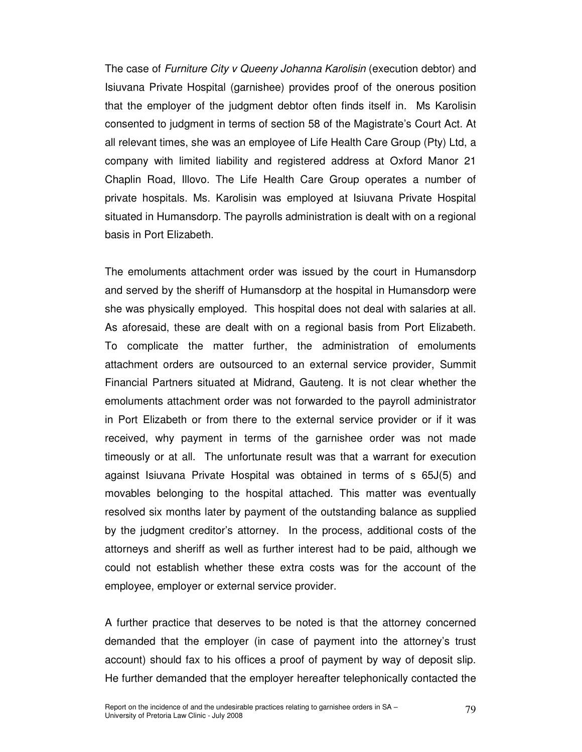The case of Furniture City v Queeny Johanna Karolisin (execution debtor) and Isiuvana Private Hospital (garnishee) provides proof of the onerous position that the employer of the judgment debtor often finds itself in. Ms Karolisin consented to judgment in terms of section 58 of the Magistrate's Court Act. At all relevant times, she was an employee of Life Health Care Group (Pty) Ltd, a company with limited liability and registered address at Oxford Manor 21 Chaplin Road, Illovo. The Life Health Care Group operates a number of private hospitals. Ms. Karolisin was employed at Isiuvana Private Hospital situated in Humansdorp. The payrolls administration is dealt with on a regional basis in Port Elizabeth.

The emoluments attachment order was issued by the court in Humansdorp and served by the sheriff of Humansdorp at the hospital in Humansdorp were she was physically employed. This hospital does not deal with salaries at all. As aforesaid, these are dealt with on a regional basis from Port Elizabeth. To complicate the matter further, the administration of emoluments attachment orders are outsourced to an external service provider, Summit Financial Partners situated at Midrand, Gauteng. It is not clear whether the emoluments attachment order was not forwarded to the payroll administrator in Port Elizabeth or from there to the external service provider or if it was received, why payment in terms of the garnishee order was not made timeously or at all. The unfortunate result was that a warrant for execution against Isiuvana Private Hospital was obtained in terms of s 65J(5) and movables belonging to the hospital attached. This matter was eventually resolved six months later by payment of the outstanding balance as supplied by the judgment creditor's attorney. In the process, additional costs of the attorneys and sheriff as well as further interest had to be paid, although we could not establish whether these extra costs was for the account of the employee, employer or external service provider.

A further practice that deserves to be noted is that the attorney concerned demanded that the employer (in case of payment into the attorney's trust account) should fax to his offices a proof of payment by way of deposit slip. He further demanded that the employer hereafter telephonically contacted the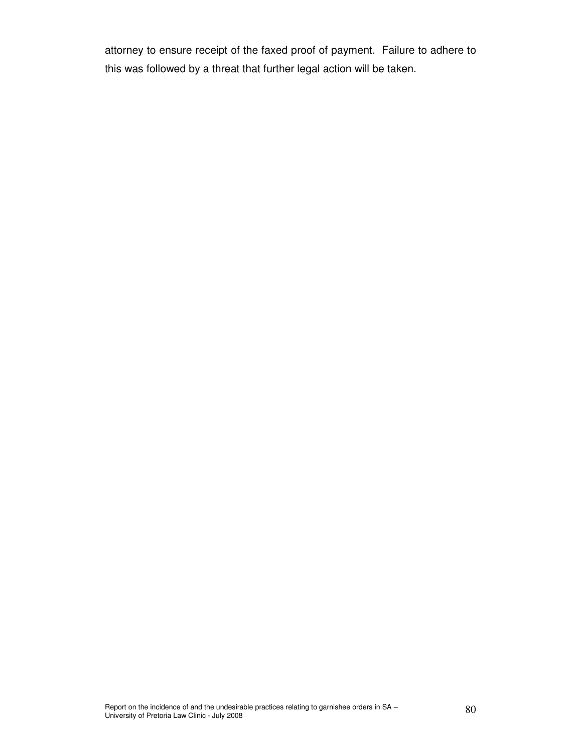attorney to ensure receipt of the faxed proof of payment. Failure to adhere to this was followed by a threat that further legal action will be taken.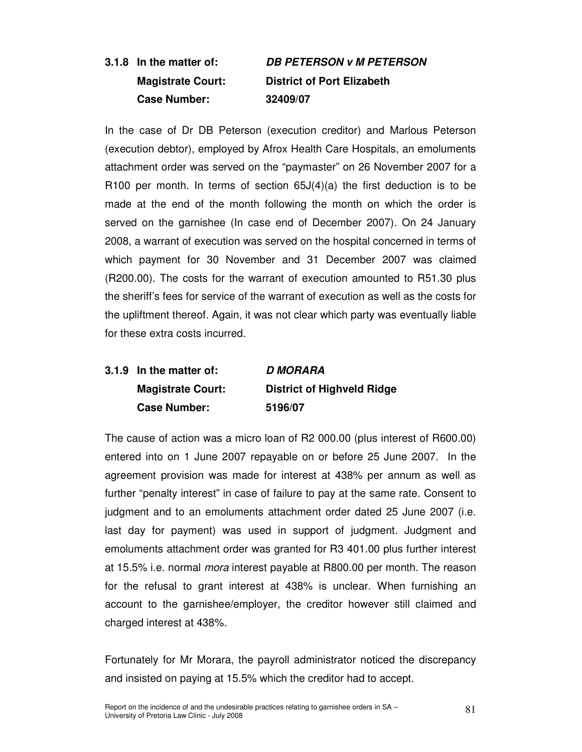# **3.1.8 In the matter of: DB PETERSON v M PETERSON Magistrate Court: District of Port Elizabeth Case Number: 32409/07**

In the case of Dr DB Peterson (execution creditor) and Marlous Peterson (execution debtor), employed by Afrox Health Care Hospitals, an emoluments attachment order was served on the "paymaster" on 26 November 2007 for a R100 per month. In terms of section  $65J(4)(a)$  the first deduction is to be made at the end of the month following the month on which the order is served on the garnishee (In case end of December 2007). On 24 January 2008, a warrant of execution was served on the hospital concerned in terms of which payment for 30 November and 31 December 2007 was claimed (R200.00). The costs for the warrant of execution amounted to R51.30 plus the sheriff's fees for service of the warrant of execution as well as the costs for the upliftment thereof. Again, it was not clear which party was eventually liable for these extra costs incurred.

# **3.1.9 In the matter of: D MORARA Magistrate Court: District of Highveld Ridge Case Number: 5196/07**

The cause of action was a micro loan of R2 000.00 (plus interest of R600.00) entered into on 1 June 2007 repayable on or before 25 June 2007. In the agreement provision was made for interest at 438% per annum as well as further "penalty interest" in case of failure to pay at the same rate. Consent to judgment and to an emoluments attachment order dated 25 June 2007 (i.e. last day for payment) was used in support of judgment. Judgment and emoluments attachment order was granted for R3 401.00 plus further interest at 15.5% i.e. normal mora interest payable at R800.00 per month. The reason for the refusal to grant interest at 438% is unclear. When furnishing an account to the garnishee/employer, the creditor however still claimed and charged interest at 438%.

Fortunately for Mr Morara, the payroll administrator noticed the discrepancy and insisted on paying at 15.5% which the creditor had to accept.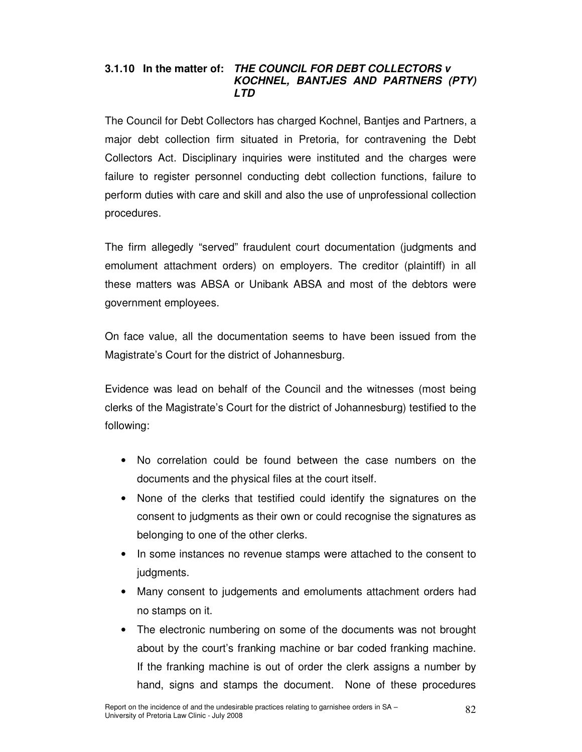## **3.1.10 In the matter of: THE COUNCIL FOR DEBT COLLECTORS v KOCHNEL, BANTJES AND PARTNERS (PTY) LTD**

The Council for Debt Collectors has charged Kochnel, Bantjes and Partners, a major debt collection firm situated in Pretoria, for contravening the Debt Collectors Act. Disciplinary inquiries were instituted and the charges were failure to register personnel conducting debt collection functions, failure to perform duties with care and skill and also the use of unprofessional collection procedures.

The firm allegedly "served" fraudulent court documentation (judgments and emolument attachment orders) on employers. The creditor (plaintiff) in all these matters was ABSA or Unibank ABSA and most of the debtors were government employees.

On face value, all the documentation seems to have been issued from the Magistrate's Court for the district of Johannesburg.

Evidence was lead on behalf of the Council and the witnesses (most being clerks of the Magistrate's Court for the district of Johannesburg) testified to the following:

- No correlation could be found between the case numbers on the documents and the physical files at the court itself.
- None of the clerks that testified could identify the signatures on the consent to judgments as their own or could recognise the signatures as belonging to one of the other clerks.
- In some instances no revenue stamps were attached to the consent to judgments.
- Many consent to judgements and emoluments attachment orders had no stamps on it.
- The electronic numbering on some of the documents was not brought about by the court's franking machine or bar coded franking machine. If the franking machine is out of order the clerk assigns a number by hand, signs and stamps the document. None of these procedures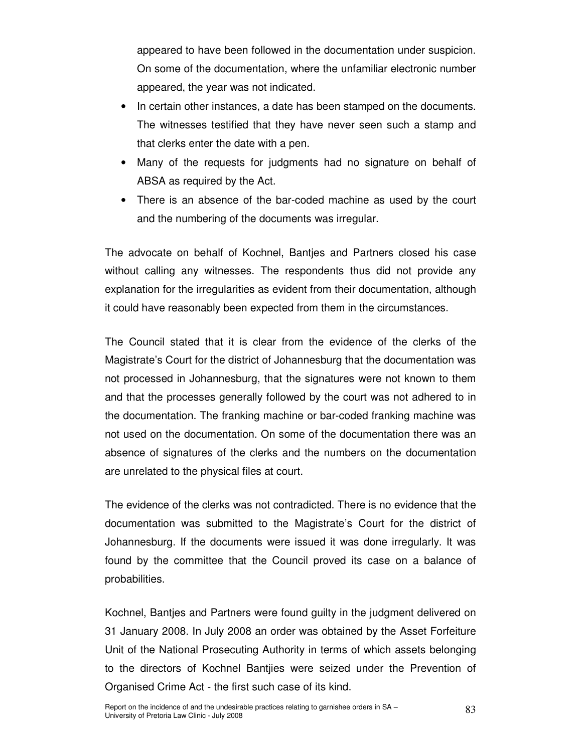appeared to have been followed in the documentation under suspicion. On some of the documentation, where the unfamiliar electronic number appeared, the year was not indicated.

- In certain other instances, a date has been stamped on the documents. The witnesses testified that they have never seen such a stamp and that clerks enter the date with a pen.
- Many of the requests for judgments had no signature on behalf of ABSA as required by the Act.
- There is an absence of the bar-coded machine as used by the court and the numbering of the documents was irregular.

The advocate on behalf of Kochnel, Bantjes and Partners closed his case without calling any witnesses. The respondents thus did not provide any explanation for the irregularities as evident from their documentation, although it could have reasonably been expected from them in the circumstances.

The Council stated that it is clear from the evidence of the clerks of the Magistrate's Court for the district of Johannesburg that the documentation was not processed in Johannesburg, that the signatures were not known to them and that the processes generally followed by the court was not adhered to in the documentation. The franking machine or bar-coded franking machine was not used on the documentation. On some of the documentation there was an absence of signatures of the clerks and the numbers on the documentation are unrelated to the physical files at court.

The evidence of the clerks was not contradicted. There is no evidence that the documentation was submitted to the Magistrate's Court for the district of Johannesburg. If the documents were issued it was done irregularly. It was found by the committee that the Council proved its case on a balance of probabilities.

Kochnel, Bantjes and Partners were found guilty in the judgment delivered on 31 January 2008. In July 2008 an order was obtained by the Asset Forfeiture Unit of the National Prosecuting Authority in terms of which assets belonging to the directors of Kochnel Bantjies were seized under the Prevention of Organised Crime Act - the first such case of its kind.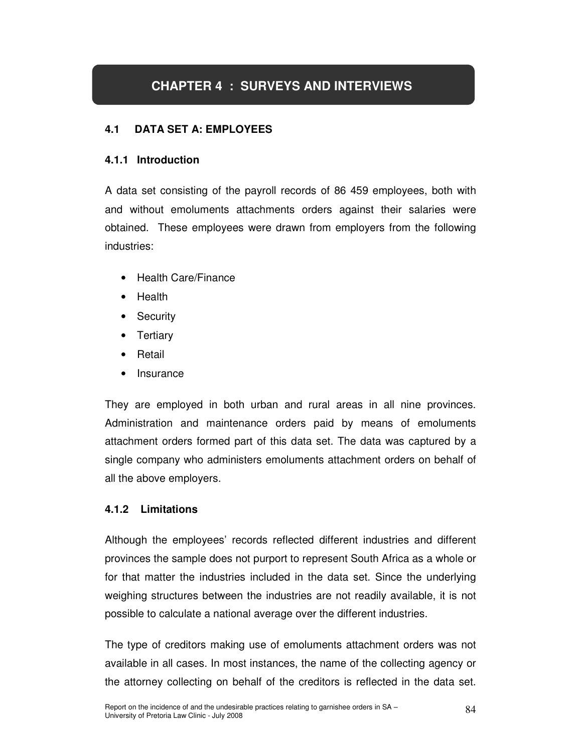# **CHAPTER 4 : SURVEYS AND INTERVIEWS**

## **4.1 DATA SET A: EMPLOYEES**

## **4.1.1 Introduction**

A data set consisting of the payroll records of 86 459 employees, both with and without emoluments attachments orders against their salaries were obtained. These employees were drawn from employers from the following industries:

- Health Care/Finance
- Health
- **Security**
- Tertiary
- **Retail**
- **Insurance**

They are employed in both urban and rural areas in all nine provinces. Administration and maintenance orders paid by means of emoluments attachment orders formed part of this data set. The data was captured by a single company who administers emoluments attachment orders on behalf of all the above employers.

## **4.1.2 Limitations**

Although the employees' records reflected different industries and different provinces the sample does not purport to represent South Africa as a whole or for that matter the industries included in the data set. Since the underlying weighing structures between the industries are not readily available, it is not possible to calculate a national average over the different industries.

The type of creditors making use of emoluments attachment orders was not available in all cases. In most instances, the name of the collecting agency or the attorney collecting on behalf of the creditors is reflected in the data set.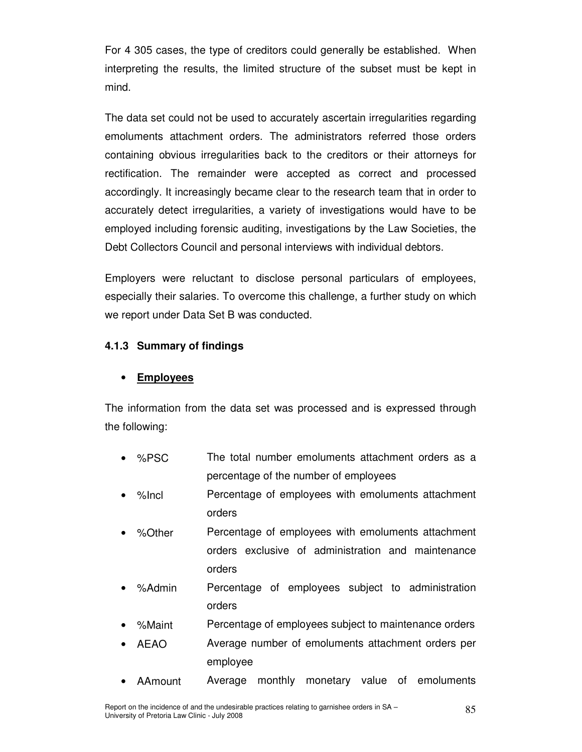For 4 305 cases, the type of creditors could generally be established. When interpreting the results, the limited structure of the subset must be kept in mind.

The data set could not be used to accurately ascertain irregularities regarding emoluments attachment orders. The administrators referred those orders containing obvious irregularities back to the creditors or their attorneys for rectification. The remainder were accepted as correct and processed accordingly. It increasingly became clear to the research team that in order to accurately detect irregularities, a variety of investigations would have to be employed including forensic auditing, investigations by the Law Societies, the Debt Collectors Council and personal interviews with individual debtors.

Employers were reluctant to disclose personal particulars of employees, especially their salaries. To overcome this challenge, a further study on which we report under Data Set B was conducted.

## **4.1.3 Summary of findings**

## • **Employees**

The information from the data set was processed and is expressed through the following:

- %PSC The total number emoluments attachment orders as a percentage of the number of employees
- %Incl Percentage of employees with emoluments attachment orders
- %Other Percentage of employees with emoluments attachment orders exclusive of administration and maintenance orders
- %Admin Percentage of employees subject to administration orders
- %Maint Percentage of employees subject to maintenance orders
- AEAO Average number of emoluments attachment orders per employee
- AAmount Average monthly monetary value of emoluments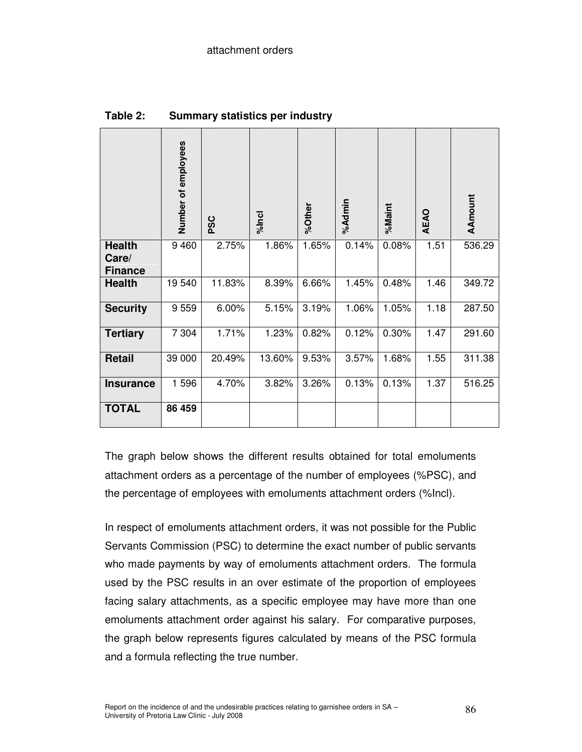|                                          | Number of employees | pSC    | %Incl  | %Other | %Admin | %Maint | AEAO | <b>AAmount</b> |
|------------------------------------------|---------------------|--------|--------|--------|--------|--------|------|----------------|
| <b>Health</b><br>Care/<br><b>Finance</b> | 9 4 6 0             | 2.75%  | 1.86%  | 1.65%  | 0.14%  | 0.08%  | 1.51 | 536.29         |
| <b>Health</b>                            | 19540               | 11.83% | 8.39%  | 6.66%  | 1.45%  | 0.48%  | 1.46 | 349.72         |
| <b>Security</b>                          | 9559                | 6.00%  | 5.15%  | 3.19%  | 1.06%  | 1.05%  | 1.18 | 287.50         |
| <b>Tertiary</b>                          | 7 3 0 4             | 1.71%  | 1.23%  | 0.82%  | 0.12%  | 0.30%  | 1.47 | 291.60         |
| <b>Retail</b>                            | 39 000              | 20.49% | 13.60% | 9.53%  | 3.57%  | 1.68%  | 1.55 | 311.38         |
| <b>Insurance</b>                         | 1596                | 4.70%  | 3.82%  | 3.26%  | 0.13%  | 0.13%  | 1.37 | 516.25         |
| <b>TOTAL</b>                             | 86 459              |        |        |        |        |        |      |                |

**Table 2: Summary statistics per industry** 

The graph below shows the different results obtained for total emoluments attachment orders as a percentage of the number of employees (%PSC), and the percentage of employees with emoluments attachment orders (%Incl).

In respect of emoluments attachment orders, it was not possible for the Public Servants Commission (PSC) to determine the exact number of public servants who made payments by way of emoluments attachment orders. The formula used by the PSC results in an over estimate of the proportion of employees facing salary attachments, as a specific employee may have more than one emoluments attachment order against his salary. For comparative purposes, the graph below represents figures calculated by means of the PSC formula and a formula reflecting the true number.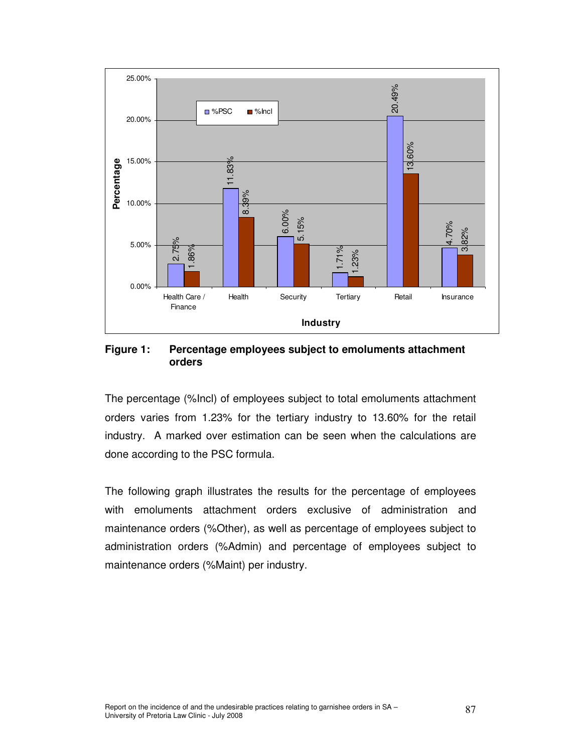

**Figure 1: Percentage employees subject to emoluments attachment orders** 

The percentage (%Incl) of employees subject to total emoluments attachment orders varies from 1.23% for the tertiary industry to 13.60% for the retail industry. A marked over estimation can be seen when the calculations are done according to the PSC formula.

The following graph illustrates the results for the percentage of employees with emoluments attachment orders exclusive of administration and maintenance orders (%Other), as well as percentage of employees subject to administration orders (%Admin) and percentage of employees subject to maintenance orders (%Maint) per industry.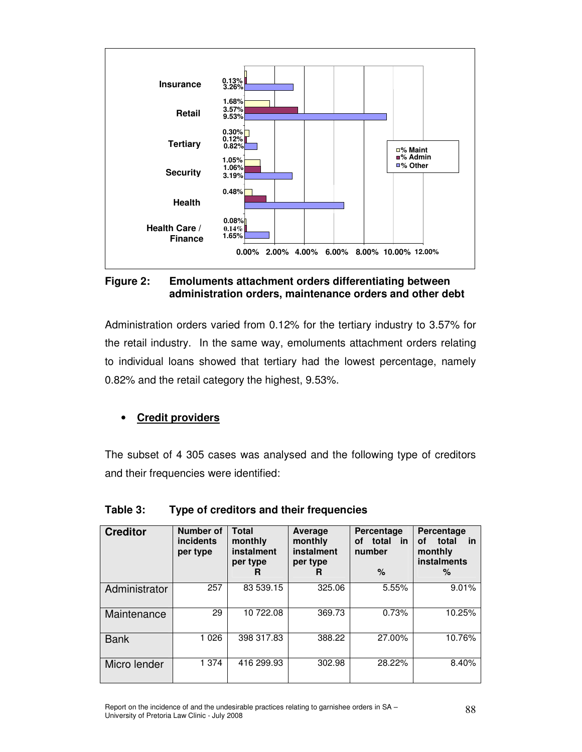

#### **Figure 2: Emoluments attachment orders differentiating between administration orders, maintenance orders and other debt**

Administration orders varied from 0.12% for the tertiary industry to 3.57% for the retail industry. In the same way, emoluments attachment orders relating to individual loans showed that tertiary had the lowest percentage, namely 0.82% and the retail category the highest, 9.53%.

## • **Credit providers**

The subset of 4 305 cases was analysed and the following type of creditors and their frequencies were identified:

| <b>Creditor</b> | Number of<br><b>incidents</b><br>per type | <b>Total</b><br>monthly<br>instalment<br>per type<br>R | Average<br>monthly<br>instalment<br>per type<br>R | Percentage<br>total<br><b>in</b><br>οf<br>number<br>$\%$ | Percentage<br><b>in</b><br>οf<br>total<br>monthly<br><b>instalments</b><br>℅ |  |
|-----------------|-------------------------------------------|--------------------------------------------------------|---------------------------------------------------|----------------------------------------------------------|------------------------------------------------------------------------------|--|
| Administrator   | 257                                       | 83 539.15                                              | 325.06                                            | 5.55%                                                    | 9.01%                                                                        |  |
| Maintenance     | 29                                        | 10 722.08                                              | 369.73                                            | 0.73%                                                    | 10.25%                                                                       |  |
| <b>Bank</b>     | 1 0 2 6                                   | 398 317.83                                             | 388.22                                            | 27.00%                                                   | 10.76%                                                                       |  |
| Micro lender    | 1 374                                     | 416 299.93                                             | 302.98                                            | 28.22%                                                   | 8.40%                                                                        |  |

## **Table 3: Type of creditors and their frequencies**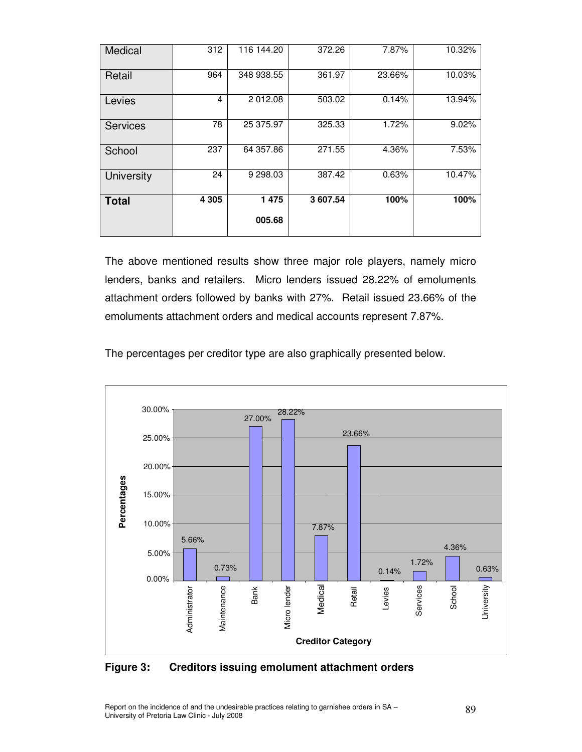| Medical         | 312            | 116 144.20 | 372.26   | 7.87%  | 10.32% |
|-----------------|----------------|------------|----------|--------|--------|
| Retail          | 964            | 348 938.55 | 361.97   | 23.66% | 10.03% |
| Levies          | $\overline{4}$ | 2 012.08   | 503.02   | 0.14%  | 13.94% |
| <b>Services</b> | 78             | 25 375.97  | 325.33   | 1.72%  | 9.02%  |
| School          | 237            | 64 357.86  | 271.55   | 4.36%  | 7.53%  |
| University      | 24             | 9 298.03   | 387.42   | 0.63%  | 10.47% |
| <b>Total</b>    | 4 3 0 5        | 1475       | 3 607.54 | 100%   | 100%   |
|                 |                | 005.68     |          |        |        |

The above mentioned results show three major role players, namely micro lenders, banks and retailers. Micro lenders issued 28.22% of emoluments attachment orders followed by banks with 27%. Retail issued 23.66% of the emoluments attachment orders and medical accounts represent 7.87%.

The percentages per creditor type are also graphically presented below.



#### **Figure 3: Creditors issuing emolument attachment orders**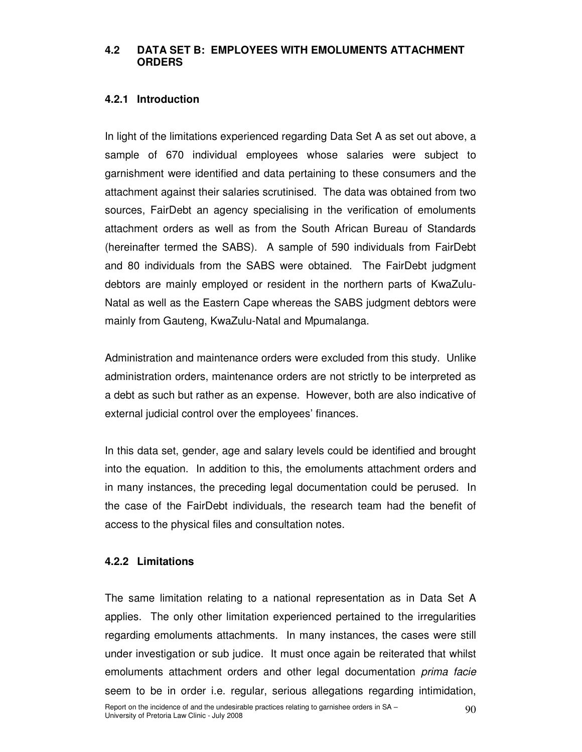#### **4.2 DATA SET B: EMPLOYEES WITH EMOLUMENTS ATTACHMENT ORDERS**

## **4.2.1 Introduction**

In light of the limitations experienced regarding Data Set A as set out above, a sample of 670 individual employees whose salaries were subject to garnishment were identified and data pertaining to these consumers and the attachment against their salaries scrutinised. The data was obtained from two sources, FairDebt an agency specialising in the verification of emoluments attachment orders as well as from the South African Bureau of Standards (hereinafter termed the SABS). A sample of 590 individuals from FairDebt and 80 individuals from the SABS were obtained. The FairDebt judgment debtors are mainly employed or resident in the northern parts of KwaZulu-Natal as well as the Eastern Cape whereas the SABS judgment debtors were mainly from Gauteng, KwaZulu-Natal and Mpumalanga.

Administration and maintenance orders were excluded from this study. Unlike administration orders, maintenance orders are not strictly to be interpreted as a debt as such but rather as an expense. However, both are also indicative of external judicial control over the employees' finances.

In this data set, gender, age and salary levels could be identified and brought into the equation. In addition to this, the emoluments attachment orders and in many instances, the preceding legal documentation could be perused. In the case of the FairDebt individuals, the research team had the benefit of access to the physical files and consultation notes.

#### **4.2.2 Limitations**

The same limitation relating to a national representation as in Data Set A applies. The only other limitation experienced pertained to the irregularities regarding emoluments attachments. In many instances, the cases were still under investigation or sub judice. It must once again be reiterated that whilst emoluments attachment orders and other legal documentation *prima facie* seem to be in order i.e. regular, serious allegations regarding intimidation,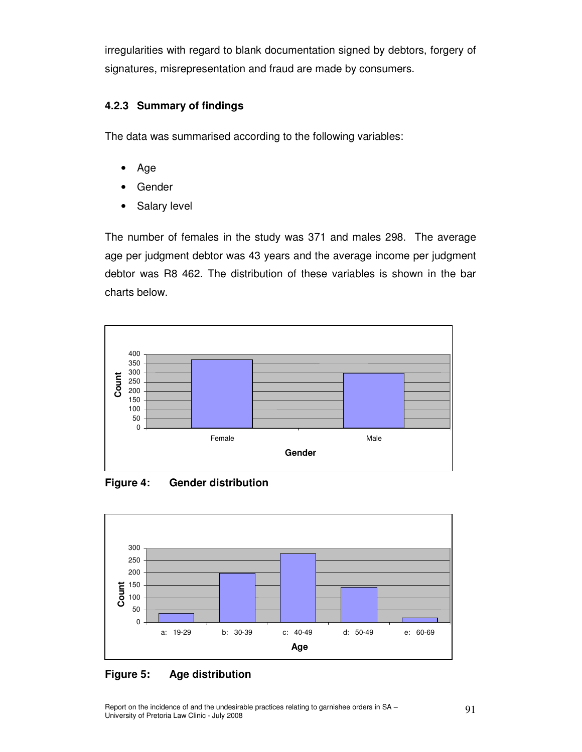irregularities with regard to blank documentation signed by debtors, forgery of signatures, misrepresentation and fraud are made by consumers.

## **4.2.3 Summary of findings**

The data was summarised according to the following variables:

- Age
- **Gender**
- Salary level

The number of females in the study was 371 and males 298. The average age per judgment debtor was 43 years and the average income per judgment debtor was R8 462. The distribution of these variables is shown in the bar charts below.



**Figure 4: Gender distribution** 



## **Figure 5: Age distribution**

Report on the incidence of and the undesirable practices relating to garnishee orders in SA – 91<br>University of Pretoria Law Clinic - July 2008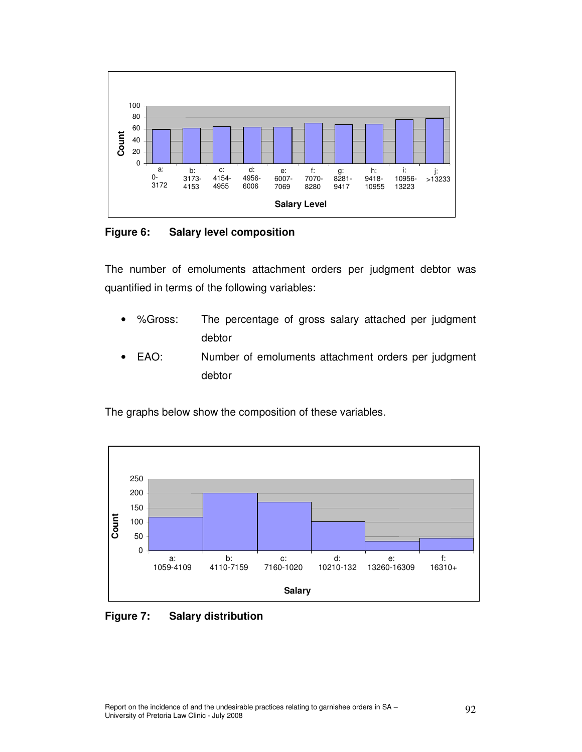

**Figure 6: Salary level composition** 

The number of emoluments attachment orders per judgment debtor was quantified in terms of the following variables:

- %Gross: The percentage of gross salary attached per judgment debtor
- EAO: Number of emoluments attachment orders per judgment debtor

The graphs below show the composition of these variables.



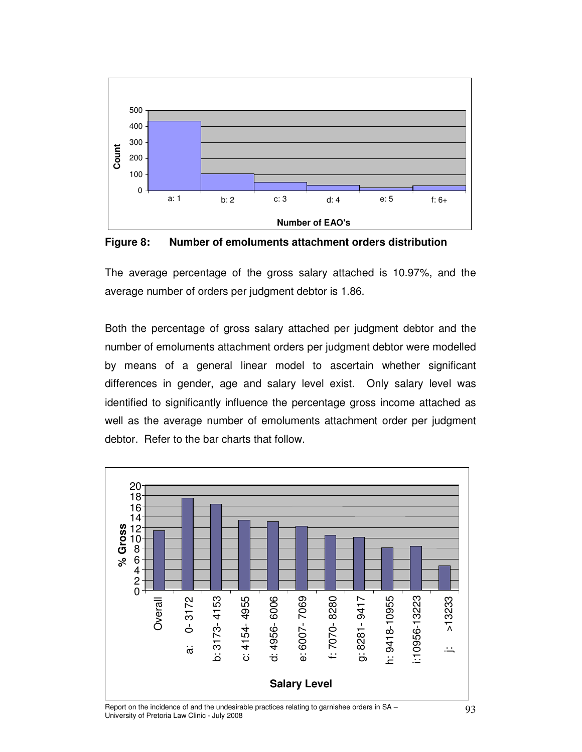

**Figure 8: Number of emoluments attachment orders distribution** 

The average percentage of the gross salary attached is 10.97%, and the average number of orders per judgment debtor is 1.86.

Both the percentage of gross salary attached per judgment debtor and the number of emoluments attachment orders per judgment debtor were modelled by means of a general linear model to ascertain whether significant differences in gender, age and salary level exist. Only salary level was identified to significantly influence the percentage gross income attached as well as the average number of emoluments attachment order per judgment debtor. Refer to the bar charts that follow.



Report on the incidence of and the undesirable practices relating to garnishee orders in SA – 93<br>University of Pretoria Law Clinic - July 2008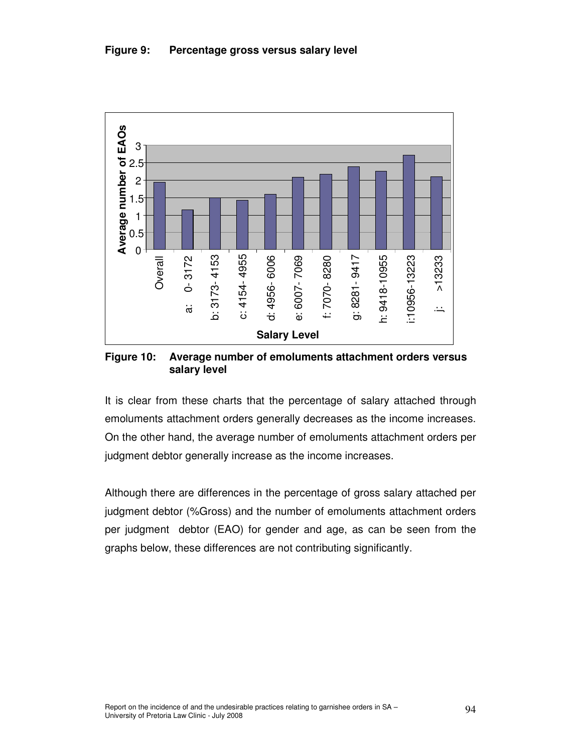

**Figure 10: Average number of emoluments attachment orders versus salary level** 

It is clear from these charts that the percentage of salary attached through emoluments attachment orders generally decreases as the income increases. On the other hand, the average number of emoluments attachment orders per judgment debtor generally increase as the income increases.

Although there are differences in the percentage of gross salary attached per judgment debtor (%Gross) and the number of emoluments attachment orders per judgment debtor (EAO) for gender and age, as can be seen from the graphs below, these differences are not contributing significantly.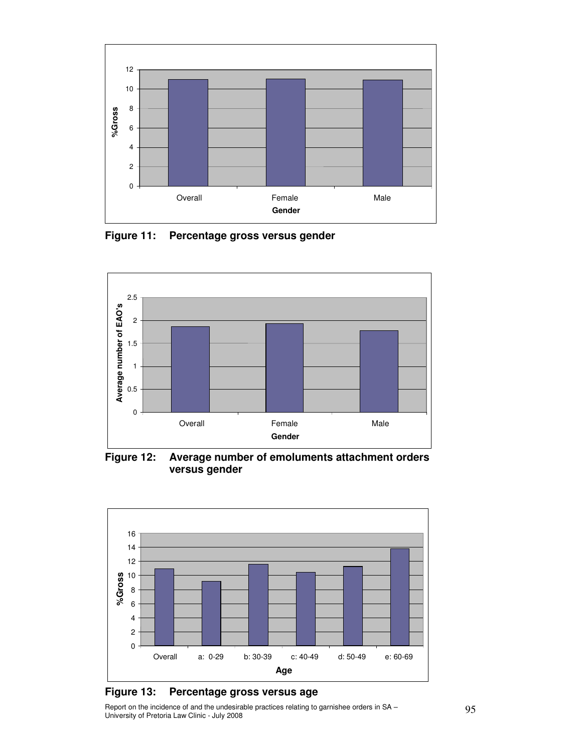

**Figure 11: Percentage gross versus gender** 



**Figure 12: Average number of emoluments attachment orders versus gender** 



#### **Figure 13: Percentage gross versus age e**

Report on the incidence of and the undesirable practices relating to garnishee orders in SA – 95<br>University of Pretoria Law Clinic - July 2008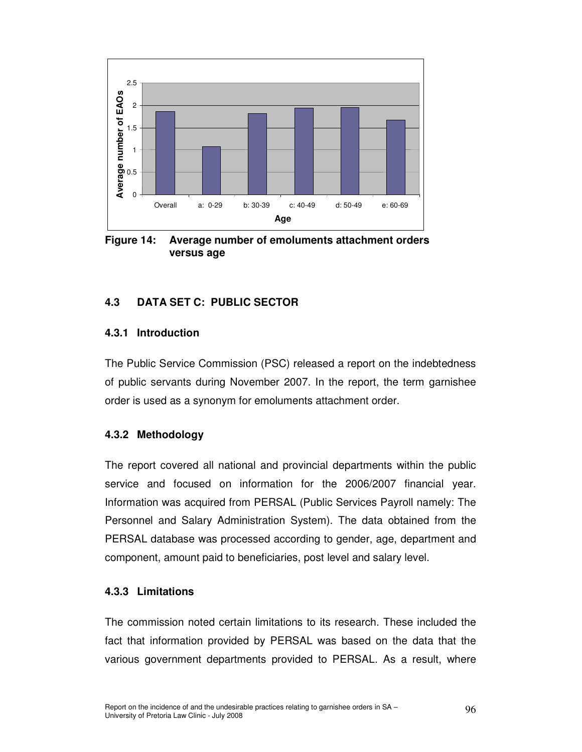

**Figure 14: Average number of emoluments attachment orders versus age** 

## **4.3 DATA SET C: PUBLIC SECTOR**

## **4.3.1 Introduction**

The Public Service Commission (PSC) released a report on the indebtedness of public servants during November 2007. In the report, the term garnishee order is used as a synonym for emoluments attachment order.

## **4.3.2 Methodology**

The report covered all national and provincial departments within the public service and focused on information for the 2006/2007 financial year. Information was acquired from PERSAL (Public Services Payroll namely: The Personnel and Salary Administration System). The data obtained from the PERSAL database was processed according to gender, age, department and component, amount paid to beneficiaries, post level and salary level.

#### **4.3.3 Limitations**

The commission noted certain limitations to its research. These included the fact that information provided by PERSAL was based on the data that the various government departments provided to PERSAL. As a result, where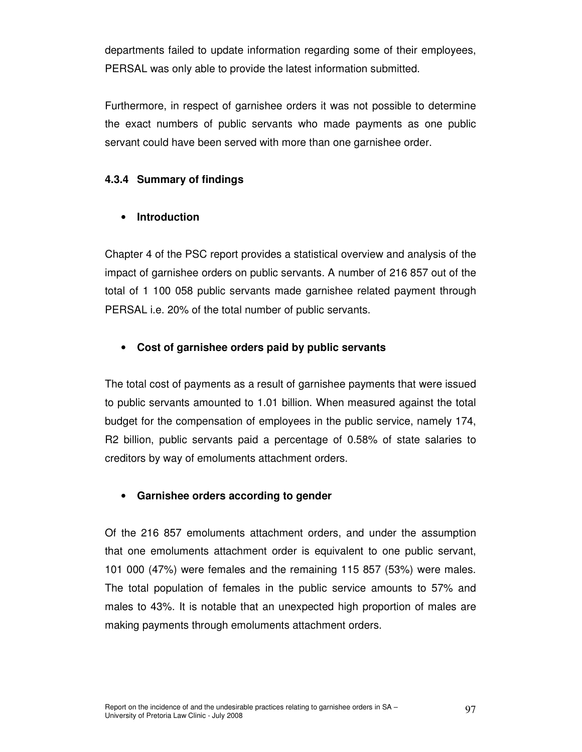departments failed to update information regarding some of their employees, PERSAL was only able to provide the latest information submitted.

Furthermore, in respect of garnishee orders it was not possible to determine the exact numbers of public servants who made payments as one public servant could have been served with more than one garnishee order.

## **4.3.4 Summary of findings**

## • **Introduction**

Chapter 4 of the PSC report provides a statistical overview and analysis of the impact of garnishee orders on public servants. A number of 216 857 out of the total of 1 100 058 public servants made garnishee related payment through PERSAL i.e. 20% of the total number of public servants.

## • **Cost of garnishee orders paid by public servants**

The total cost of payments as a result of garnishee payments that were issued to public servants amounted to 1.01 billion. When measured against the total budget for the compensation of employees in the public service, namely 174, R2 billion, public servants paid a percentage of 0.58% of state salaries to creditors by way of emoluments attachment orders.

## • **Garnishee orders according to gender**

Of the 216 857 emoluments attachment orders, and under the assumption that one emoluments attachment order is equivalent to one public servant, 101 000 (47%) were females and the remaining 115 857 (53%) were males. The total population of females in the public service amounts to 57% and males to 43%. It is notable that an unexpected high proportion of males are making payments through emoluments attachment orders.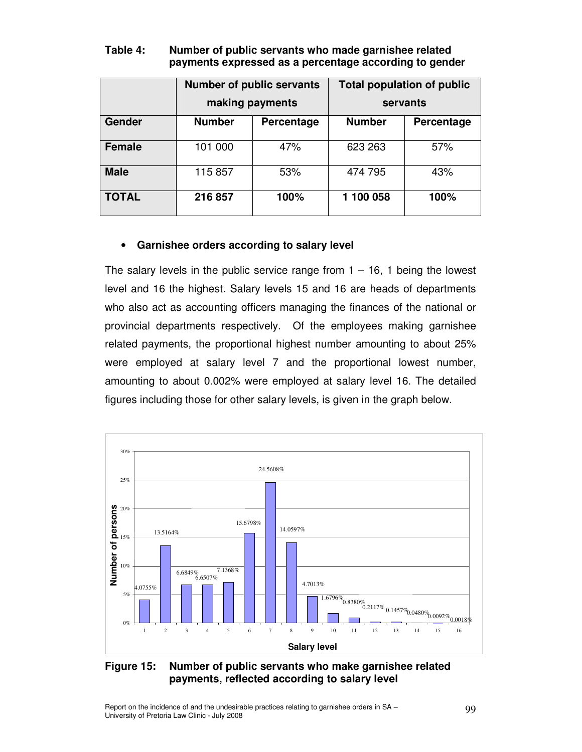|               |                             | <b>Number of public servants</b><br>making payments | <b>Total population of public</b><br>servants |            |  |
|---------------|-----------------------------|-----------------------------------------------------|-----------------------------------------------|------------|--|
| Gender        | <b>Number</b><br>Percentage |                                                     | <b>Number</b>                                 | Percentage |  |
| <b>Female</b> | 101 000                     | 47%                                                 | 623 263                                       | 57%        |  |
| <b>Male</b>   | 115857                      | 53%                                                 | 474 795                                       | 43%        |  |
| <b>TOTAL</b>  | 216 857                     | 100%                                                | 1 100 058                                     | 100%       |  |

## **Table 4: Number of public servants who made garnishee related payments expressed as a percentage according to gender**

## • **Garnishee orders according to salary level**

The salary levels in the public service range from  $1 - 16$ , 1 being the lowest level and 16 the highest. Salary levels 15 and 16 are heads of departments who also act as accounting officers managing the finances of the national or provincial departments respectively. Of the employees making garnishee related payments, the proportional highest number amounting to about 25% were employed at salary level 7 and the proportional lowest number, amounting to about 0.002% were employed at salary level 16. The detailed figures including those for other salary levels, is given in the graph below.



## **Figure 15: Number of public servants who make garnishee related payments, reflected according to salary level**

Report on the incidence of and the undesirable practices relating to garnishee orders in SA – 99<br>University of Pretoria Law Clinic - July 2008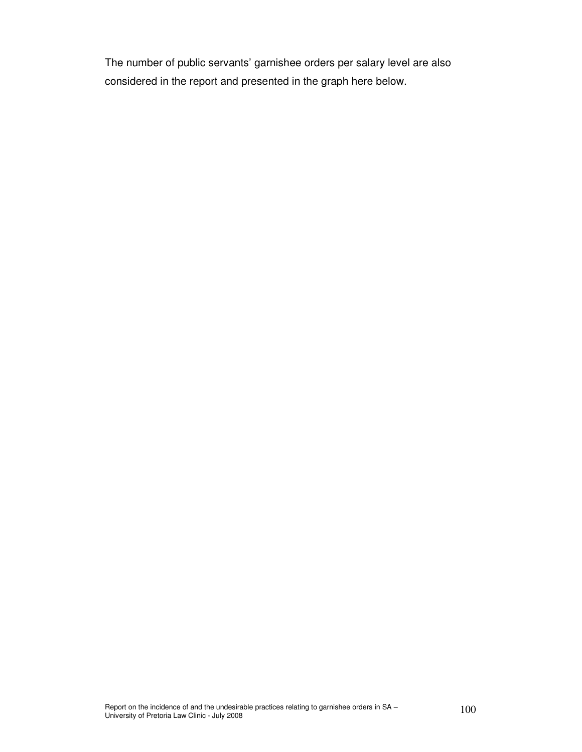The number of public servants' garnishee orders per salary level are also considered in the report and presented in the graph here below.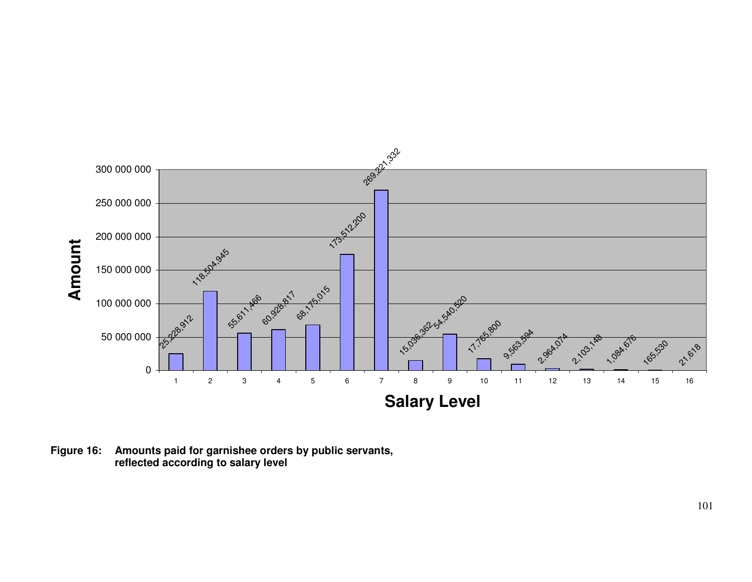

**Figure 16: Amounts paid for garnishee orders by public servants, reflected according to salary level**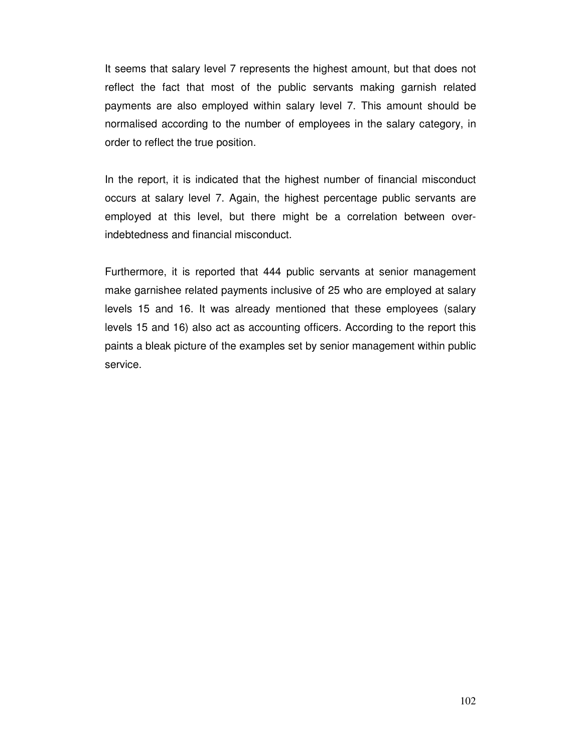It seems that salary level 7 represents the highest amount, but that does not reflect the fact that most of the public servants making garnish related payments are also employed within salary level 7. This amount should be normalised according to the number of employees in the salary category, in order to reflect the true position.

In the report, it is indicated that the highest number of financial misconduct occurs at salary level 7. Again, the highest percentage public servants are employed at this level, but there might be a correlation between overindebtedness and financial misconduct.

Furthermore, it is reported that 444 public servants at senior management make garnishee related payments inclusive of 25 who are employed at salary levels 15 and 16. It was already mentioned that these employees (salary levels 15 and 16) also act as accounting officers. According to the report this paints a bleak picture of the examples set by senior management within public service.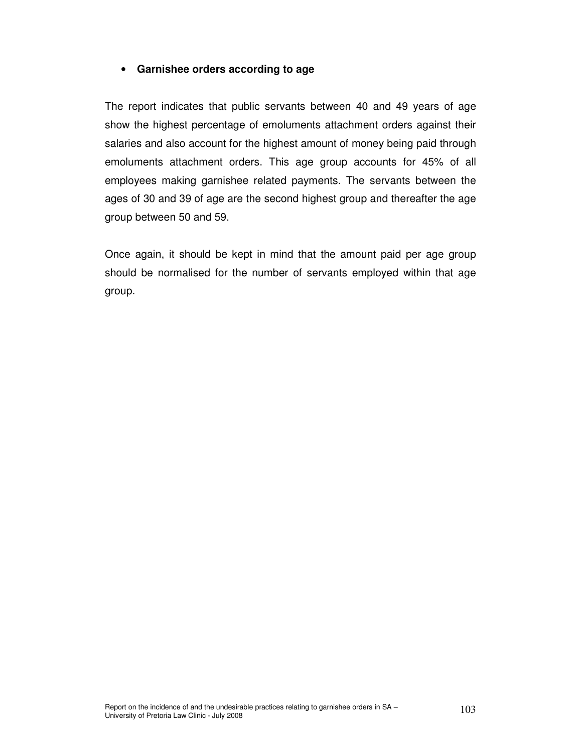## • **Garnishee orders according to age**

The report indicates that public servants between 40 and 49 years of age show the highest percentage of emoluments attachment orders against their salaries and also account for the highest amount of money being paid through emoluments attachment orders. This age group accounts for 45% of all employees making garnishee related payments. The servants between the ages of 30 and 39 of age are the second highest group and thereafter the age group between 50 and 59.

Once again, it should be kept in mind that the amount paid per age group should be normalised for the number of servants employed within that age group.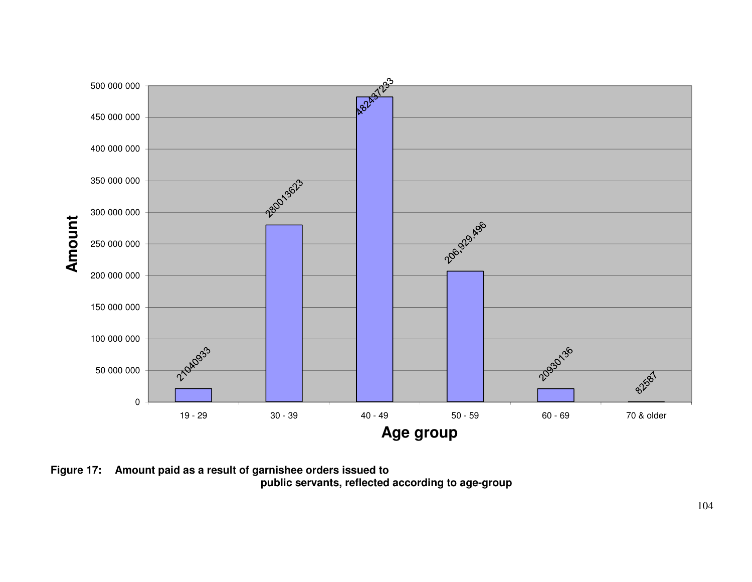

**Figure 17: Amount paid as a result of garnishee orders issued to public servants, reflected according to age-group**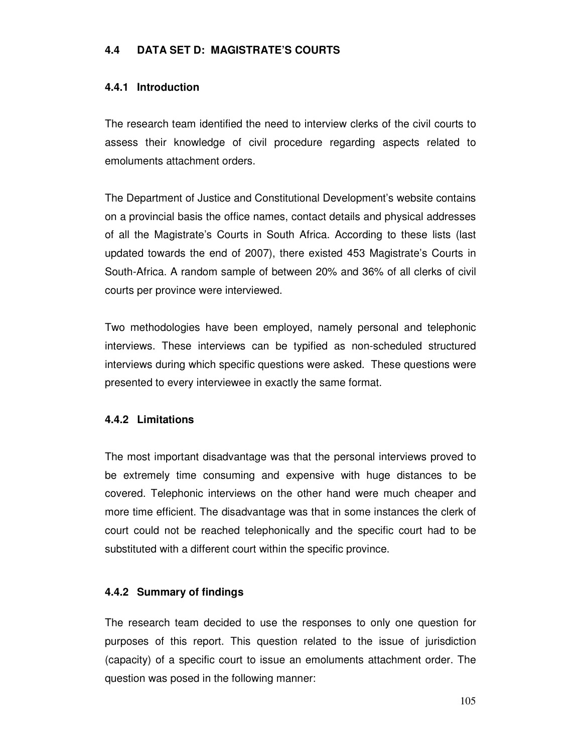## **4.4 DATA SET D: MAGISTRATE'S COURTS**

## **4.4.1 Introduction**

The research team identified the need to interview clerks of the civil courts to assess their knowledge of civil procedure regarding aspects related to emoluments attachment orders.

The Department of Justice and Constitutional Development's website contains on a provincial basis the office names, contact details and physical addresses of all the Magistrate's Courts in South Africa. According to these lists (last updated towards the end of 2007), there existed 453 Magistrate's Courts in South-Africa. A random sample of between 20% and 36% of all clerks of civil courts per province were interviewed.

Two methodologies have been employed, namely personal and telephonic interviews. These interviews can be typified as non-scheduled structured interviews during which specific questions were asked. These questions were presented to every interviewee in exactly the same format.

#### **4.4.2 Limitations**

The most important disadvantage was that the personal interviews proved to be extremely time consuming and expensive with huge distances to be covered. Telephonic interviews on the other hand were much cheaper and more time efficient. The disadvantage was that in some instances the clerk of court could not be reached telephonically and the specific court had to be substituted with a different court within the specific province.

#### **4.4.2 Summary of findings**

The research team decided to use the responses to only one question for purposes of this report. This question related to the issue of jurisdiction (capacity) of a specific court to issue an emoluments attachment order. The question was posed in the following manner: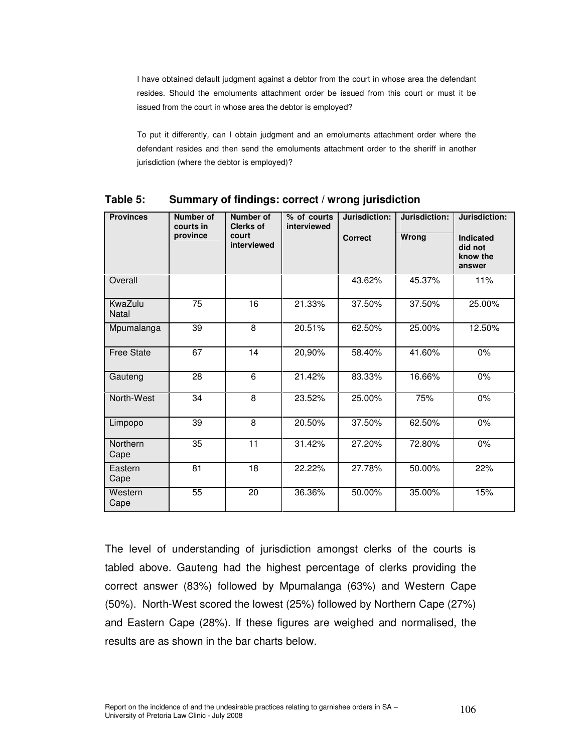I have obtained default judgment against a debtor from the court in whose area the defendant resides. Should the emoluments attachment order be issued from this court or must it be issued from the court in whose area the debtor is employed?

 To put it differently, can I obtain judgment and an emoluments attachment order where the defendant resides and then send the emoluments attachment order to the sheriff in another jurisdiction (where the debtor is employed)?

| <b>Provinces</b>        | Number of<br>courts in | <b>Number of</b><br><b>Clerks of</b> | % of courts<br>interviewed | Jurisdiction:  | Jurisdiction: | Jurisdiction:                              |
|-------------------------|------------------------|--------------------------------------|----------------------------|----------------|---------------|--------------------------------------------|
|                         | province               | court<br>interviewed                 |                            | <b>Correct</b> | Wrong         | Indicated<br>did not<br>know the<br>answer |
| Overall                 |                        |                                      |                            | 43.62%         | 45.37%        | 11%                                        |
| KwaZulu<br><b>Natal</b> | 75                     | $\overline{16}$                      | 21.33%                     | 37.50%         | 37.50%        | 25.00%                                     |
| Mpumalanga              | $\overline{39}$        | $\overline{8}$                       | 20.51%                     | 62.50%         | 25.00%        | 12.50%                                     |
| <b>Free State</b>       | 67                     | 14                                   | 20,90%                     | 58.40%         | 41.60%        | $0\%$                                      |
| Gauteng                 | 28                     | 6                                    | 21.42%                     | 83.33%         | 16.66%        | $0\%$                                      |
| North-West              | 34                     | 8                                    | 23.52%                     | 25.00%         | 75%           | 0%                                         |
| Limpopo                 | 39                     | 8                                    | 20.50%                     | 37.50%         | 62.50%        | 0%                                         |
| Northern<br>Cape        | 35                     | 11                                   | 31.42%                     | 27.20%         | 72.80%        | 0%                                         |
| Eastern<br>Cape         | 81                     | 18                                   | 22.22%                     | 27.78%         | 50.00%        | 22%                                        |
| Western<br>Cape         | 55                     | 20                                   | 36.36%                     | 50.00%         | 35.00%        | 15%                                        |

**Table 5: Summary of findings: correct / wrong jurisdiction** 

The level of understanding of jurisdiction amongst clerks of the courts is tabled above. Gauteng had the highest percentage of clerks providing the correct answer (83%) followed by Mpumalanga (63%) and Western Cape (50%). North-West scored the lowest (25%) followed by Northern Cape (27%) and Eastern Cape (28%). If these figures are weighed and normalised, the results are as shown in the bar charts below.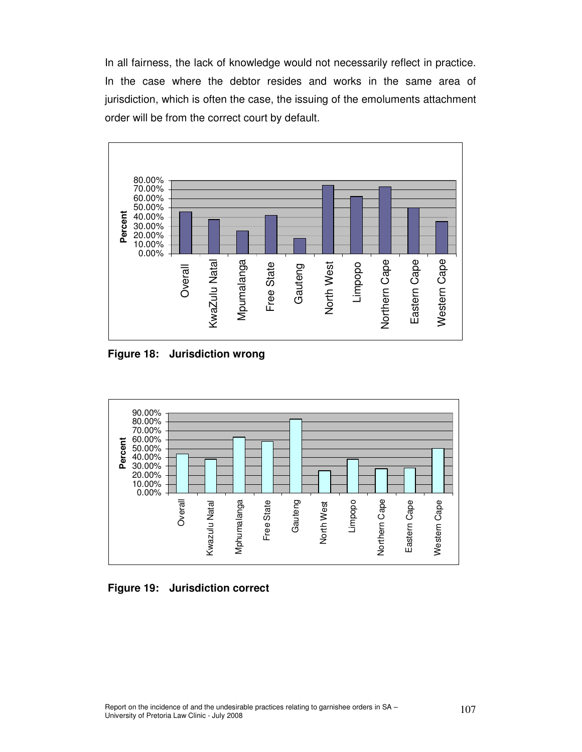In all fairness, the lack of knowledge would not necessarily reflect in practice. In the case where the debtor resides and works in the same area of jurisdiction, which is often the case, the issuing of the emoluments attachment order will be from the correct court by default.



 **Figure 18: Jurisdiction wrong** 



 **Figure 19: Jurisdiction correct**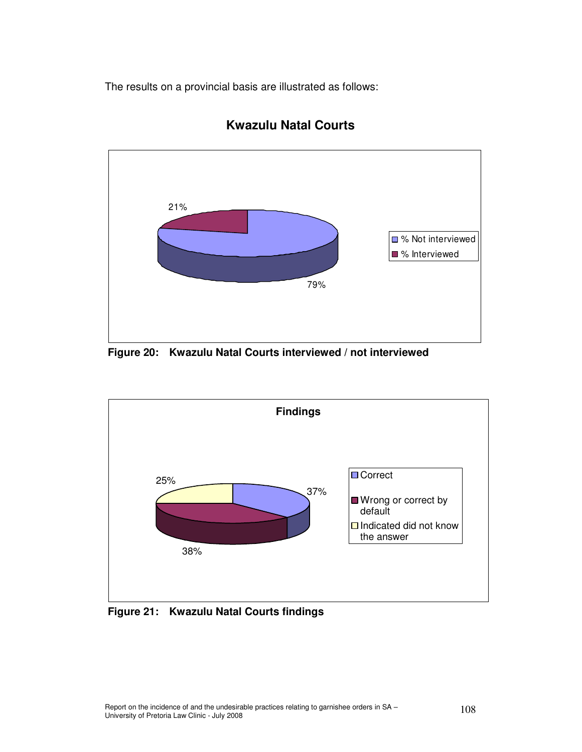The results on a provincial basis are illustrated as follows:



## **Kwazulu Natal Courts**

**Figure 20: Kwazulu Natal Courts interviewed / not interviewed** 



**Figure 21: Kwazulu Natal Courts findings**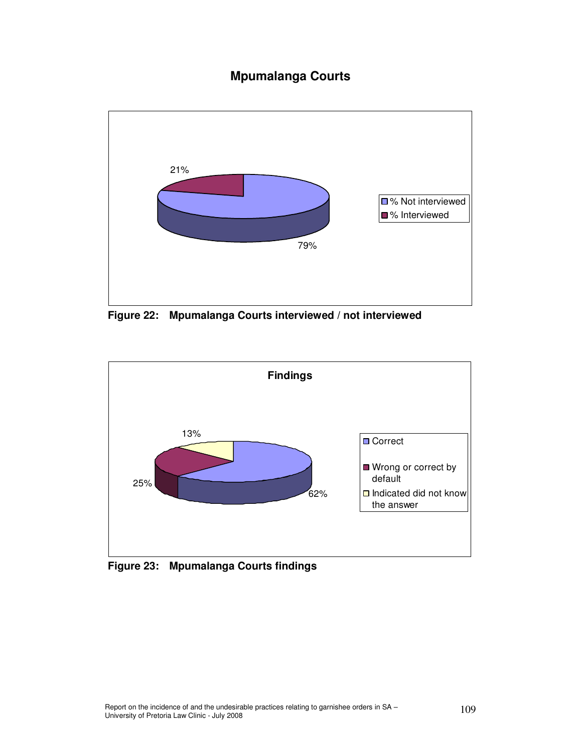# **Mpumalanga Courts**



**Figure 22: Mpumalanga Courts interviewed / not interviewed** 



 **Figure 23: Mpumalanga Courts findings**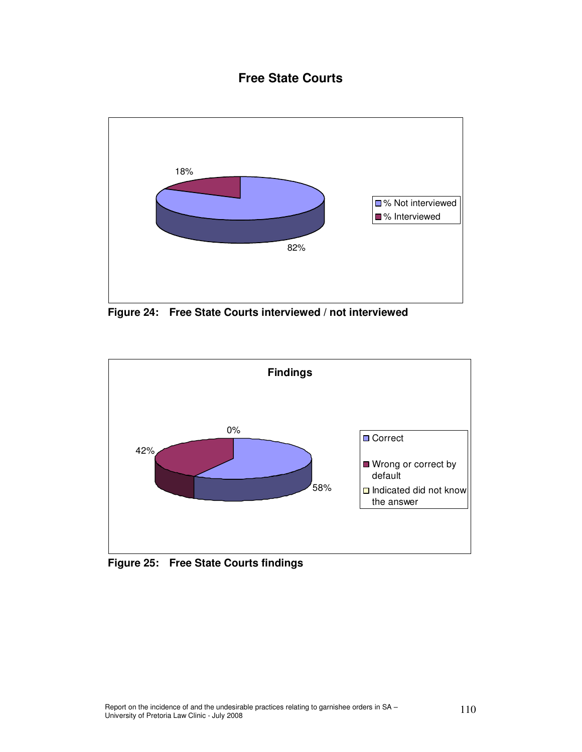## **Free State Courts**



**Figure 24: Free State Courts interviewed / not interviewed**



**Figure 25: Free State Courts findings**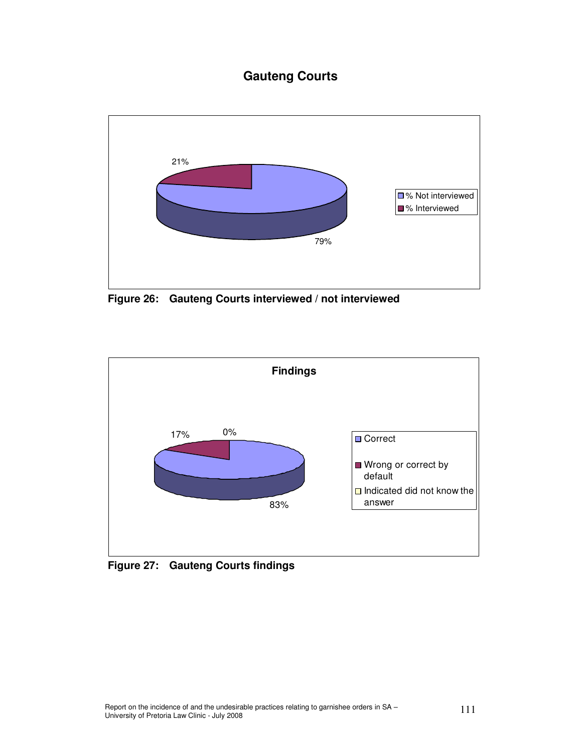# **Gauteng Courts**



**Figure 26: Gauteng Courts interviewed / not interviewed**



**Figure 27: Gauteng Courts findings**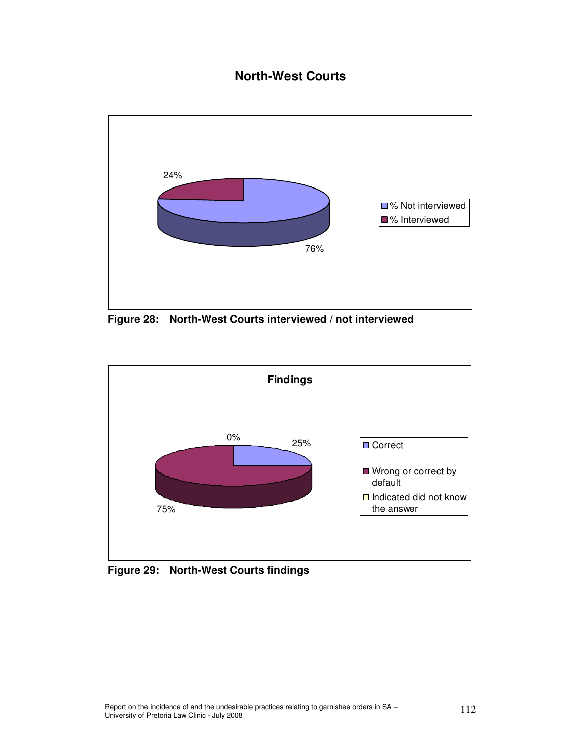# **North-West Courts**



**Figure 28: North-West Courts interviewed / not interviewed**



**Figure 29: North-West Courts findings**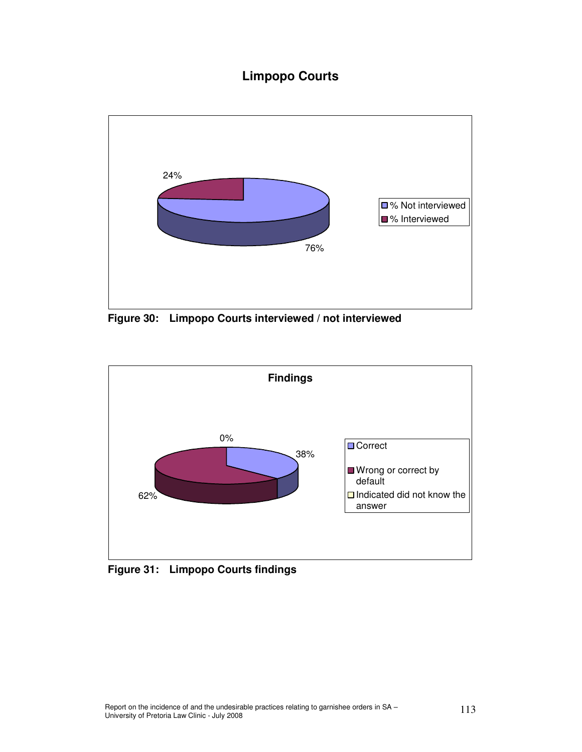# **Limpopo Courts**



**Figure 30: Limpopo Courts interviewed / not interviewed**



**Figure 31: Limpopo Courts findings**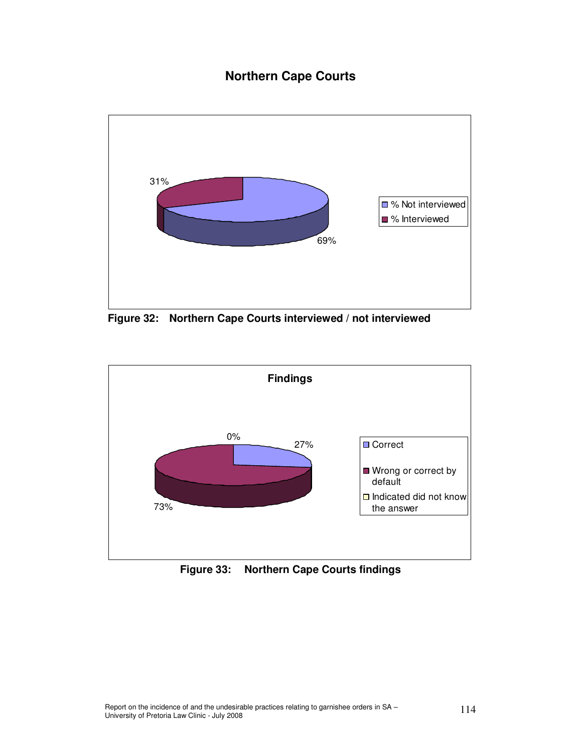# **Northern Cape Courts**



**Figure 32: Northern Cape Courts interviewed / not interviewed**



**Figure 33: Northern Cape Courts findings**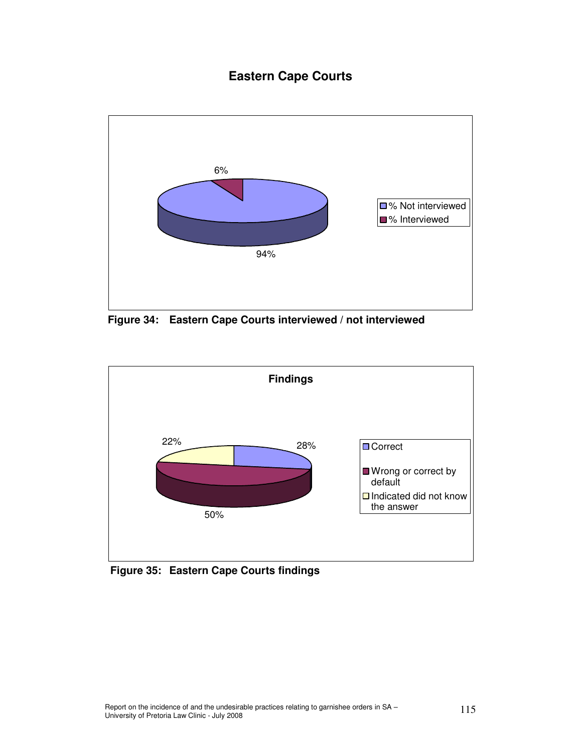# **Eastern Cape Courts**



**Figure 34: Eastern Cape Courts interviewed / not interviewed**



**Figure 35: Eastern Cape Courts findings**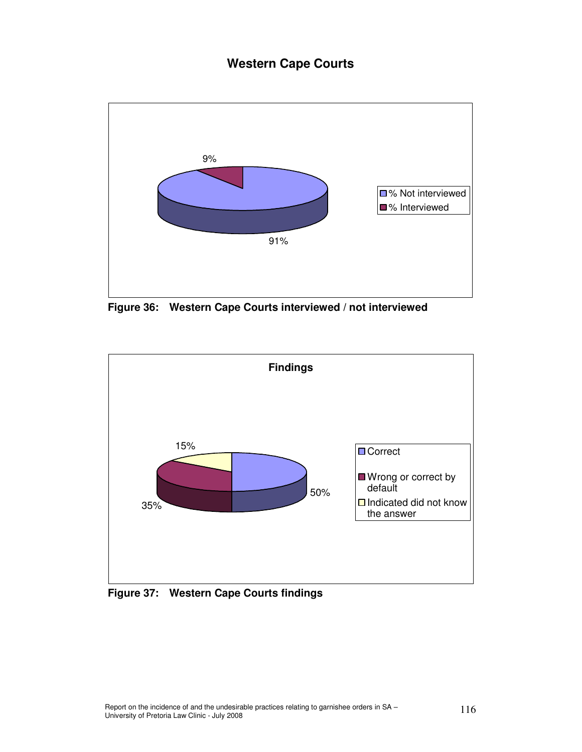## **Western Cape Courts**



**Figure 36: Western Cape Courts interviewed / not interviewed**



**Figure 37: Western Cape Courts findings**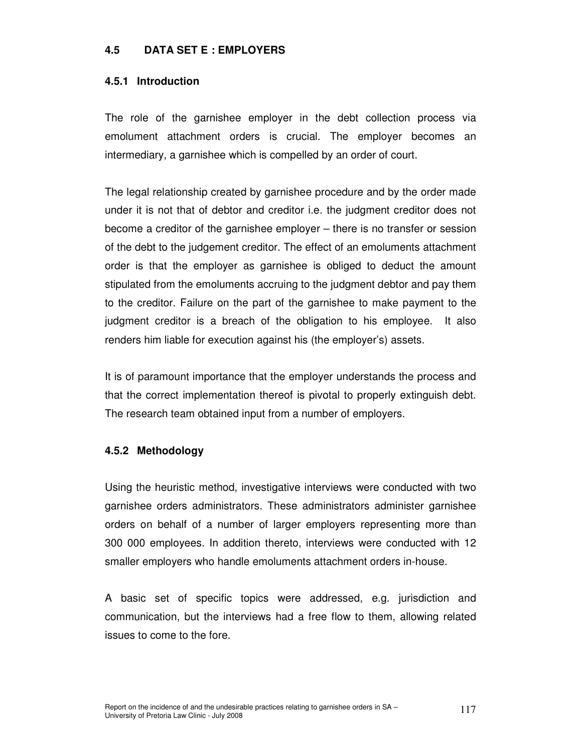### **4.5 DATA SET E : EMPLOYERS**

### **4.5.1 Introduction**

The role of the garnishee employer in the debt collection process via emolument attachment orders is crucial. The employer becomes an intermediary, a garnishee which is compelled by an order of court.

The legal relationship created by garnishee procedure and by the order made under it is not that of debtor and creditor i.e. the judgment creditor does not become a creditor of the garnishee employer – there is no transfer or session of the debt to the judgement creditor. The effect of an emoluments attachment order is that the employer as garnishee is obliged to deduct the amount stipulated from the emoluments accruing to the judgment debtor and pay them to the creditor. Failure on the part of the garnishee to make payment to the judgment creditor is a breach of the obligation to his employee. It also renders him liable for execution against his (the employer's) assets.

It is of paramount importance that the employer understands the process and that the correct implementation thereof is pivotal to properly extinguish debt. The research team obtained input from a number of employers.

### **4.5.2 Methodology**

Using the heuristic method, investigative interviews were conducted with two garnishee orders administrators. These administrators administer garnishee orders on behalf of a number of larger employers representing more than 300 000 employees. In addition thereto, interviews were conducted with 12 smaller employers who handle emoluments attachment orders in-house.

A basic set of specific topics were addressed, e.g. jurisdiction and communication, but the interviews had a free flow to them, allowing related issues to come to the fore.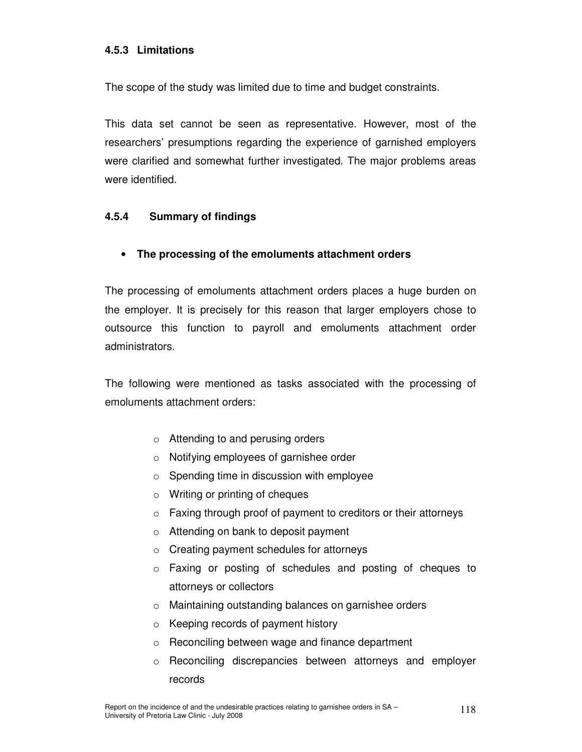### **4.5.3 Limitations**

The scope of the study was limited due to time and budget constraints.

This data set cannot be seen as representative. However, most of the researchers' presumptions regarding the experience of garnished employers were clarified and somewhat further investigated. The major problems areas were identified.

### **4.5.4 Summary of findings**

• **The processing of the emoluments attachment orders** 

The processing of emoluments attachment orders places a huge burden on the employer. It is precisely for this reason that larger employers chose to outsource this function to payroll and emoluments attachment order administrators.

The following were mentioned as tasks associated with the processing of emoluments attachment orders:

- o Attending to and perusing orders
- o Notifying employees of garnishee order
- $\circ$  Spending time in discussion with employee
- o Writing or printing of cheques
- $\circ$  Faxing through proof of payment to creditors or their attorneys
- o Attending on bank to deposit payment
- o Creating payment schedules for attorneys
- o Faxing or posting of schedules and posting of cheques to attorneys or collectors
- o Maintaining outstanding balances on garnishee orders
- o Keeping records of payment history
- o Reconciling between wage and finance department
- o Reconciling discrepancies between attorneys and employer records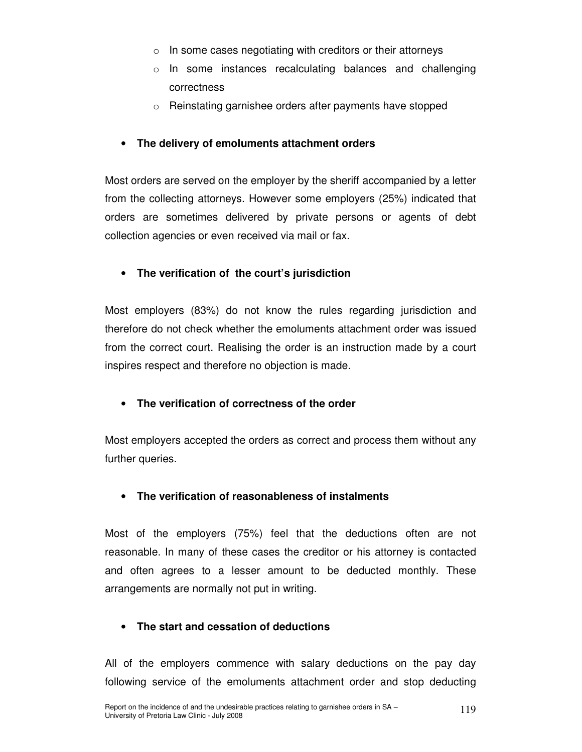- $\circ$  In some cases negotiating with creditors or their attorneys
- o In some instances recalculating balances and challenging correctness
- o Reinstating garnishee orders after payments have stopped

## • **The delivery of emoluments attachment orders**

Most orders are served on the employer by the sheriff accompanied by a letter from the collecting attorneys. However some employers (25%) indicated that orders are sometimes delivered by private persons or agents of debt collection agencies or even received via mail or fax.

## • **The verification of the court's jurisdiction**

Most employers (83%) do not know the rules regarding jurisdiction and therefore do not check whether the emoluments attachment order was issued from the correct court. Realising the order is an instruction made by a court inspires respect and therefore no objection is made.

### • **The verification of correctness of the order**

Most employers accepted the orders as correct and process them without any further queries.

### • **The verification of reasonableness of instalments**

Most of the employers (75%) feel that the deductions often are not reasonable. In many of these cases the creditor or his attorney is contacted and often agrees to a lesser amount to be deducted monthly. These arrangements are normally not put in writing.

## • **The start and cessation of deductions**

All of the employers commence with salary deductions on the pay day following service of the emoluments attachment order and stop deducting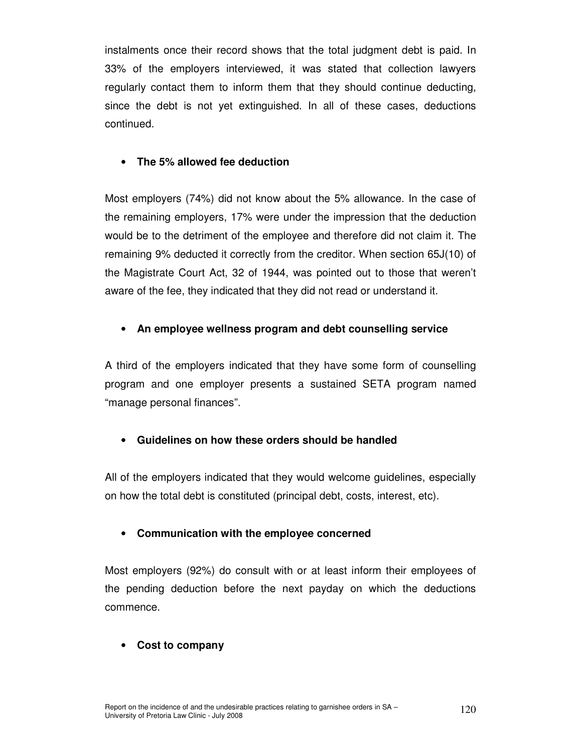instalments once their record shows that the total judgment debt is paid. In 33% of the employers interviewed, it was stated that collection lawyers regularly contact them to inform them that they should continue deducting, since the debt is not yet extinguished. In all of these cases, deductions continued.

### • **The 5% allowed fee deduction**

Most employers (74%) did not know about the 5% allowance. In the case of the remaining employers, 17% were under the impression that the deduction would be to the detriment of the employee and therefore did not claim it. The remaining 9% deducted it correctly from the creditor. When section 65J(10) of the Magistrate Court Act, 32 of 1944, was pointed out to those that weren't aware of the fee, they indicated that they did not read or understand it.

### • **An employee wellness program and debt counselling service**

A third of the employers indicated that they have some form of counselling program and one employer presents a sustained SETA program named "manage personal finances".

### • **Guidelines on how these orders should be handled**

All of the employers indicated that they would welcome guidelines, especially on how the total debt is constituted (principal debt, costs, interest, etc).

### • **Communication with the employee concerned**

Most employers (92%) do consult with or at least inform their employees of the pending deduction before the next payday on which the deductions commence.

### • **Cost to company**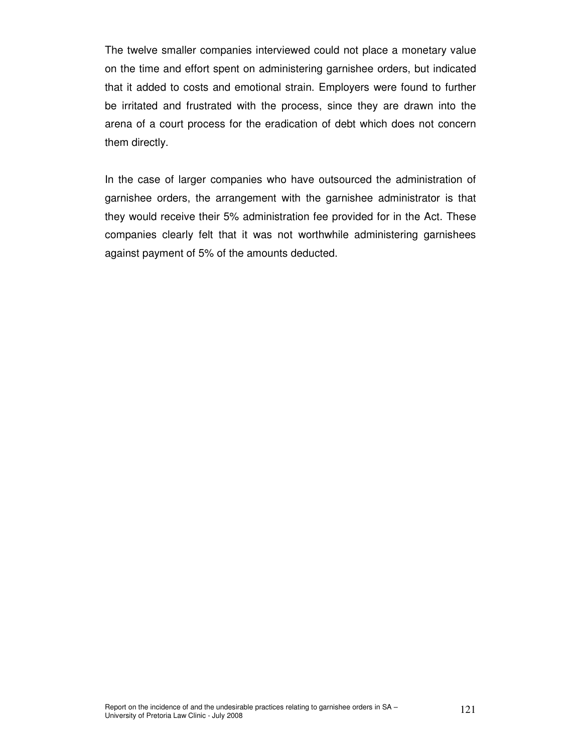The twelve smaller companies interviewed could not place a monetary value on the time and effort spent on administering garnishee orders, but indicated that it added to costs and emotional strain. Employers were found to further be irritated and frustrated with the process, since they are drawn into the arena of a court process for the eradication of debt which does not concern them directly.

In the case of larger companies who have outsourced the administration of garnishee orders, the arrangement with the garnishee administrator is that they would receive their 5% administration fee provided for in the Act. These companies clearly felt that it was not worthwhile administering garnishees against payment of 5% of the amounts deducted.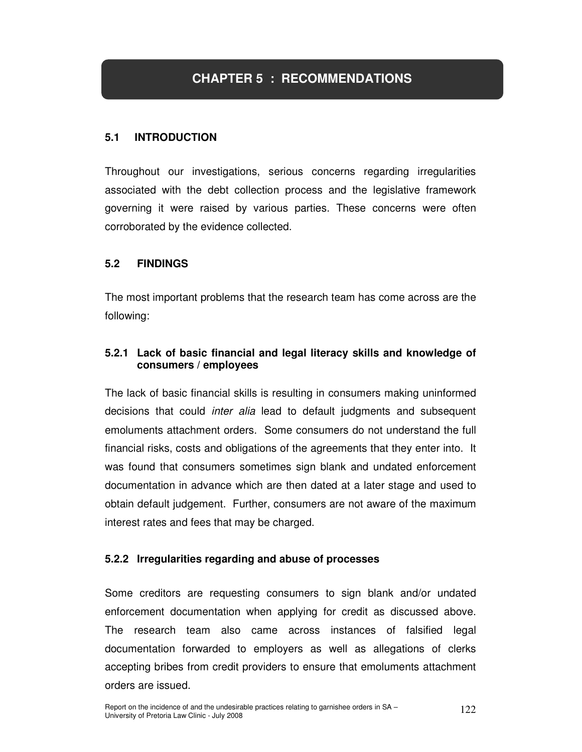# **CHAPTER 5 : RECOMMENDATIONS**

### **5.1 INTRODUCTION**

Throughout our investigations, serious concerns regarding irregularities associated with the debt collection process and the legislative framework governing it were raised by various parties. These concerns were often corroborated by the evidence collected.

### **5.2 FINDINGS**

The most important problems that the research team has come across are the following:

### **5.2.1 Lack of basic financial and legal literacy skills and knowledge of consumers / employees**

The lack of basic financial skills is resulting in consumers making uninformed decisions that could *inter alia* lead to default judgments and subsequent emoluments attachment orders. Some consumers do not understand the full financial risks, costs and obligations of the agreements that they enter into. It was found that consumers sometimes sign blank and undated enforcement documentation in advance which are then dated at a later stage and used to obtain default judgement. Further, consumers are not aware of the maximum interest rates and fees that may be charged.

### **5.2.2 Irregularities regarding and abuse of processes**

Some creditors are requesting consumers to sign blank and/or undated enforcement documentation when applying for credit as discussed above. The research team also came across instances of falsified legal documentation forwarded to employers as well as allegations of clerks accepting bribes from credit providers to ensure that emoluments attachment orders are issued.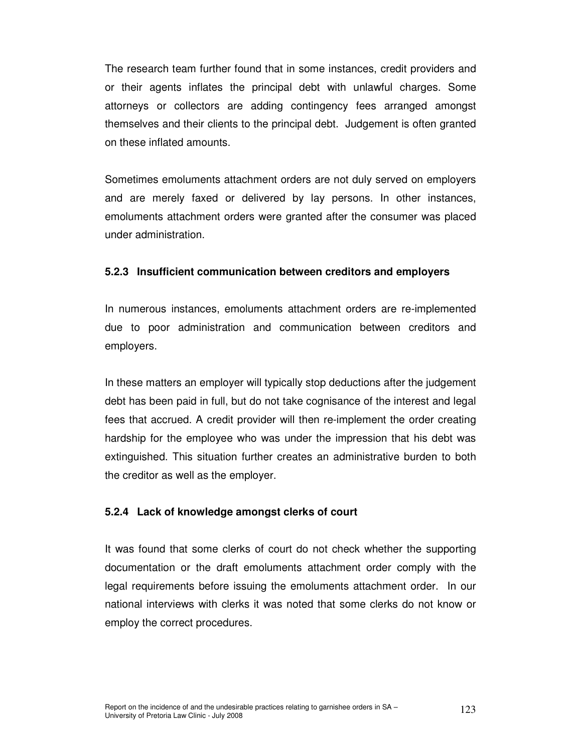The research team further found that in some instances, credit providers and or their agents inflates the principal debt with unlawful charges. Some attorneys or collectors are adding contingency fees arranged amongst themselves and their clients to the principal debt. Judgement is often granted on these inflated amounts.

Sometimes emoluments attachment orders are not duly served on employers and are merely faxed or delivered by lay persons. In other instances, emoluments attachment orders were granted after the consumer was placed under administration.

### **5.2.3 Insufficient communication between creditors and employers**

In numerous instances, emoluments attachment orders are re-implemented due to poor administration and communication between creditors and employers.

In these matters an employer will typically stop deductions after the judgement debt has been paid in full, but do not take cognisance of the interest and legal fees that accrued. A credit provider will then re-implement the order creating hardship for the employee who was under the impression that his debt was extinguished. This situation further creates an administrative burden to both the creditor as well as the employer.

### **5.2.4 Lack of knowledge amongst clerks of court**

It was found that some clerks of court do not check whether the supporting documentation or the draft emoluments attachment order comply with the legal requirements before issuing the emoluments attachment order. In our national interviews with clerks it was noted that some clerks do not know or employ the correct procedures.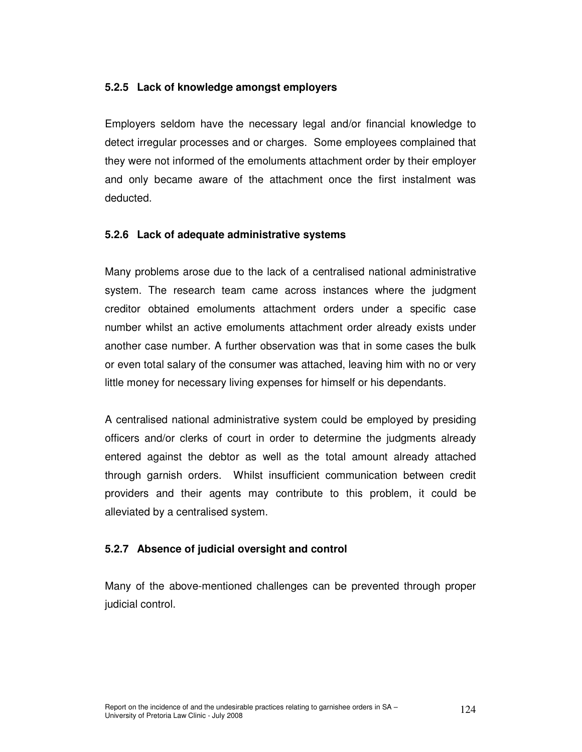### **5.2.5 Lack of knowledge amongst employers**

Employers seldom have the necessary legal and/or financial knowledge to detect irregular processes and or charges. Some employees complained that they were not informed of the emoluments attachment order by their employer and only became aware of the attachment once the first instalment was deducted.

### **5.2.6 Lack of adequate administrative systems**

Many problems arose due to the lack of a centralised national administrative system. The research team came across instances where the judgment creditor obtained emoluments attachment orders under a specific case number whilst an active emoluments attachment order already exists under another case number. A further observation was that in some cases the bulk or even total salary of the consumer was attached, leaving him with no or very little money for necessary living expenses for himself or his dependants.

A centralised national administrative system could be employed by presiding officers and/or clerks of court in order to determine the judgments already entered against the debtor as well as the total amount already attached through garnish orders. Whilst insufficient communication between credit providers and their agents may contribute to this problem, it could be alleviated by a centralised system.

### **5.2.7 Absence of judicial oversight and control**

Many of the above-mentioned challenges can be prevented through proper judicial control.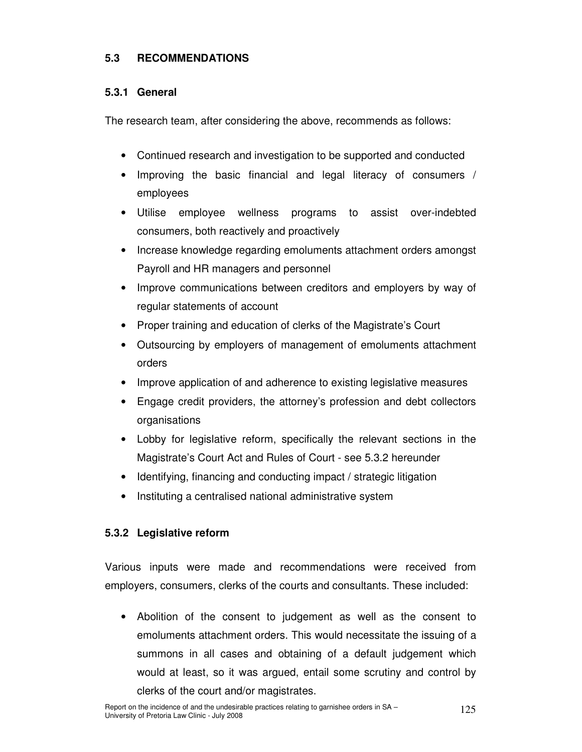## **5.3 RECOMMENDATIONS**

### **5.3.1 General**

The research team, after considering the above, recommends as follows:

- Continued research and investigation to be supported and conducted
- Improving the basic financial and legal literacy of consumers / employees
- Utilise employee wellness programs to assist over-indebted consumers, both reactively and proactively
- Increase knowledge regarding emoluments attachment orders amongst Payroll and HR managers and personnel
- Improve communications between creditors and employers by way of regular statements of account
- Proper training and education of clerks of the Magistrate's Court
- Outsourcing by employers of management of emoluments attachment orders
- Improve application of and adherence to existing legislative measures
- Engage credit providers, the attorney's profession and debt collectors organisations
- Lobby for legislative reform, specifically the relevant sections in the Magistrate's Court Act and Rules of Court - see 5.3.2 hereunder
- Identifying, financing and conducting impact / strategic litigation
- Instituting a centralised national administrative system

### **5.3.2 Legislative reform**

Various inputs were made and recommendations were received from employers, consumers, clerks of the courts and consultants. These included:

• Abolition of the consent to judgement as well as the consent to emoluments attachment orders. This would necessitate the issuing of a summons in all cases and obtaining of a default judgement which would at least, so it was argued, entail some scrutiny and control by clerks of the court and/or magistrates.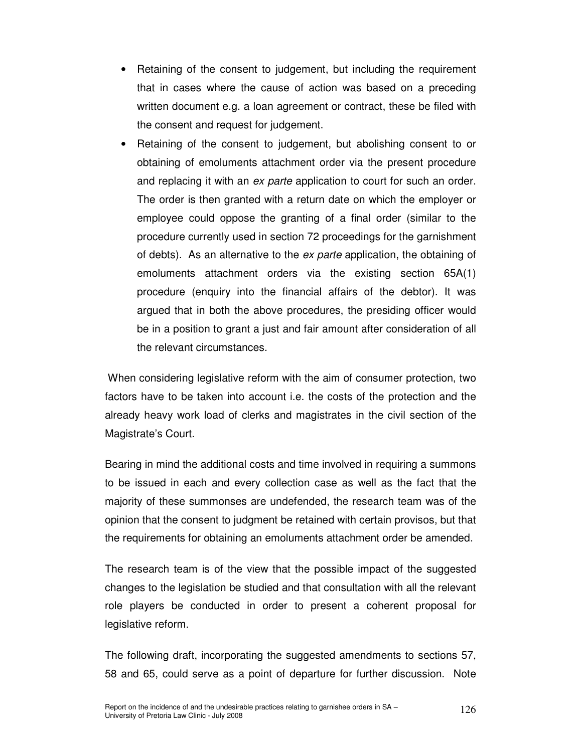- Retaining of the consent to judgement, but including the requirement that in cases where the cause of action was based on a preceding written document e.g. a loan agreement or contract, these be filed with the consent and request for judgement.
- Retaining of the consent to judgement, but abolishing consent to or obtaining of emoluments attachment order via the present procedure and replacing it with an ex parte application to court for such an order. The order is then granted with a return date on which the employer or employee could oppose the granting of a final order (similar to the procedure currently used in section 72 proceedings for the garnishment of debts). As an alternative to the ex parte application, the obtaining of emoluments attachment orders via the existing section 65A(1) procedure (enquiry into the financial affairs of the debtor). It was argued that in both the above procedures, the presiding officer would be in a position to grant a just and fair amount after consideration of all the relevant circumstances.

 When considering legislative reform with the aim of consumer protection, two factors have to be taken into account i.e. the costs of the protection and the already heavy work load of clerks and magistrates in the civil section of the Magistrate's Court.

Bearing in mind the additional costs and time involved in requiring a summons to be issued in each and every collection case as well as the fact that the majority of these summonses are undefended, the research team was of the opinion that the consent to judgment be retained with certain provisos, but that the requirements for obtaining an emoluments attachment order be amended.

The research team is of the view that the possible impact of the suggested changes to the legislation be studied and that consultation with all the relevant role players be conducted in order to present a coherent proposal for legislative reform.

The following draft, incorporating the suggested amendments to sections 57, 58 and 65, could serve as a point of departure for further discussion. Note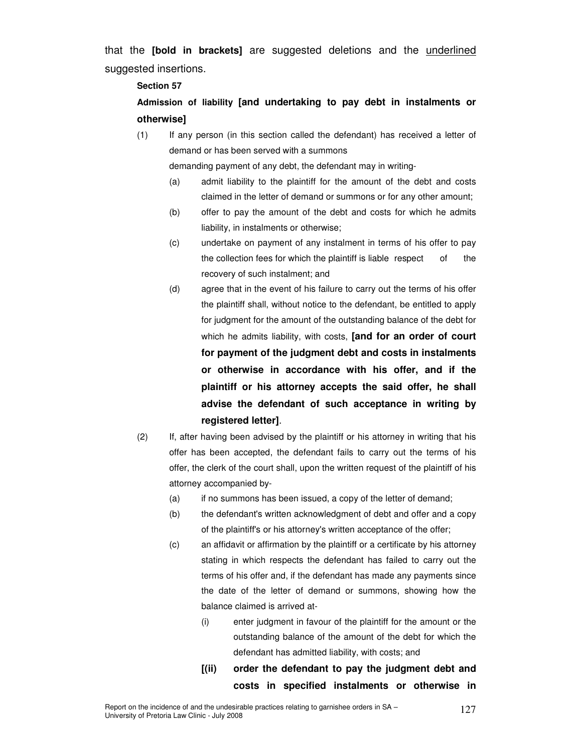that the **[bold in brackets]** are suggested deletions and the underlined suggested insertions.

#### **Section 57**

## **Admission of liability [and undertaking to pay debt in instalments or otherwise]**

(1) If any person (in this section called the defendant) has received a letter of demand or has been served with a summons

demanding payment of any debt, the defendant may in writing-

- (a) admit liability to the plaintiff for the amount of the debt and costs claimed in the letter of demand or summons or for any other amount;
- (b) offer to pay the amount of the debt and costs for which he admits liability, in instalments or otherwise;
- (c) undertake on payment of any instalment in terms of his offer to pay the collection fees for which the plaintiff is liable respect of the recovery of such instalment; and
- (d) agree that in the event of his failure to carry out the terms of his offer the plaintiff shall, without notice to the defendant, be entitled to apply for judgment for the amount of the outstanding balance of the debt for which he admits liability, with costs, **[and for an order of court for payment of the judgment debt and costs in instalments or otherwise in accordance with his offer, and if the plaintiff or his attorney accepts the said offer, he shall advise the defendant of such acceptance in writing by registered letter]**.
- (2) If, after having been advised by the plaintiff or his attorney in writing that his offer has been accepted, the defendant fails to carry out the terms of his offer, the clerk of the court shall, upon the written request of the plaintiff of his attorney accompanied by-
	- (a) if no summons has been issued, a copy of the letter of demand;
	- (b) the defendant's written acknowledgment of debt and offer and a copy of the plaintiff's or his attorney's written acceptance of the offer;
	- (c) an affidavit or affirmation by the plaintiff or a certificate by his attorney stating in which respects the defendant has failed to carry out the terms of his offer and, if the defendant has made any payments since the date of the letter of demand or summons, showing how the balance claimed is arrived at-
		- (i) enter judgment in favour of the plaintiff for the amount or the outstanding balance of the amount of the debt for which the defendant has admitted liability, with costs; and
		- **[(ii) order the defendant to pay the judgment debt and costs in specified instalments or otherwise in**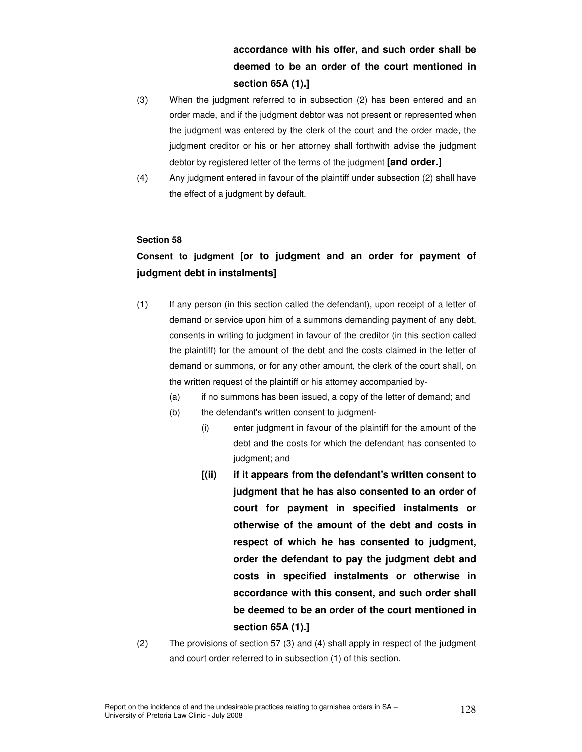## **accordance with his offer, and such order shall be deemed to be an order of the court mentioned in section 65A (1).]**

- (3) When the judgment referred to in subsection (2) has been entered and an order made, and if the judgment debtor was not present or represented when the judgment was entered by the clerk of the court and the order made, the judgment creditor or his or her attorney shall forthwith advise the judgment debtor by registered letter of the terms of the judgment **[and order.]**
- (4) Any judgment entered in favour of the plaintiff under subsection (2) shall have the effect of a judgment by default.

#### **Section 58**

## **Consent to judgment [or to judgment and an order for payment of judgment debt in instalments]**

- (1) If any person (in this section called the defendant), upon receipt of a letter of demand or service upon him of a summons demanding payment of any debt, consents in writing to judgment in favour of the creditor (in this section called the plaintiff) for the amount of the debt and the costs claimed in the letter of demand or summons, or for any other amount, the clerk of the court shall, on the written request of the plaintiff or his attorney accompanied by-
	- (a) if no summons has been issued, a copy of the letter of demand; and
	- (b) the defendant's written consent to judgment-
		- (i) enter judgment in favour of the plaintiff for the amount of the debt and the costs for which the defendant has consented to judgment; and
		- **[(ii) if it appears from the defendant's written consent to judgment that he has also consented to an order of court for payment in specified instalments or otherwise of the amount of the debt and costs in respect of which he has consented to judgment, order the defendant to pay the judgment debt and costs in specified instalments or otherwise in accordance with this consent, and such order shall be deemed to be an order of the court mentioned in section 65A (1).]**
- (2) The provisions of section 57 (3) and (4) shall apply in respect of the judgment and court order referred to in subsection (1) of this section.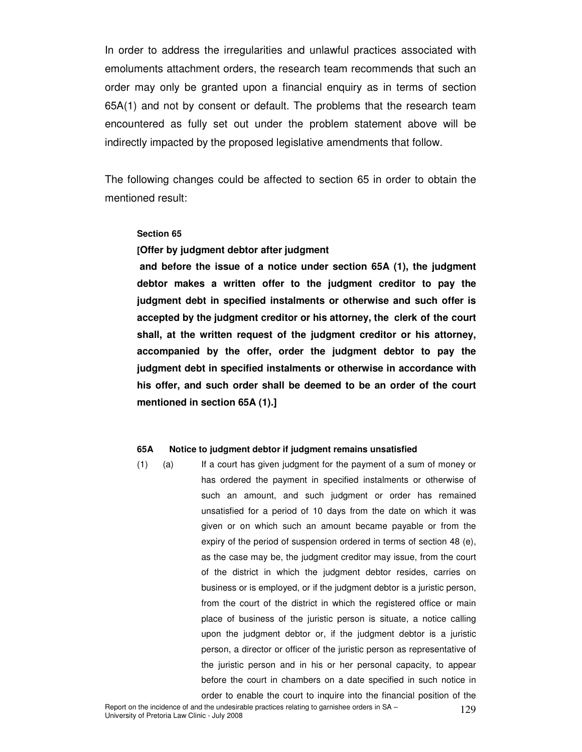In order to address the irregularities and unlawful practices associated with emoluments attachment orders, the research team recommends that such an order may only be granted upon a financial enquiry as in terms of section 65A(1) and not by consent or default. The problems that the research team encountered as fully set out under the problem statement above will be indirectly impacted by the proposed legislative amendments that follow.

The following changes could be affected to section 65 in order to obtain the mentioned result:

#### **Section 65**

#### **[Offer by judgment debtor after judgment**

 **and before the issue of a notice under section 65A (1), the judgment debtor makes a written offer to the judgment creditor to pay the judgment debt in specified instalments or otherwise and such offer is accepted by the judgment creditor or his attorney, the clerk of the court shall, at the written request of the judgment creditor or his attorney, accompanied by the offer, order the judgment debtor to pay the judgment debt in specified instalments or otherwise in accordance with his offer, and such order shall be deemed to be an order of the court mentioned in section 65A (1).]** 

#### **65A Notice to judgment debtor if judgment remains unsatisfied**

(1) (a) If a court has given judgment for the payment of a sum of money or has ordered the payment in specified instalments or otherwise of such an amount, and such judgment or order has remained unsatisfied for a period of 10 days from the date on which it was given or on which such an amount became payable or from the expiry of the period of suspension ordered in terms of section 48 (e), as the case may be, the judgment creditor may issue, from the court of the district in which the judgment debtor resides, carries on business or is employed, or if the judgment debtor is a juristic person, from the court of the district in which the registered office or main place of business of the juristic person is situate, a notice calling upon the judgment debtor or, if the judgment debtor is a juristic person, a director or officer of the juristic person as representative of the juristic person and in his or her personal capacity, to appear before the court in chambers on a date specified in such notice in order to enable the court to inquire into the financial position of the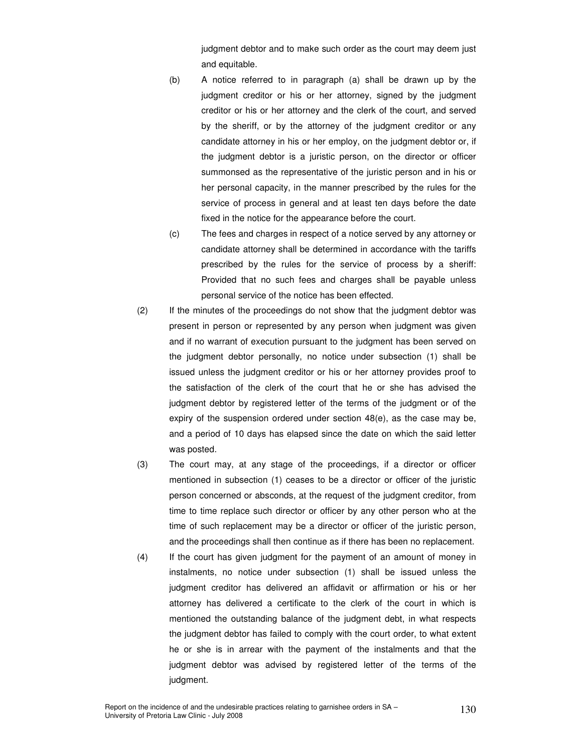judgment debtor and to make such order as the court may deem just and equitable.

- (b) A notice referred to in paragraph (a) shall be drawn up by the judgment creditor or his or her attorney, signed by the judgment creditor or his or her attorney and the clerk of the court, and served by the sheriff, or by the attorney of the judgment creditor or any candidate attorney in his or her employ, on the judgment debtor or, if the judgment debtor is a juristic person, on the director or officer summonsed as the representative of the juristic person and in his or her personal capacity, in the manner prescribed by the rules for the service of process in general and at least ten days before the date fixed in the notice for the appearance before the court.
- (c) The fees and charges in respect of a notice served by any attorney or candidate attorney shall be determined in accordance with the tariffs prescribed by the rules for the service of process by a sheriff: Provided that no such fees and charges shall be payable unless personal service of the notice has been effected.
- (2) If the minutes of the proceedings do not show that the judgment debtor was present in person or represented by any person when judgment was given and if no warrant of execution pursuant to the judgment has been served on the judgment debtor personally, no notice under subsection (1) shall be issued unless the judgment creditor or his or her attorney provides proof to the satisfaction of the clerk of the court that he or she has advised the judgment debtor by registered letter of the terms of the judgment or of the expiry of the suspension ordered under section 48(e), as the case may be, and a period of 10 days has elapsed since the date on which the said letter was posted.
- (3) The court may, at any stage of the proceedings, if a director or officer mentioned in subsection (1) ceases to be a director or officer of the juristic person concerned or absconds, at the request of the judgment creditor, from time to time replace such director or officer by any other person who at the time of such replacement may be a director or officer of the juristic person, and the proceedings shall then continue as if there has been no replacement.
- (4) If the court has given judgment for the payment of an amount of money in instalments, no notice under subsection (1) shall be issued unless the judgment creditor has delivered an affidavit or affirmation or his or her attorney has delivered a certificate to the clerk of the court in which is mentioned the outstanding balance of the judgment debt, in what respects the judgment debtor has failed to comply with the court order, to what extent he or she is in arrear with the payment of the instalments and that the judgment debtor was advised by registered letter of the terms of the judgment.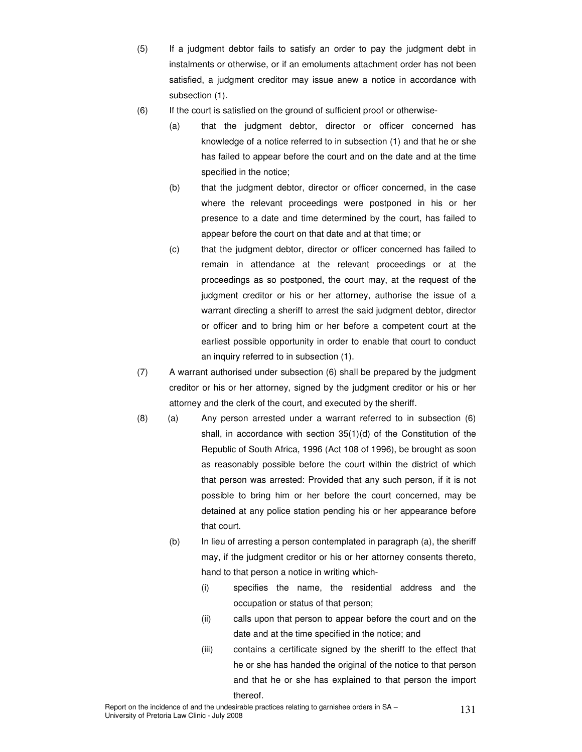- (5) If a judgment debtor fails to satisfy an order to pay the judgment debt in instalments or otherwise, or if an emoluments attachment order has not been satisfied, a judgment creditor may issue anew a notice in accordance with subsection (1).
- (6) If the court is satisfied on the ground of sufficient proof or otherwise-
	- (a) that the judgment debtor, director or officer concerned has knowledge of a notice referred to in subsection (1) and that he or she has failed to appear before the court and on the date and at the time specified in the notice;
	- (b) that the judgment debtor, director or officer concerned, in the case where the relevant proceedings were postponed in his or her presence to a date and time determined by the court, has failed to appear before the court on that date and at that time; or
	- (c) that the judgment debtor, director or officer concerned has failed to remain in attendance at the relevant proceedings or at the proceedings as so postponed, the court may, at the request of the judgment creditor or his or her attorney, authorise the issue of a warrant directing a sheriff to arrest the said judgment debtor, director or officer and to bring him or her before a competent court at the earliest possible opportunity in order to enable that court to conduct an inquiry referred to in subsection (1).
- (7) A warrant authorised under subsection (6) shall be prepared by the judgment creditor or his or her attorney, signed by the judgment creditor or his or her attorney and the clerk of the court, and executed by the sheriff.
- (8) (a) Any person arrested under a warrant referred to in subsection (6) shall, in accordance with section 35(1)(d) of the Constitution of the Republic of South Africa, 1996 (Act 108 of 1996), be brought as soon as reasonably possible before the court within the district of which that person was arrested: Provided that any such person, if it is not possible to bring him or her before the court concerned, may be detained at any police station pending his or her appearance before that court.
	- (b) In lieu of arresting a person contemplated in paragraph (a), the sheriff may, if the judgment creditor or his or her attorney consents thereto, hand to that person a notice in writing which-
		- (i) specifies the name, the residential address and the occupation or status of that person;
		- (ii) calls upon that person to appear before the court and on the date and at the time specified in the notice; and
		- (iii) contains a certificate signed by the sheriff to the effect that he or she has handed the original of the notice to that person and that he or she has explained to that person the import thereof.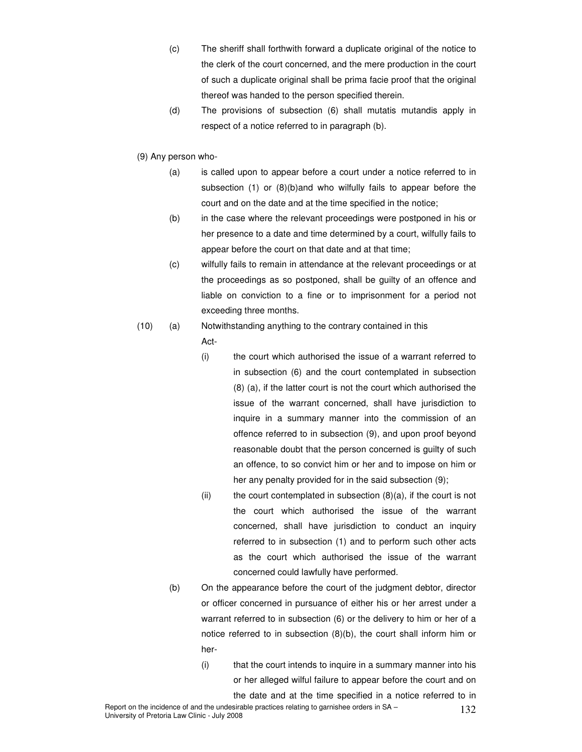- (c) The sheriff shall forthwith forward a duplicate original of the notice to the clerk of the court concerned, and the mere production in the court of such a duplicate original shall be prima facie proof that the original thereof was handed to the person specified therein.
- (d) The provisions of subsection (6) shall mutatis mutandis apply in respect of a notice referred to in paragraph (b).
- (9) Any person who-
	- (a) is called upon to appear before a court under a notice referred to in subsection (1) or (8)(b)and who wilfully fails to appear before the court and on the date and at the time specified in the notice;
	- (b) in the case where the relevant proceedings were postponed in his or her presence to a date and time determined by a court, wilfully fails to appear before the court on that date and at that time;
	- (c) wilfully fails to remain in attendance at the relevant proceedings or at the proceedings as so postponed, shall be guilty of an offence and liable on conviction to a fine or to imprisonment for a period not exceeding three months.

#### (10) (a) Notwithstanding anything to the contrary contained in this

- Act-
- (i) the court which authorised the issue of a warrant referred to in subsection (6) and the court contemplated in subsection (8) (a), if the latter court is not the court which authorised the issue of the warrant concerned, shall have jurisdiction to inquire in a summary manner into the commission of an offence referred to in subsection (9), and upon proof beyond reasonable doubt that the person concerned is guilty of such an offence, to so convict him or her and to impose on him or her any penalty provided for in the said subsection (9);
- (ii) the court contemplated in subsection  $(8)(a)$ , if the court is not the court which authorised the issue of the warrant concerned, shall have jurisdiction to conduct an inquiry referred to in subsection (1) and to perform such other acts as the court which authorised the issue of the warrant concerned could lawfully have performed.
- (b) On the appearance before the court of the judgment debtor, director or officer concerned in pursuance of either his or her arrest under a warrant referred to in subsection (6) or the delivery to him or her of a notice referred to in subsection (8)(b), the court shall inform him or her-
	- (i) that the court intends to inquire in a summary manner into his or her alleged wilful failure to appear before the court and on the date and at the time specified in a notice referred to in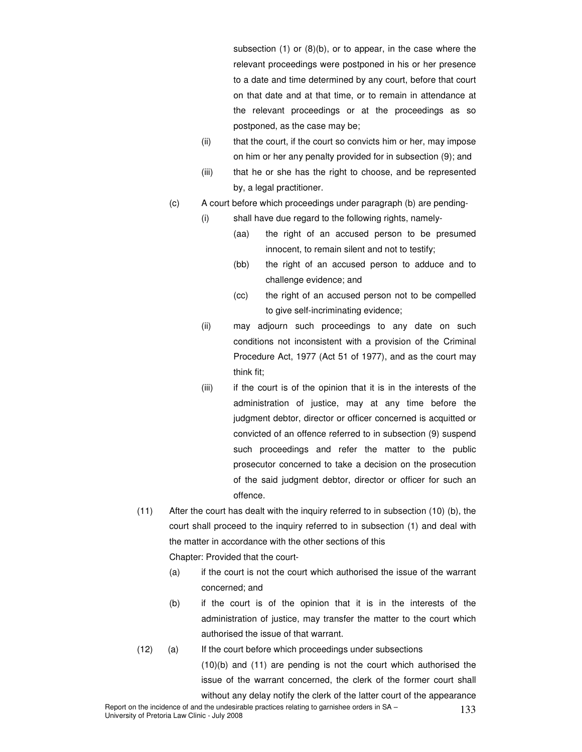subsection (1) or (8)(b), or to appear, in the case where the relevant proceedings were postponed in his or her presence to a date and time determined by any court, before that court on that date and at that time, or to remain in attendance at the relevant proceedings or at the proceedings as so postponed, as the case may be;

- (ii) that the court, if the court so convicts him or her, may impose on him or her any penalty provided for in subsection (9); and
- (iii) that he or she has the right to choose, and be represented by, a legal practitioner.
- (c) A court before which proceedings under paragraph (b) are pending-
	- (i) shall have due regard to the following rights, namely-
		- (aa) the right of an accused person to be presumed innocent, to remain silent and not to testify;
		- (bb) the right of an accused person to adduce and to challenge evidence; and
		- (cc) the right of an accused person not to be compelled to give self-incriminating evidence;
	- (ii) may adjourn such proceedings to any date on such conditions not inconsistent with a provision of the Criminal Procedure Act, 1977 (Act 51 of 1977), and as the court may think fit;
	- (iii) if the court is of the opinion that it is in the interests of the administration of justice, may at any time before the judgment debtor, director or officer concerned is acquitted or convicted of an offence referred to in subsection (9) suspend such proceedings and refer the matter to the public prosecutor concerned to take a decision on the prosecution of the said judgment debtor, director or officer for such an offence.
- (11) After the court has dealt with the inquiry referred to in subsection (10) (b), the court shall proceed to the inquiry referred to in subsection (1) and deal with the matter in accordance with the other sections of this Chapter: Provided that the court-
	- (a) if the court is not the court which authorised the issue of the warrant concerned; and
	- (b) if the court is of the opinion that it is in the interests of the administration of justice, may transfer the matter to the court which authorised the issue of that warrant.
- (12) (a) If the court before which proceedings under subsections

(10)(b) and (11) are pending is not the court which authorised the issue of the warrant concerned, the clerk of the former court shall without any delay notify the clerk of the latter court of the appearance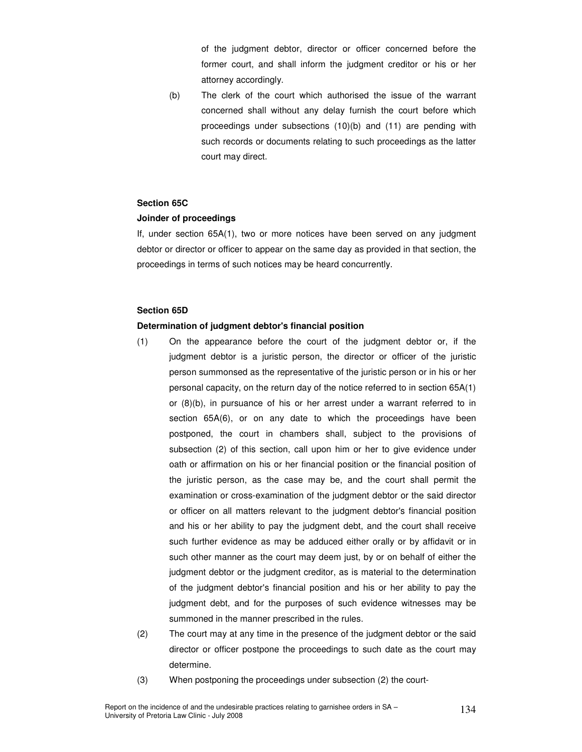of the judgment debtor, director or officer concerned before the former court, and shall inform the judgment creditor or his or her attorney accordingly.

(b) The clerk of the court which authorised the issue of the warrant concerned shall without any delay furnish the court before which proceedings under subsections (10)(b) and (11) are pending with such records or documents relating to such proceedings as the latter court may direct.

#### **Section 65C**

#### **Joinder of proceedings**

 If, under section 65A(1), two or more notices have been served on any judgment debtor or director or officer to appear on the same day as provided in that section, the proceedings in terms of such notices may be heard concurrently.

#### **Section 65D**

#### **Determination of judgment debtor's financial position**

- (1) On the appearance before the court of the judgment debtor or, if the judgment debtor is a juristic person, the director or officer of the juristic person summonsed as the representative of the juristic person or in his or her personal capacity, on the return day of the notice referred to in section 65A(1) or (8)(b), in pursuance of his or her arrest under a warrant referred to in section 65A(6), or on any date to which the proceedings have been postponed, the court in chambers shall, subject to the provisions of subsection (2) of this section, call upon him or her to give evidence under oath or affirmation on his or her financial position or the financial position of the juristic person, as the case may be, and the court shall permit the examination or cross-examination of the judgment debtor or the said director or officer on all matters relevant to the judgment debtor's financial position and his or her ability to pay the judgment debt, and the court shall receive such further evidence as may be adduced either orally or by affidavit or in such other manner as the court may deem just, by or on behalf of either the judgment debtor or the judgment creditor, as is material to the determination of the judgment debtor's financial position and his or her ability to pay the judgment debt, and for the purposes of such evidence witnesses may be summoned in the manner prescribed in the rules.
- (2) The court may at any time in the presence of the judgment debtor or the said director or officer postpone the proceedings to such date as the court may determine.
- (3) When postponing the proceedings under subsection (2) the court-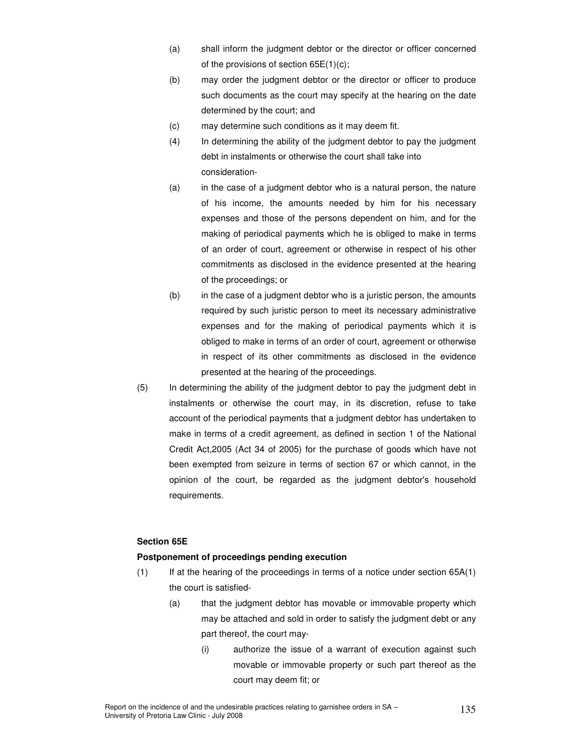- (a) shall inform the judgment debtor or the director or officer concerned of the provisions of section 65E(1)(c);
- (b) may order the judgment debtor or the director or officer to produce such documents as the court may specify at the hearing on the date determined by the court; and
- (c) may determine such conditions as it may deem fit.
- (4) In determining the ability of the judgment debtor to pay the judgment debt in instalments or otherwise the court shall take into consideration-
- (a) in the case of a judgment debtor who is a natural person, the nature of his income, the amounts needed by him for his necessary expenses and those of the persons dependent on him, and for the making of periodical payments which he is obliged to make in terms of an order of court, agreement or otherwise in respect of his other commitments as disclosed in the evidence presented at the hearing of the proceedings; or
- (b) in the case of a judgment debtor who is a juristic person, the amounts required by such juristic person to meet its necessary administrative expenses and for the making of periodical payments which it is obliged to make in terms of an order of court, agreement or otherwise in respect of its other commitments as disclosed in the evidence presented at the hearing of the proceedings.
- (5) In determining the ability of the judgment debtor to pay the judgment debt in instalments or otherwise the court may, in its discretion, refuse to take account of the periodical payments that a judgment debtor has undertaken to make in terms of a credit agreement, as defined in section 1 of the National Credit Act,2005 (Act 34 of 2005) for the purchase of goods which have not been exempted from seizure in terms of section 67 or which cannot, in the opinion of the court, be regarded as the judgment debtor's household requirements.

#### **Section 65E**

#### **Postponement of proceedings pending execution**

- (1) If at the hearing of the proceedings in terms of a notice under section 65A(1) the court is satisfied-
	- (a) that the judgment debtor has movable or immovable property which may be attached and sold in order to satisfy the judgment debt or any part thereof, the court may-
		- (i) authorize the issue of a warrant of execution against such movable or immovable property or such part thereof as the court may deem fit; or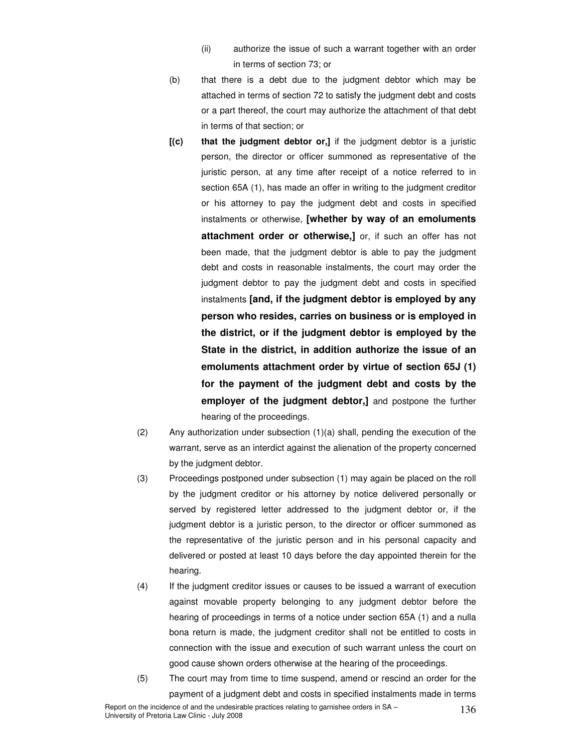- (ii) authorize the issue of such a warrant together with an order in terms of section 73; or
- (b) that there is a debt due to the judgment debtor which may be attached in terms of section 72 to satisfy the judgment debt and costs or a part thereof, the court may authorize the attachment of that debt in terms of that section; or
- **[(c) that the judgment debtor or,]** if the judgment debtor is a juristic person, the director or officer summoned as representative of the juristic person, at any time after receipt of a notice referred to in section 65A (1), has made an offer in writing to the judgment creditor or his attorney to pay the judgment debt and costs in specified instalments or otherwise, **[whether by way of an emoluments attachment order or otherwise,]** or, if such an offer has not been made, that the judgment debtor is able to pay the judgment debt and costs in reasonable instalments, the court may order the judgment debtor to pay the judgment debt and costs in specified instalments **[and, if the judgment debtor is employed by any person who resides, carries on business or is employed in the district, or if the judgment debtor is employed by the State in the district, in addition authorize the issue of an emoluments attachment order by virtue of section 65J (1) for the payment of the judgment debt and costs by the employer of the judgment debtor,]** and postpone the further hearing of the proceedings.
- (2) Any authorization under subsection (1)(a) shall, pending the execution of the warrant, serve as an interdict against the alienation of the property concerned by the judgment debtor.
- (3) Proceedings postponed under subsection (1) may again be placed on the roll by the judgment creditor or his attorney by notice delivered personally or served by registered letter addressed to the judgment debtor or, if the judgment debtor is a juristic person, to the director or officer summoned as the representative of the juristic person and in his personal capacity and delivered or posted at least 10 days before the day appointed therein for the hearing.
- (4) If the judgment creditor issues or causes to be issued a warrant of execution against movable property belonging to any judgment debtor before the hearing of proceedings in terms of a notice under section 65A (1) and a nulla bona return is made, the judgment creditor shall not be entitled to costs in connection with the issue and execution of such warrant unless the court on good cause shown orders otherwise at the hearing of the proceedings.
- (5) The court may from time to time suspend, amend or rescind an order for the payment of a judgment debt and costs in specified instalments made in terms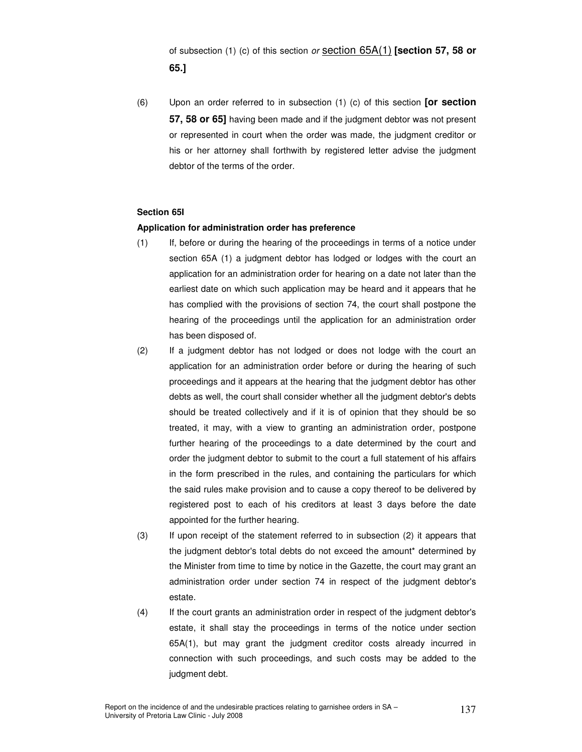of subsection (1) (c) of this section or section 65A(1) **[section 57, 58 or 65.]** 

 (6) Upon an order referred to in subsection (1) (c) of this section **[or section 57, 58 or 65]** having been made and if the judgment debtor was not present or represented in court when the order was made, the judgment creditor or his or her attorney shall forthwith by registered letter advise the judgment debtor of the terms of the order.

#### **Section 65I**

#### **Application for administration order has preference**

- (1) If, before or during the hearing of the proceedings in terms of a notice under section 65A (1) a judgment debtor has lodged or lodges with the court an application for an administration order for hearing on a date not later than the earliest date on which such application may be heard and it appears that he has complied with the provisions of section 74, the court shall postpone the hearing of the proceedings until the application for an administration order has been disposed of.
- (2) If a judgment debtor has not lodged or does not lodge with the court an application for an administration order before or during the hearing of such proceedings and it appears at the hearing that the judgment debtor has other debts as well, the court shall consider whether all the judgment debtor's debts should be treated collectively and if it is of opinion that they should be so treated, it may, with a view to granting an administration order, postpone further hearing of the proceedings to a date determined by the court and order the judgment debtor to submit to the court a full statement of his affairs in the form prescribed in the rules, and containing the particulars for which the said rules make provision and to cause a copy thereof to be delivered by registered post to each of his creditors at least 3 days before the date appointed for the further hearing.
- (3) If upon receipt of the statement referred to in subsection (2) it appears that the judgment debtor's total debts do not exceed the amount\* determined by the Minister from time to time by notice in the Gazette, the court may grant an administration order under section 74 in respect of the judgment debtor's estate.
- (4) If the court grants an administration order in respect of the judgment debtor's estate, it shall stay the proceedings in terms of the notice under section 65A(1), but may grant the judgment creditor costs already incurred in connection with such proceedings, and such costs may be added to the judgment debt.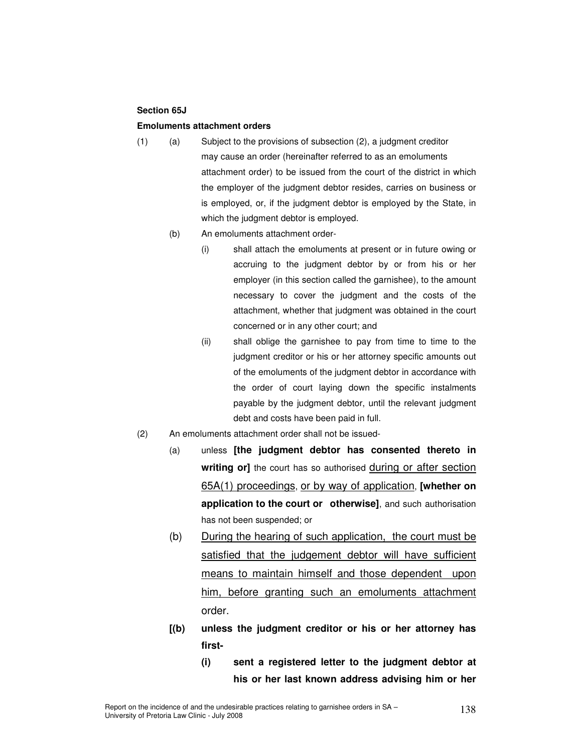#### **Section 65J**

#### **Emoluments attachment orders**

- (1) (a) Subject to the provisions of subsection (2), a judgment creditor may cause an order (hereinafter referred to as an emoluments attachment order) to be issued from the court of the district in which the employer of the judgment debtor resides, carries on business or is employed, or, if the judgment debtor is employed by the State, in which the judgment debtor is employed.
	- (b) An emoluments attachment order-
		- (i) shall attach the emoluments at present or in future owing or accruing to the judgment debtor by or from his or her employer (in this section called the garnishee), to the amount necessary to cover the judgment and the costs of the attachment, whether that judgment was obtained in the court concerned or in any other court; and
		- (ii) shall oblige the garnishee to pay from time to time to the judgment creditor or his or her attorney specific amounts out of the emoluments of the judgment debtor in accordance with the order of court laying down the specific instalments payable by the judgment debtor, until the relevant judgment debt and costs have been paid in full.
- (2) An emoluments attachment order shall not be issued-
	- (a) unless **[the judgment debtor has consented thereto in writing or]** the court has so authorised during or after section 65A(1) proceedings, or by way of application, **[whether on application to the court or otherwise]**, and such authorisation has not been suspended; or
	- (b) During the hearing of such application, the court must be satisfied that the judgement debtor will have sufficient means to maintain himself and those dependent upon him, before granting such an emoluments attachment order.
	- **[(b) unless the judgment creditor or his or her attorney has first-** 
		- **(i) sent a registered letter to the judgment debtor at his or her last known address advising him or her**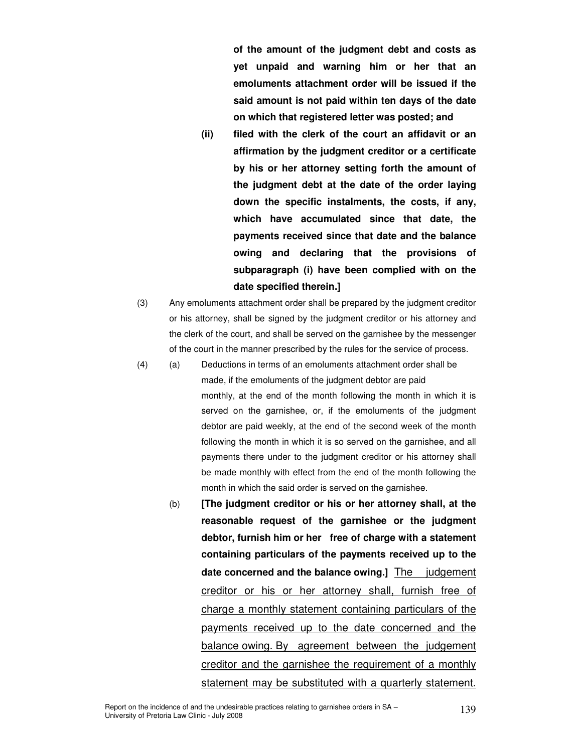**of the amount of the judgment debt and costs as yet unpaid and warning him or her that an emoluments attachment order will be issued if the said amount is not paid within ten days of the date on which that registered letter was posted; and** 

- **(ii) filed with the clerk of the court an affidavit or an affirmation by the judgment creditor or a certificate by his or her attorney setting forth the amount of the judgment debt at the date of the order laying down the specific instalments, the costs, if any, which have accumulated since that date, the payments received since that date and the balance owing and declaring that the provisions of subparagraph (i) have been complied with on the date specified therein.]**
- (3) Any emoluments attachment order shall be prepared by the judgment creditor or his attorney, shall be signed by the judgment creditor or his attorney and the clerk of the court, and shall be served on the garnishee by the messenger of the court in the manner prescribed by the rules for the service of process.
- (4) (a) Deductions in terms of an emoluments attachment order shall be made, if the emoluments of the judgment debtor are paid monthly, at the end of the month following the month in which it is served on the garnishee, or, if the emoluments of the judgment debtor are paid weekly, at the end of the second week of the month following the month in which it is so served on the garnishee, and all payments there under to the judgment creditor or his attorney shall be made monthly with effect from the end of the month following the month in which the said order is served on the garnishee.
	- (b) **[The judgment creditor or his or her attorney shall, at the reasonable request of the garnishee or the judgment debtor, furnish him or her free of charge with a statement containing particulars of the payments received up to the**  date concerned and the balance owing.] The judgement creditor or his or her attorney shall, furnish free of charge a monthly statement containing particulars of the payments received up to the date concerned and the balance owing. By agreement between the judgement creditor and the garnishee the requirement of a monthly statement may be substituted with a quarterly statement.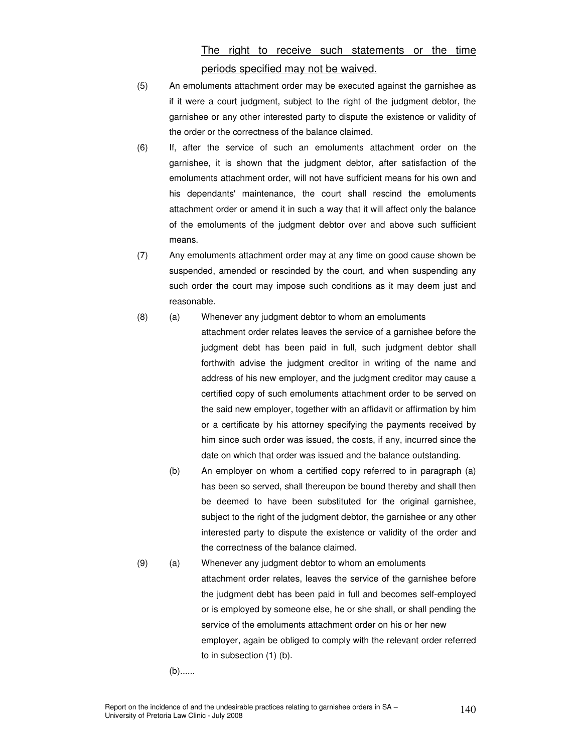## The right to receive such statements or the time periods specified may not be waived.

- (5) An emoluments attachment order may be executed against the garnishee as if it were a court judgment, subject to the right of the judgment debtor, the garnishee or any other interested party to dispute the existence or validity of the order or the correctness of the balance claimed.
- (6) If, after the service of such an emoluments attachment order on the garnishee, it is shown that the judgment debtor, after satisfaction of the emoluments attachment order, will not have sufficient means for his own and his dependants' maintenance, the court shall rescind the emoluments attachment order or amend it in such a way that it will affect only the balance of the emoluments of the judgment debtor over and above such sufficient means.
- (7) Any emoluments attachment order may at any time on good cause shown be suspended, amended or rescinded by the court, and when suspending any such order the court may impose such conditions as it may deem just and reasonable.
- (8) (a) Whenever any judgment debtor to whom an emoluments
	- attachment order relates leaves the service of a garnishee before the judgment debt has been paid in full, such judgment debtor shall forthwith advise the judgment creditor in writing of the name and address of his new employer, and the judgment creditor may cause a certified copy of such emoluments attachment order to be served on the said new employer, together with an affidavit or affirmation by him or a certificate by his attorney specifying the payments received by him since such order was issued, the costs, if any, incurred since the date on which that order was issued and the balance outstanding.
		- (b) An employer on whom a certified copy referred to in paragraph (a) has been so served, shall thereupon be bound thereby and shall then be deemed to have been substituted for the original garnishee, subject to the right of the judgment debtor, the garnishee or any other interested party to dispute the existence or validity of the order and the correctness of the balance claimed.
- (9) (a) Whenever any judgment debtor to whom an emoluments attachment order relates, leaves the service of the garnishee before the judgment debt has been paid in full and becomes self-employed or is employed by someone else, he or she shall, or shall pending the service of the emoluments attachment order on his or her new employer, again be obliged to comply with the relevant order referred to in subsection (1) (b).

(b)......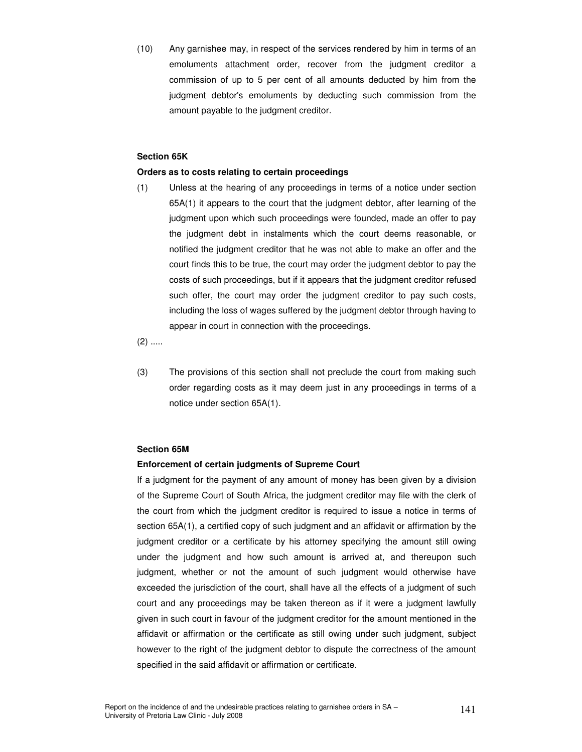(10) Any garnishee may, in respect of the services rendered by him in terms of an emoluments attachment order, recover from the judgment creditor a commission of up to 5 per cent of all amounts deducted by him from the judgment debtor's emoluments by deducting such commission from the amount payable to the judgment creditor.

#### **Section 65K**

#### **Orders as to costs relating to certain proceedings**

 (1) Unless at the hearing of any proceedings in terms of a notice under section 65A(1) it appears to the court that the judgment debtor, after learning of the judgment upon which such proceedings were founded, made an offer to pay the judgment debt in instalments which the court deems reasonable, or notified the judgment creditor that he was not able to make an offer and the court finds this to be true, the court may order the judgment debtor to pay the costs of such proceedings, but if it appears that the judgment creditor refused such offer, the court may order the judgment creditor to pay such costs, including the loss of wages suffered by the judgment debtor through having to appear in court in connection with the proceedings.

 $(2)$  .....

 (3) The provisions of this section shall not preclude the court from making such order regarding costs as it may deem just in any proceedings in terms of a notice under section 65A(1).

#### **Section 65M**

#### **Enforcement of certain judgments of Supreme Court**

If a judgment for the payment of any amount of money has been given by a division of the Supreme Court of South Africa, the judgment creditor may file with the clerk of the court from which the judgment creditor is required to issue a notice in terms of section 65A(1), a certified copy of such judgment and an affidavit or affirmation by the judgment creditor or a certificate by his attorney specifying the amount still owing under the judgment and how such amount is arrived at, and thereupon such judgment, whether or not the amount of such judgment would otherwise have exceeded the jurisdiction of the court, shall have all the effects of a judgment of such court and any proceedings may be taken thereon as if it were a judgment lawfully given in such court in favour of the judgment creditor for the amount mentioned in the affidavit or affirmation or the certificate as still owing under such judgment, subject however to the right of the judgment debtor to dispute the correctness of the amount specified in the said affidavit or affirmation or certificate.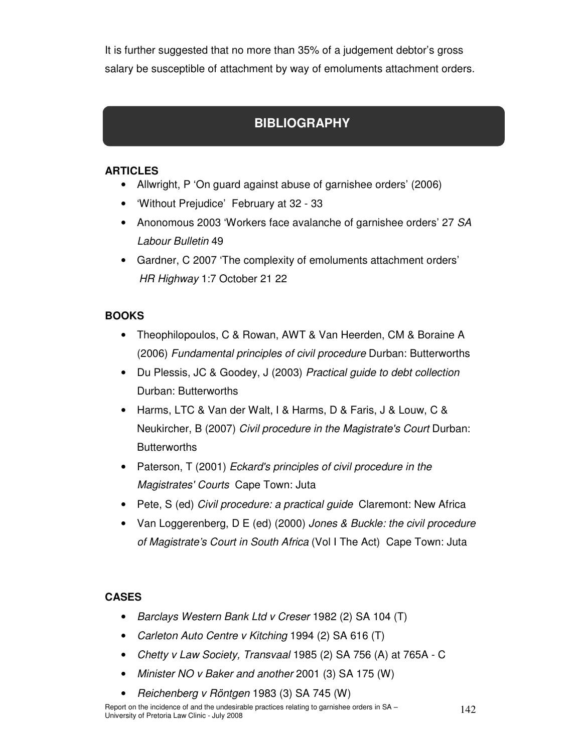It is further suggested that no more than 35% of a judgement debtor's gross salary be susceptible of attachment by way of emoluments attachment orders.

# **BIBLIOGRAPHY**

### **ARTICLES**

- Allwright, P 'On guard against abuse of garnishee orders' (2006)
- 'Without Prejudice' February at 32 33
- Anonomous 2003 'Workers face avalanche of garnishee orders' 27 SA Labour Bulletin 49
- Gardner, C 2007 'The complexity of emoluments attachment orders' HR Highway 1:7 October 21 22

### **BOOKS**

- Theophilopoulos, C & Rowan, AWT & Van Heerden, CM & Boraine A (2006) Fundamental principles of civil procedure Durban: Butterworths
- Du Plessis, JC & Goodey, J (2003) Practical guide to debt collection Durban: Butterworths
- Harms, LTC & Van der Walt, I & Harms, D & Faris, J & Louw, C & Neukircher, B (2007) Civil procedure in the Magistrate's Court Durban: **Butterworths**
- Paterson, T (2001) Eckard's principles of civil procedure in the Magistrates' Courts Cape Town: Juta
- Pete, S (ed) Civil procedure: a practical guide Claremont: New Africa
- Van Loggerenberg, D E (ed) (2000) Jones & Buckle: the civil procedure of Magistrate's Court in South Africa (Vol I The Act) Cape Town: Juta

### **CASES**

- Barclays Western Bank Ltd v Creser 1982 (2) SA 104 (T)
- Carleton Auto Centre v Kitching 1994 (2) SA 616 (T)
- Chetty v Law Society, Transvaal 1985 (2) SA 756 (A) at 765A C
- Minister NO v Baker and another 2001 (3) SA 175 (W)
- Reichenberg v Röntgen 1983 (3) SA 745 (W)